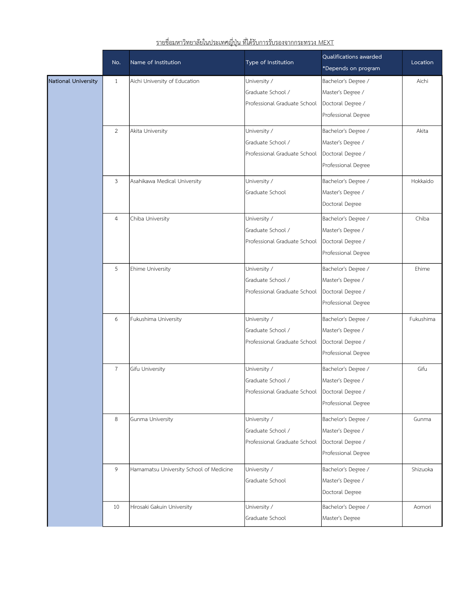|                            | No.            | Name of Institution                     | Type of Institution                              | Qualifications awarded<br>*Depends on program | Location  |
|----------------------------|----------------|-----------------------------------------|--------------------------------------------------|-----------------------------------------------|-----------|
| <b>National University</b> | 1              | Aichi University of Education           | University /                                     | Bachelor's Degree /                           | Aichi     |
|                            |                |                                         | Graduate School /                                | Master's Degree /                             |           |
|                            |                |                                         | Professional Graduate School                     | Doctoral Degree /                             |           |
|                            |                |                                         |                                                  | Professional Degree                           |           |
|                            | $\overline{2}$ | Akita University                        | University /                                     | Bachelor's Degree /                           | Akita     |
|                            |                |                                         | Graduate School /                                | Master's Degree /                             |           |
|                            |                |                                         | Professional Graduate School                     | Doctoral Degree /                             |           |
|                            |                |                                         |                                                  | Professional Degree                           |           |
|                            | 3              | Asahikawa Medical University            | University /                                     | Bachelor's Degree /                           | Hokkaido  |
|                            |                |                                         | Graduate School                                  | Master's Degree /                             |           |
|                            |                |                                         |                                                  | Doctoral Degree                               |           |
|                            | $\overline{4}$ | Chiba University                        | University /                                     | Bachelor's Degree /                           | Chiba     |
|                            |                |                                         | Graduate School /                                | Master's Degree /                             |           |
|                            |                |                                         | Professional Graduate School                     | Doctoral Degree /                             |           |
|                            |                |                                         |                                                  | Professional Degree                           |           |
|                            | 5              | Ehime University                        | University /                                     | Bachelor's Degree /                           | Ehime     |
|                            |                |                                         | Graduate School /                                | Master's Degree /                             |           |
|                            |                |                                         | Professional Graduate School                     | Doctoral Degree /                             |           |
|                            |                |                                         |                                                  | Professional Degree                           |           |
|                            | 6              | Fukushima University                    | University /                                     | Bachelor's Degree /                           | Fukushima |
|                            |                |                                         | Graduate School /                                | Master's Degree /                             |           |
|                            |                |                                         | Professional Graduate School                     | Doctoral Degree /                             |           |
|                            |                |                                         |                                                  | Professional Degree                           |           |
|                            | $\overline{7}$ | Gifu University                         | University /                                     | Bachelor's Degree /                           | Gifu      |
|                            |                |                                         | Graduate School /                                | Master's Degree /                             |           |
|                            |                |                                         | Professional Graduate School   Doctoral Degree / |                                               |           |
|                            |                |                                         |                                                  | Professional Degree                           |           |
|                            | 8              | Gunma University                        | University /                                     | Bachelor's Degree /                           | Gunma     |
|                            |                |                                         | Graduate School /                                | Master's Degree /                             |           |
|                            |                |                                         | Professional Graduate School                     | Doctoral Degree /                             |           |
|                            |                |                                         |                                                  | Professional Degree                           |           |
|                            | 9              | Hamamatsu University School of Medicine | University /                                     | Bachelor's Degree /                           | Shizuoka  |
|                            |                |                                         | Graduate School                                  | Master's Degree /                             |           |
|                            |                |                                         |                                                  | Doctoral Degree                               |           |
|                            | 10             | Hirosaki Gakuin University              | University /                                     | Bachelor's Degree /                           | Aomori    |
|                            |                |                                         | Graduate School                                  | Master's Degree                               |           |
|                            |                |                                         |                                                  |                                               |           |

## รายชื่อมหาวิทยาลัยในประเทศญี่ปุน ที่ไดรับการรบัรองจากกระทรวง MEXT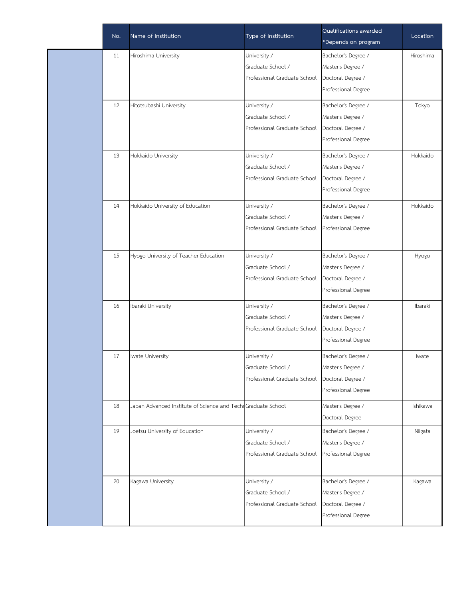| No. | Name of Institution                                          | Type of Institution          | Qualifications awarded<br>*Depends on program | Location  |
|-----|--------------------------------------------------------------|------------------------------|-----------------------------------------------|-----------|
| 11  | Hiroshima University                                         | University /                 | Bachelor's Degree /                           | Hiroshima |
|     |                                                              | Graduate School /            | Master's Degree /                             |           |
|     |                                                              | Professional Graduate School | Doctoral Degree /                             |           |
|     |                                                              |                              | Professional Degree                           |           |
| 12  | Hitotsubashi University                                      | University /                 | Bachelor's Degree /                           | Tokyo     |
|     |                                                              | Graduate School /            | Master's Degree /                             |           |
|     |                                                              | Professional Graduate School | Doctoral Degree /                             |           |
|     |                                                              |                              | Professional Degree                           |           |
| 13  | Hokkaido University                                          | University /                 | Bachelor's Degree /                           | Hokkaido  |
|     |                                                              | Graduate School /            | Master's Degree /                             |           |
|     |                                                              | Professional Graduate School | Doctoral Degree /                             |           |
|     |                                                              |                              | Professional Degree                           |           |
| 14  | Hokkaido University of Education                             | University /                 | Bachelor's Degree /                           | Hokkaido  |
|     |                                                              | Graduate School /            | Master's Degree /                             |           |
|     |                                                              | Professional Graduate School | Professional Degree                           |           |
|     |                                                              |                              |                                               |           |
| 15  | Hyogo University of Teacher Education                        | University /                 | Bachelor's Degree /                           | Hyogo     |
|     |                                                              | Graduate School /            | Master's Degree /                             |           |
|     |                                                              | Professional Graduate School | Doctoral Degree /                             |           |
|     |                                                              |                              | Professional Degree                           |           |
| 16  | Ibaraki University                                           | University /                 | Bachelor's Degree /                           | Ibaraki   |
|     |                                                              | Graduate School /            | Master's Degree /                             |           |
|     |                                                              | Professional Graduate School | Doctoral Degree /                             |           |
|     |                                                              |                              | Professional Degree                           |           |
| 17  | Iwate University                                             | University /                 | Bachelor's Degree /                           | Iwate     |
|     |                                                              | Graduate School /            | Master's Degree /                             |           |
|     |                                                              | Professional Graduate School | Doctoral Degree /                             |           |
|     |                                                              |                              | Professional Degree                           |           |
| 18  | Japan Advanced Institute of Science and TechrGraduate School |                              | Master's Degree /                             | Ishikawa  |
|     |                                                              |                              | Doctoral Degree                               |           |
| 19  | Joetsu University of Education                               | University /                 | Bachelor's Degree /                           | Niigata   |
|     |                                                              | Graduate School /            | Master's Degree /                             |           |
|     |                                                              | Professional Graduate School | Professional Degree                           |           |
|     |                                                              |                              |                                               |           |
| 20  | Kagawa University                                            | University /                 | Bachelor's Degree /                           | Kagawa    |
|     |                                                              | Graduate School /            | Master's Degree /                             |           |
|     |                                                              | Professional Graduate School | Doctoral Degree /                             |           |
|     |                                                              |                              | Professional Degree                           |           |
|     |                                                              |                              |                                               |           |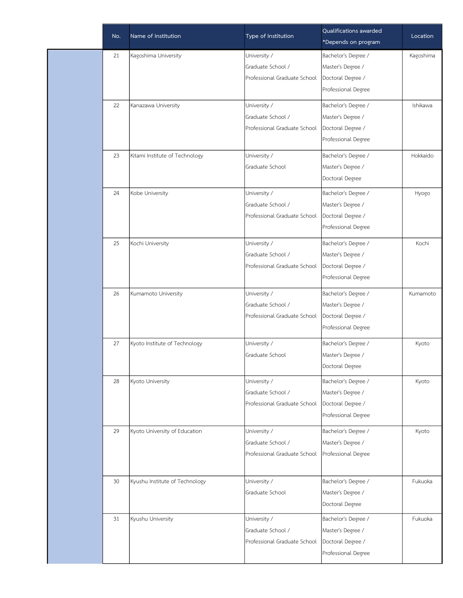| No. | Name of Institution            | Type of Institution          | Qualifications awarded<br>*Depends on program | Location  |
|-----|--------------------------------|------------------------------|-----------------------------------------------|-----------|
| 21  | Kagoshima University           | University /                 | Bachelor's Degree /                           | Kagoshima |
|     |                                | Graduate School /            | Master's Degree /                             |           |
|     |                                | Professional Graduate School | Doctoral Degree /                             |           |
|     |                                |                              | Professional Degree                           |           |
| 22  | Kanazawa University            | University /                 | Bachelor's Degree /                           | Ishikawa  |
|     |                                | Graduate School /            | Master's Degree /                             |           |
|     |                                | Professional Graduate School | Doctoral Degree /                             |           |
|     |                                |                              | Professional Degree                           |           |
| 23  | Kitami Institute of Technology | University /                 | Bachelor's Degree /                           | Hokkaido  |
|     |                                | Graduate School              | Master's Degree /                             |           |
|     |                                |                              | Doctoral Degree                               |           |
| 24  | Kobe University                | University /                 | Bachelor's Degree /                           | Hyogo     |
|     |                                | Graduate School /            | Master's Degree /                             |           |
|     |                                | Professional Graduate School | Doctoral Degree /                             |           |
|     |                                |                              | Professional Degree                           |           |
| 25  | Kochi University               | University /                 | Bachelor's Degree /                           | Kochi     |
|     |                                | Graduate School /            | Master's Degree /                             |           |
|     |                                | Professional Graduate School | Doctoral Degree /                             |           |
|     |                                |                              | Professional Degree                           |           |
| 26  | Kumamoto University            | University /                 | Bachelor's Degree /                           | Kumamoto  |
|     |                                | Graduate School /            | Master's Degree /                             |           |
|     |                                | Professional Graduate School | Doctoral Degree /                             |           |
|     |                                |                              | Professional Degree                           |           |
| 27  | Kyoto Institute of Technology  | University /                 | Bachelor's Degree /                           | Kyoto     |
|     |                                | Graduate School              | Master's Degree /                             |           |
|     |                                |                              | Doctoral Degree                               |           |
| 28  | Kyoto University               | University /                 | Bachelor's Degree /                           | Kyoto     |
|     |                                | Graduate School /            | Master's Degree /                             |           |
|     |                                | Professional Graduate School | Doctoral Degree /                             |           |
|     |                                |                              | Professional Degree                           |           |
| 29  | Kyoto University of Education  | University /                 | Bachelor's Degree /                           | Kyoto     |
|     |                                | Graduate School /            | Master's Degree /                             |           |
|     |                                | Professional Graduate School | Professional Degree                           |           |
|     |                                |                              |                                               |           |
| 30  | Kyushu Institute of Technology | University /                 | Bachelor's Degree /                           | Fukuoka   |
|     |                                | Graduate School              | Master's Degree /                             |           |
|     |                                |                              | Doctoral Degree                               |           |
| 31  | Kyushu University              | University /                 | Bachelor's Degree /                           | Fukuoka   |
|     |                                | Graduate School /            | Master's Degree /                             |           |
|     |                                | Professional Graduate School | Doctoral Degree /                             |           |
|     |                                |                              | Professional Degree                           |           |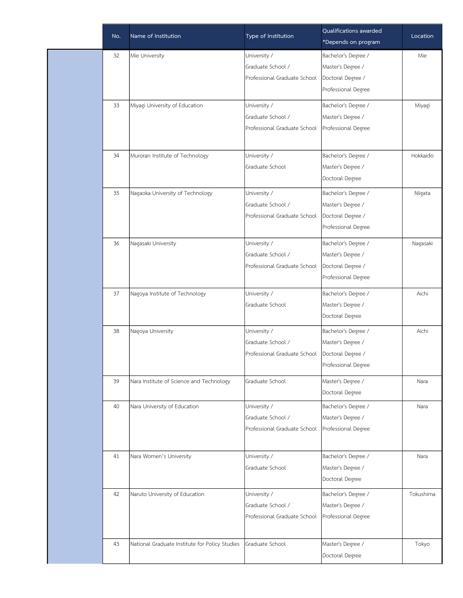| No. | Name of Institution                            | Type of Institution          | Qualifications awarded<br>*Depends on program | Location  |
|-----|------------------------------------------------|------------------------------|-----------------------------------------------|-----------|
| 32  | Mie University                                 | University /                 | Bachelor's Degree /                           | Mie       |
|     |                                                | Graduate School /            | Master's Degree /                             |           |
|     |                                                | Professional Graduate School | Doctoral Degree /<br>Professional Degree      |           |
| 33  | Miyagi University of Education                 | University /                 | Bachelor's Degree /                           | Miyagi    |
|     |                                                | Graduate School /            | Master's Degree /                             |           |
|     |                                                | Professional Graduate School | Professional Degree                           |           |
| 34  | Muroran Institute of Technology                | University /                 | Bachelor's Degree /                           | Hokkaido  |
|     |                                                | Graduate School              | Master's Degree /                             |           |
|     |                                                |                              | Doctoral Degree                               |           |
| 35  | Nagaoka University of Technology               | University /                 | Bachelor's Degree /                           | Niigata   |
|     |                                                | Graduate School /            | Master's Degree /                             |           |
|     |                                                | Professional Graduate School | Doctoral Degree /<br>Professional Degree      |           |
| 36  | Nagasaki University                            | University /                 | Bachelor's Degree /                           | Nagasaki  |
|     |                                                | Graduate School /            | Master's Degree /                             |           |
|     |                                                | Professional Graduate School | Doctoral Degree /                             |           |
|     |                                                |                              | Professional Degree                           |           |
| 37  | Nagoya Institute of Technology                 | University /                 | Bachelor's Degree /                           | Aichi     |
|     |                                                | Graduate School              | Master's Degree /                             |           |
|     |                                                |                              | Doctoral Degree                               |           |
| 38  | Nagoya University                              | University /                 | Bachelor's Degree /                           | Aichi     |
|     |                                                | Graduate School /            | Master's Degree /                             |           |
|     |                                                | Professional Graduate School | Doctoral Degree /                             |           |
|     |                                                |                              | Professional Degree                           |           |
| 39  | Nara Institute of Science and Technology       | Graduate School              | Master's Degree /                             | Nara      |
|     |                                                |                              | Doctoral Degree                               |           |
| 40  | Nara University of Education                   | University /                 | Bachelor's Degree /                           | Nara      |
|     |                                                | Graduate School /            | Master's Degree /                             |           |
|     |                                                | Professional Graduate School | Professional Degree                           |           |
| 41  | Nara Women's University                        | University /                 | Bachelor's Degree /                           | Nara      |
|     |                                                | Graduate School              | Master's Degree /                             |           |
|     |                                                |                              | Doctoral Degree                               |           |
| 42  | Naruto University of Education                 | University /                 | Bachelor's Degree /                           | Tokushima |
|     |                                                | Graduate School /            | Master's Degree /                             |           |
|     |                                                | Professional Graduate School | Professional Degree                           |           |
| 43  | National Graduate Institute for Policy Studies | Graduate School              | Master's Degree /                             | Tokyo     |
|     |                                                |                              | Doctoral Degree                               |           |
|     |                                                |                              |                                               |           |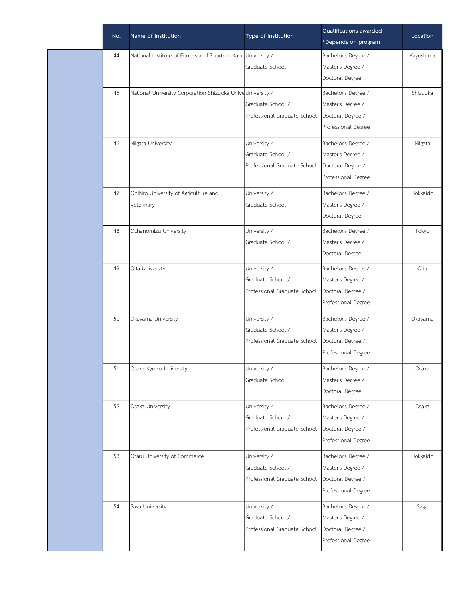| No. | Name of Institution                                           | Type of Institution          | Qualifications awarded<br>*Depends on program | Location  |
|-----|---------------------------------------------------------------|------------------------------|-----------------------------------------------|-----------|
| 44  | National Institute of Fitness and Sports in Kano University / |                              | Bachelor's Degree /                           | Kagoshima |
|     |                                                               | Graduate School              | Master's Degree /                             |           |
|     |                                                               |                              | Doctoral Degree                               |           |
| 45  | National University Corporation Shizuoka Unive University /   |                              | Bachelor's Degree /                           | Shizuoka  |
|     |                                                               | Graduate School /            | Master's Degree /                             |           |
|     |                                                               | Professional Graduate School | Doctoral Degree /                             |           |
|     |                                                               |                              | Professional Degree                           |           |
| 46  | Niigata University                                            | University /                 | Bachelor's Degree /                           | Niigata   |
|     |                                                               | Graduate School /            | Master's Degree /                             |           |
|     |                                                               | Professional Graduate School | Doctoral Degree /                             |           |
|     |                                                               |                              | Professional Degree                           |           |
| 47  | Obihiro University of Agriculture and                         | University /                 | Bachelor's Degree /                           | Hokkaido  |
|     | Veterinary                                                    | Graduate School              | Master's Degree /                             |           |
|     |                                                               |                              | Doctoral Degree                               |           |
| 48  | Ochanomizu University                                         | University /                 | Bachelor's Degree /                           | Tokyo     |
|     |                                                               | Graduate School /            | Master's Degree /                             |           |
|     |                                                               |                              | Doctoral Degree                               |           |
| 49  | Oita University                                               | University /                 | Bachelor's Degree /                           | Oita      |
|     |                                                               | Graduate School /            | Master's Degree /                             |           |
|     |                                                               | Professional Graduate School | Doctoral Degree /                             |           |
|     |                                                               |                              | Professional Degree                           |           |
| 50  | Okayama University                                            | University /                 | Bachelor's Degree /                           | Okayama   |
|     |                                                               | Graduate School /            | Master's Degree /                             |           |
|     |                                                               | Professional Graduate School | Doctoral Degree /                             |           |
|     |                                                               |                              | Professional Degree                           |           |
| 51  | Osaka Kyoiku University                                       | University /                 | Bachelor's Degree /                           | Osaka     |
|     |                                                               | Graduate School              | Master's Degree /                             |           |
|     |                                                               |                              | Doctoral Degree                               |           |
| 52  | Osaka University                                              | University /                 | Bachelor's Degree /                           | Osaka     |
|     |                                                               | Graduate School /            | Master's Degree /                             |           |
|     |                                                               | Professional Graduate School | Doctoral Degree /                             |           |
|     |                                                               |                              | Professional Degree                           |           |
| 53  | Otaru University of Commerce                                  | University /                 | Bachelor's Degree /                           | Hokkaido  |
|     |                                                               | Graduate School /            | Master's Degree /                             |           |
|     |                                                               | Professional Graduate School | Doctoral Degree /                             |           |
|     |                                                               |                              | Professional Degree                           |           |
| 54  | Saga University                                               | University /                 | Bachelor's Degree /                           | Saga      |
|     |                                                               | Graduate School /            | Master's Degree /                             |           |
|     |                                                               | Professional Graduate School | Doctoral Degree /                             |           |
|     |                                                               |                              | Professional Degree                           |           |
|     |                                                               |                              |                                               |           |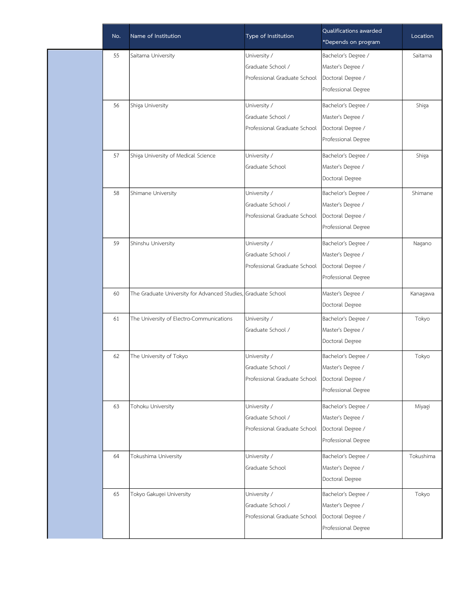| Type of Institution<br>*Depends on program                                               | Location  |
|------------------------------------------------------------------------------------------|-----------|
| 55<br>University /<br>Saitama University<br>Bachelor's Degree /                          | Saitama   |
| Graduate School /<br>Master's Degree /                                                   |           |
| Professional Graduate School<br>Doctoral Degree /                                        |           |
| Professional Degree                                                                      |           |
| University /<br>Bachelor's Degree /<br>56<br>Shiga University                            | Shiga     |
| Graduate School /<br>Master's Degree /                                                   |           |
| Professional Graduate School<br>Doctoral Degree /                                        |           |
| Professional Degree                                                                      |           |
| 57<br>Shiga University of Medical Science<br>University /<br>Bachelor's Degree /         | Shiga     |
| Graduate School<br>Master's Degree /                                                     |           |
| Doctoral Degree                                                                          |           |
| University /<br>Bachelor's Degree /<br>58<br>Shimane University                          | Shimane   |
| Graduate School /<br>Master's Degree /                                                   |           |
| Professional Graduate School<br>Doctoral Degree /                                        |           |
| Professional Degree                                                                      |           |
| University /<br>Bachelor's Degree /<br>59<br>Shinshu University                          | Nagano    |
| Graduate School /<br>Master's Degree /                                                   |           |
| Professional Graduate School<br>Doctoral Degree /                                        |           |
| Professional Degree                                                                      |           |
| Master's Degree /<br>60<br>The Graduate University for Advanced Studies, Graduate School | Kanagawa  |
| Doctoral Degree                                                                          |           |
| 61<br>The University of Electro-Communications<br>University /<br>Bachelor's Degree /    | Tokyo     |
| Graduate School /<br>Master's Degree /                                                   |           |
| Doctoral Degree                                                                          |           |
| 62<br>The University of Tokyo<br>University /<br>Bachelor's Degree /                     | Tokyo     |
| Graduate School /<br>Master's Degree /                                                   |           |
| Professional Graduate School<br>Doctoral Degree /                                        |           |
| Professional Degree                                                                      |           |
| University /<br>63<br>Tohoku University<br>Bachelor's Degree /                           | Miyagi    |
| Graduate School /<br>Master's Degree /                                                   |           |
| Professional Graduate School<br>Doctoral Degree /                                        |           |
| Professional Degree                                                                      |           |
| University /<br>Bachelor's Degree /<br>64<br>Tokushima University                        | Tokushima |
| Graduate School<br>Master's Degree /                                                     |           |
| Doctoral Degree                                                                          |           |
| Bachelor's Degree /<br>65<br>Tokyo Gakugei University<br>University /                    | Tokyo     |
| Graduate School /<br>Master's Degree /                                                   |           |
| Doctoral Degree /<br>Professional Graduate School                                        |           |
| Professional Degree                                                                      |           |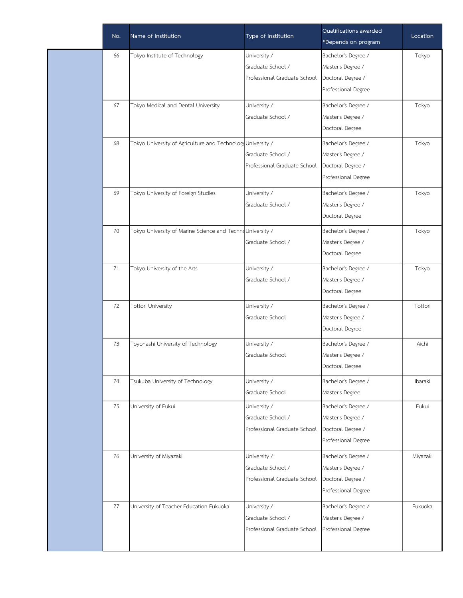| No. | Name of Institution                                         | Type of Institution          | Qualifications awarded<br>*Depends on program | Location |
|-----|-------------------------------------------------------------|------------------------------|-----------------------------------------------|----------|
| 66  | Tokyo Institute of Technology                               | University /                 | Bachelor's Degree /                           | Tokyo    |
|     |                                                             | Graduate School /            | Master's Degree /                             |          |
|     |                                                             | Professional Graduate School | Doctoral Degree /                             |          |
|     |                                                             |                              | Professional Degree                           |          |
| 67  | Tokyo Medical and Dental University                         | University /                 | Bachelor's Degree /                           | Tokyo    |
|     |                                                             | Graduate School /            | Master's Degree /                             |          |
|     |                                                             |                              | Doctoral Degree                               |          |
| 68  | Tokyo University of Agriculture and Technology University / |                              | Bachelor's Degree /                           | Tokyo    |
|     |                                                             | Graduate School /            | Master's Degree /                             |          |
|     |                                                             | Professional Graduate School | Doctoral Degree /                             |          |
|     |                                                             |                              | Professional Degree                           |          |
| 69  | Tokyo University of Foreign Studies                         | University /                 | Bachelor's Degree /                           | Tokyo    |
|     |                                                             | Graduate School /            | Master's Degree /                             |          |
|     |                                                             |                              | Doctoral Degree                               |          |
| 70  | Tokyo University of Marine Science and TechnoUniversity /   |                              | Bachelor's Degree /                           | Tokyo    |
|     |                                                             | Graduate School /            | Master's Degree /                             |          |
|     |                                                             |                              | Doctoral Degree                               |          |
| 71  | Tokyo University of the Arts                                | University /                 | Bachelor's Degree /                           | Tokyo    |
|     |                                                             | Graduate School /            | Master's Degree /                             |          |
|     |                                                             |                              | Doctoral Degree                               |          |
| 72  | Tottori University                                          | University /                 | Bachelor's Degree /                           | Tottori  |
|     |                                                             | Graduate School              | Master's Degree /                             |          |
|     |                                                             |                              | Doctoral Degree                               |          |
| 73  | Toyohashi University of Technology                          | University /                 | Bachelor's Degree /                           | Aichi    |
|     |                                                             | Graduate School              | Master's Degree /                             |          |
|     |                                                             |                              | Doctoral Degree                               |          |
| 74  | Tsukuba University of Technology                            | University /                 | Bachelor's Degree /                           | Ibaraki  |
|     |                                                             | Graduate School              | Master's Degree                               |          |
| 75  | University of Fukui                                         | University /                 | Bachelor's Degree /                           | Fukui    |
|     |                                                             | Graduate School /            | Master's Degree /                             |          |
|     |                                                             | Professional Graduate School | Doctoral Degree /                             |          |
|     |                                                             |                              | Professional Degree                           |          |
| 76  | University of Miyazaki                                      | University /                 | Bachelor's Degree /                           | Miyazaki |
|     |                                                             | Graduate School /            | Master's Degree /                             |          |
|     |                                                             | Professional Graduate School | Doctoral Degree /                             |          |
|     |                                                             |                              | Professional Degree                           |          |
| 77  | University of Teacher Education Fukuoka                     | University /                 | Bachelor's Degree /                           | Fukuoka  |
|     |                                                             | Graduate School /            | Master's Degree /                             |          |
|     |                                                             | Professional Graduate School | Professional Degree                           |          |
|     |                                                             |                              |                                               |          |
|     |                                                             |                              |                                               |          |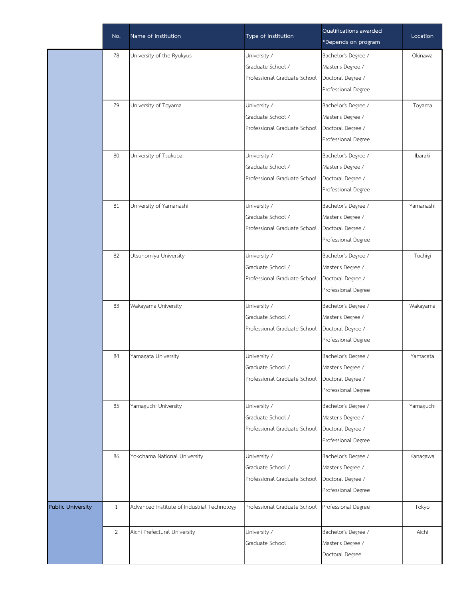|                          |              | Name of Institution                         |                              | Qualifications awarded | Location  |
|--------------------------|--------------|---------------------------------------------|------------------------------|------------------------|-----------|
|                          | No.          |                                             | Type of Institution          | *Depends on program    |           |
|                          | 78           | University of the Ryukyus                   | University /                 | Bachelor's Degree /    | Okinawa   |
|                          |              |                                             | Graduate School /            | Master's Degree /      |           |
|                          |              |                                             | Professional Graduate School | Doctoral Degree /      |           |
|                          |              |                                             |                              | Professional Degree    |           |
|                          | 79           | University of Toyama                        | University /                 | Bachelor's Degree /    | Toyama    |
|                          |              |                                             | Graduate School /            | Master's Degree /      |           |
|                          |              |                                             | Professional Graduate School | Doctoral Degree /      |           |
|                          |              |                                             |                              | Professional Degree    |           |
|                          | 80           | University of Tsukuba                       | University /                 | Bachelor's Degree /    | Ibaraki   |
|                          |              |                                             | Graduate School /            | Master's Degree /      |           |
|                          |              |                                             | Professional Graduate School | Doctoral Degree /      |           |
|                          |              |                                             |                              | Professional Degree    |           |
|                          | 81           | University of Yamanashi                     | University /                 | Bachelor's Degree /    | Yamanashi |
|                          |              |                                             | Graduate School /            | Master's Degree /      |           |
|                          |              |                                             | Professional Graduate School | Doctoral Degree /      |           |
|                          |              |                                             |                              | Professional Degree    |           |
|                          | 82           | Utsunomiya University                       | University /                 | Bachelor's Degree /    | Tochigi   |
|                          |              |                                             | Graduate School /            | Master's Degree /      |           |
|                          |              |                                             | Professional Graduate School | Doctoral Degree /      |           |
|                          |              |                                             |                              | Professional Degree    |           |
|                          | 83           | Wakayama University                         | University /                 | Bachelor's Degree /    | Wakayama  |
|                          |              |                                             | Graduate School /            | Master's Degree /      |           |
|                          |              |                                             | Professional Graduate School | Doctoral Degree /      |           |
|                          |              |                                             |                              | Professional Degree    |           |
|                          | 84           | Yamagata University                         | University /                 | Bachelor's Degree /    | Yamagata  |
|                          |              |                                             | Graduate School /            | Master's Degree /      |           |
|                          |              |                                             | Professional Graduate School | Doctoral Degree /      |           |
|                          |              |                                             |                              | Professional Degree    |           |
|                          | 85           | Yamaguchi University                        | University /                 | Bachelor's Degree /    | Yamaguchi |
|                          |              |                                             | Graduate School /            | Master's Degree /      |           |
|                          |              |                                             | Professional Graduate School | Doctoral Degree /      |           |
|                          |              |                                             |                              | Professional Degree    |           |
|                          | 86           | Yokohama National University                | University /                 | Bachelor's Degree /    | Kanagawa  |
|                          |              |                                             | Graduate School /            | Master's Degree /      |           |
|                          |              |                                             | Professional Graduate School | Doctoral Degree /      |           |
|                          |              |                                             |                              | Professional Degree    |           |
| <b>Public University</b> | $\mathbf{1}$ | Advanced Institute of Industrial Technology | Professional Graduate School | Professional Degree    | Tokyo     |
|                          | 2            | Aichi Prefectural University                | University /                 | Bachelor's Degree /    | Aichi     |
|                          |              |                                             | Graduate School              | Master's Degree /      |           |
|                          |              |                                             |                              | Doctoral Degree        |           |
|                          |              |                                             |                              |                        |           |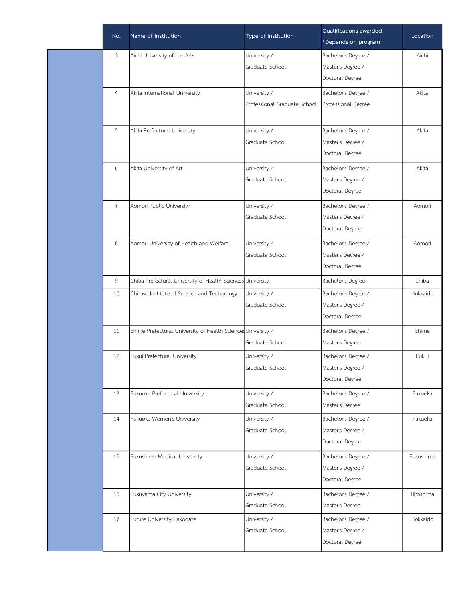| No.            | Name of Institution                                          | Type of Institution          | Qualifications awarded<br>*Depends on program | Location  |
|----------------|--------------------------------------------------------------|------------------------------|-----------------------------------------------|-----------|
| $\mathfrak{Z}$ | Aichi University of the Arts                                 | University /                 | Bachelor's Degree /                           | Aichi     |
|                |                                                              | Graduate School              | Master's Degree /                             |           |
|                |                                                              |                              | Doctoral Degree                               |           |
| $\overline{4}$ | Akita International University                               | University /                 | Bachelor's Degree /                           | Akita     |
|                |                                                              | Professional Graduate School | Professional Degree                           |           |
|                |                                                              |                              |                                               |           |
| 5              | Akita Prefectural University                                 | University /                 | Bachelor's Degree /                           | Akita     |
|                |                                                              | Graduate School              | Master's Degree /                             |           |
|                |                                                              |                              | Doctoral Degree                               |           |
| 6              | Akita University of Art                                      | University /                 | Bachelor's Degree /                           | Akita     |
|                |                                                              | Graduate School              | Master's Degree /                             |           |
|                |                                                              |                              | Doctoral Degree                               |           |
| $\overline{7}$ | Aomori Public University                                     | University /                 | Bachelor's Degree /                           | Aomori    |
|                |                                                              | Graduate School              | Master's Degree /                             |           |
|                |                                                              |                              | Doctoral Degree                               |           |
| 8              | Aomori University of Health and Welfare                      | University /                 | Bachelor's Degree /                           | Aomori    |
|                |                                                              | Graduate School              | Master's Degree /                             |           |
|                |                                                              |                              | Doctoral Degree                               |           |
| 9              | Chiba Prefectural University of Health Sciences University   |                              | Bachelor's Degree                             | Chiba     |
| 10             | Chitose Institute of Science and Technology                  | University /                 | Bachelor's Degree /                           | Hokkaido  |
|                |                                                              | Graduate School              | Master's Degree /                             |           |
|                |                                                              |                              | Doctoral Degree                               |           |
| 11             | Ehime Prefectural University of Health Sciences University / |                              | Bachelor's Degree /                           | Ehime     |
|                |                                                              | Graduate School              | Master's Degree                               |           |
| 12             | Fukui Prefectural University                                 | University /                 | Bachelor's Degree /                           | Fukui     |
|                |                                                              | Graduate School              | Master's Degree /                             |           |
|                |                                                              |                              | Doctoral Degree                               |           |
| 13             | Fukuoka Prefectural University                               | University /                 | Bachelor's Degree /                           | Fukuoka   |
|                |                                                              | Graduate School              | Master's Degree                               |           |
| 14             | Fukuoka Women's University                                   | University /                 | Bachelor's Degree /                           | Fukuoka   |
|                |                                                              | Graduate School              | Master's Degree /                             |           |
|                |                                                              |                              | Doctoral Degree                               |           |
| 15             | Fukushima Medical University                                 | University /                 | Bachelor's Degree /                           | Fukushima |
|                |                                                              | Graduate School              | Master's Degree /                             |           |
|                |                                                              |                              | Doctoral Degree                               |           |
| 16             | Fukuyama City University                                     | University /                 | Bachelor's Degree /                           | Hiroshima |
|                |                                                              | Graduate School              | Master's Degree                               |           |
| 17             | Future University Hakodate                                   | University /                 | Bachelor's Degree /                           | Hokkaido  |
|                |                                                              | Graduate School              | Master's Degree /                             |           |
|                |                                                              |                              | Doctoral Degree                               |           |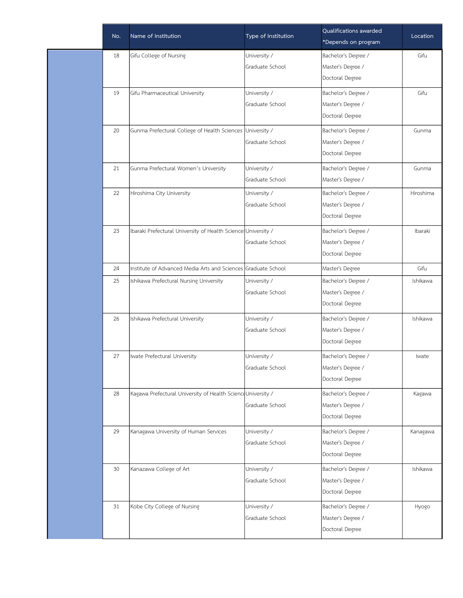| No. | Name of Institution                                           | Type of Institution | Qualifications awarded<br>*Depends on program | Location  |
|-----|---------------------------------------------------------------|---------------------|-----------------------------------------------|-----------|
| 18  | Gifu College of Nursing                                       | University /        | Bachelor's Degree /                           | Gifu      |
|     |                                                               | Graduate School     | Master's Degree /                             |           |
|     |                                                               |                     | Doctoral Degree                               |           |
| 19  | Gifu Pharmaceutical University                                | University /        | Bachelor's Degree /                           | Gifu      |
|     |                                                               | Graduate School     | Master's Degree /                             |           |
|     |                                                               |                     | Doctoral Degree                               |           |
| 20  | Gunma Prefectural College of Health Sciences University /     |                     | Bachelor's Degree /                           | Gunma     |
|     |                                                               | Graduate School     | Master's Degree /                             |           |
|     |                                                               |                     | Doctoral Degree                               |           |
| 21  | Gunma Prefectural Women's University                          | University /        | Bachelor's Degree /                           | Gunma     |
|     |                                                               | Graduate School     | Master's Degree /                             |           |
| 22  | Hiroshima City University                                     | University /        | Bachelor's Degree /                           | Hiroshima |
|     |                                                               | Graduate School     | Master's Degree /                             |           |
|     |                                                               |                     | Doctoral Degree                               |           |
| 23  | Ibaraki Prefectural University of Health Science University / |                     | Bachelor's Degree /                           | Ibaraki   |
|     |                                                               | Graduate School     | Master's Degree /                             |           |
|     |                                                               |                     | Doctoral Degree                               |           |
| 24  | Institute of Advanced Media Arts and Sciences Graduate School |                     | Master's Degree                               | Gifu      |
| 25  | Ishikawa Prefectural Nursing University                       | University /        | Bachelor's Degree /                           | Ishikawa  |
|     |                                                               | Graduate School     | Master's Degree /                             |           |
|     |                                                               |                     | Doctoral Degree                               |           |
| 26  | Ishikawa Prefectural University                               | University /        | Bachelor's Degree /                           | Ishikawa  |
|     |                                                               | Graduate School     | Master's Degree /                             |           |
|     |                                                               |                     | Doctoral Degree                               |           |
| 27  | Iwate Prefectural University                                  | University /        | Bachelor's Degree /                           | Iwate     |
|     |                                                               | Graduate School     | Master's Degree /                             |           |
|     |                                                               |                     | Doctoral Degree                               |           |
| 28  | Kagawa Prefectural University of Health Science University /  |                     | Bachelor's Degree /                           | Kagawa    |
|     |                                                               | Graduate School     | Master's Degree /                             |           |
|     |                                                               |                     | Doctoral Degree                               |           |
| 29  | Kanagawa University of Human Services                         | University /        | Bachelor's Degree /                           | Kanagawa  |
|     |                                                               | Graduate School     | Master's Degree /                             |           |
|     |                                                               |                     | Doctoral Degree                               |           |
| 30  | Kanazawa College of Art                                       | University /        | Bachelor's Degree /                           | Ishikawa  |
|     |                                                               | Graduate School     | Master's Degree /                             |           |
|     |                                                               |                     | Doctoral Degree                               |           |
| 31  | Kobe City College of Nursing                                  | University /        | Bachelor's Degree /                           | Hyogo     |
|     |                                                               | Graduate School     | Master's Degree /                             |           |
|     |                                                               |                     | Doctoral Degree                               |           |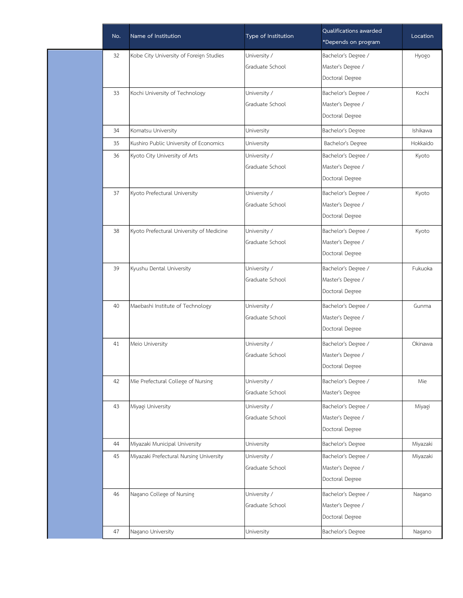| No. | Name of Institution                      | Type of Institution | Qualifications awarded<br>*Depends on program | Location |
|-----|------------------------------------------|---------------------|-----------------------------------------------|----------|
| 32  | Kobe City University of Foreign Studies  | University /        | Bachelor's Degree /                           | Hyogo    |
|     |                                          | Graduate School     | Master's Degree /                             |          |
|     |                                          |                     | Doctoral Degree                               |          |
| 33  | Kochi University of Technology           | University /        | Bachelor's Degree /                           | Kochi    |
|     |                                          | Graduate School     | Master's Degree /                             |          |
|     |                                          |                     | Doctoral Degree                               |          |
| 34  | Komatsu University                       | University          | Bachelor's Degree                             | Ishikawa |
| 35  | Kushiro Public University of Economics   | University          | Bachelor's Degree                             | Hokkaido |
| 36  | Kyoto City University of Arts            | University /        | Bachelor's Degree /                           | Kyoto    |
|     |                                          | Graduate School     | Master's Degree /                             |          |
|     |                                          |                     | Doctoral Degree                               |          |
| 37  | Kyoto Prefectural University             | University /        | Bachelor's Degree /                           | Kyoto    |
|     |                                          | Graduate School     | Master's Degree /                             |          |
|     |                                          |                     | Doctoral Degree                               |          |
| 38  | Kyoto Prefectural University of Medicine | University /        | Bachelor's Degree /                           | Kyoto    |
|     |                                          | Graduate School     | Master's Degree /                             |          |
|     |                                          |                     | Doctoral Degree                               |          |
| 39  | Kyushu Dental University                 | University /        | Bachelor's Degree /                           | Fukuoka  |
|     |                                          | Graduate School     | Master's Degree /                             |          |
|     |                                          |                     | Doctoral Degree                               |          |
| 40  | Maebashi Institute of Technology         | University /        | Bachelor's Degree /                           | Gunma    |
|     |                                          | Graduate School     | Master's Degree /                             |          |
|     |                                          |                     | Doctoral Degree                               |          |
| 41  | Meio University                          | University /        | Bachelor's Degree /                           | Okinawa  |
|     |                                          | Graduate School     | Master's Degree /                             |          |
|     |                                          |                     | Doctoral Degree                               |          |
| 42  | Mie Prefectural College of Nursing       | University /        | Bachelor's Degree /                           | Mie      |
|     |                                          | Graduate School     | Master's Degree                               |          |
| 43  | Miyagi University                        | University /        | Bachelor's Degree /                           | Miyagi   |
|     |                                          | Graduate School     | Master's Degree /                             |          |
|     |                                          |                     | Doctoral Degree                               |          |
| 44  | Miyazaki Municipal University            | University          | Bachelor's Degree                             | Miyazaki |
| 45  | Miyazaki Prefectural Nursing University  | University /        | Bachelor's Degree /                           | Miyazaki |
|     |                                          | Graduate School     | Master's Degree /                             |          |
|     |                                          |                     | Doctoral Degree                               |          |
| 46  | Nagano College of Nursing                | University /        | Bachelor's Degree /                           | Nagano   |
|     |                                          | Graduate School     | Master's Degree /                             |          |
|     |                                          |                     | Doctoral Degree                               |          |
| 47  | Nagano University                        | University          | Bachelor's Degree                             | Nagano   |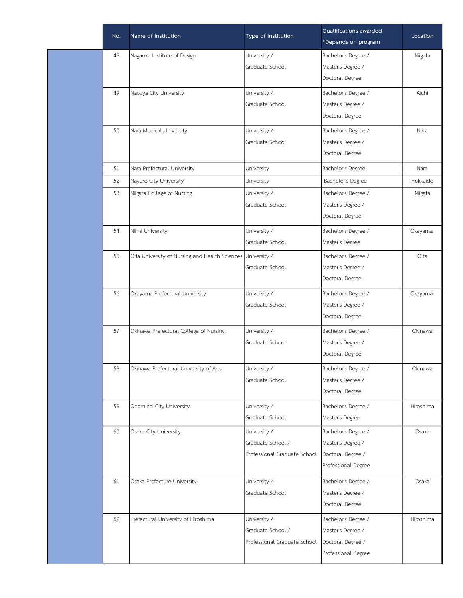| No. | Name of Institution                                         | Type of Institution          | Qualifications awarded<br>*Depends on program | Location  |
|-----|-------------------------------------------------------------|------------------------------|-----------------------------------------------|-----------|
| 48  | Nagaoka Institute of Design                                 | University /                 | Bachelor's Degree /                           | Niigata   |
|     |                                                             | Graduate School              | Master's Degree /                             |           |
|     |                                                             |                              | Doctoral Degree                               |           |
| 49  | Nagoya City University                                      | University /                 | Bachelor's Degree /                           | Aichi     |
|     |                                                             | Graduate School              | Master's Degree /                             |           |
|     |                                                             |                              | Doctoral Degree                               |           |
| 50  | Nara Medical University                                     | University /                 | Bachelor's Degree /                           | Nara      |
|     |                                                             | Graduate School              | Master's Degree /                             |           |
|     |                                                             |                              | Doctoral Degree                               |           |
| 51  | Nara Prefectural University                                 | University                   | Bachelor's Degree                             | Nara      |
| 52  | Nayoro City University                                      | University                   | Bachelor's Degree                             | Hokkaido  |
| 53  | Niigata College of Nursing                                  | University /                 | Bachelor's Degree /                           | Niigata   |
|     |                                                             | Graduate School              | Master's Degree /                             |           |
|     |                                                             |                              | Doctoral Degree                               |           |
| 54  | Niimi University                                            | University /                 | Bachelor's Degree /                           | Okayama   |
|     |                                                             | Graduate School              | Master's Degree                               |           |
| 55  | Oita University of Nursing and Health Sciences University / |                              | Bachelor's Degree /                           | Oita      |
|     |                                                             | Graduate School              | Master's Degree /                             |           |
|     |                                                             |                              | Doctoral Degree                               |           |
| 56  | Okayama Prefectural University                              | University /                 | Bachelor's Degree /                           | Okayama   |
|     |                                                             | Graduate School              | Master's Degree /                             |           |
|     |                                                             |                              | Doctoral Degree                               |           |
| 57  | Okinawa Prefectural College of Nursing                      | University /                 | Bachelor's Degree /                           | Okinawa   |
|     |                                                             | Graduate School              | Master's Degree /                             |           |
|     |                                                             |                              | Doctoral Degree                               |           |
| 58  | Okinawa Prefectural University of Arts                      | University /                 | Bachelor's Degree /                           | Okinawa   |
|     |                                                             | Graduate School              | Master's Degree /                             |           |
|     |                                                             |                              | Doctoral Degree                               |           |
| 59  | Onomichi City University                                    | University /                 | Bachelor's Degree /                           | Hiroshima |
|     |                                                             | Graduate School              | Master's Degree                               |           |
| 60  | Osaka City University                                       | University /                 | Bachelor's Degree /                           | Osaka     |
|     |                                                             | Graduate School /            | Master's Degree /                             |           |
|     |                                                             | Professional Graduate School | Doctoral Degree /                             |           |
|     |                                                             |                              | Professional Degree                           |           |
| 61  | Osaka Prefecture University                                 | University /                 | Bachelor's Degree /                           | Osaka     |
|     |                                                             | Graduate School              | Master's Degree /                             |           |
|     |                                                             |                              | Doctoral Degree                               |           |
| 62  | Prefectural University of Hiroshima                         | University /                 | Bachelor's Degree /                           | Hiroshima |
|     |                                                             | Graduate School /            | Master's Degree /                             |           |
|     |                                                             | Professional Graduate School | Doctoral Degree /                             |           |
|     |                                                             |                              | Professional Degree                           |           |
|     |                                                             |                              |                                               |           |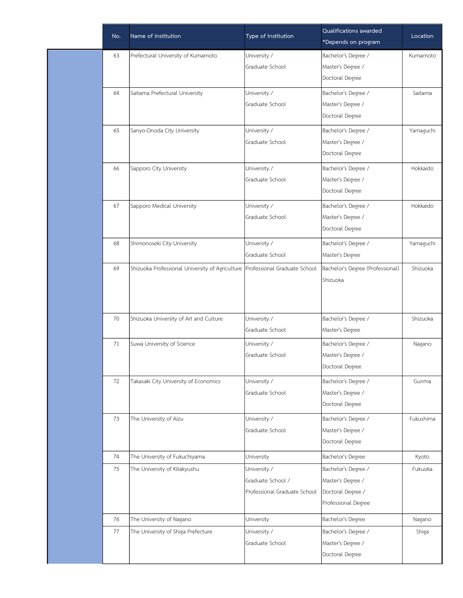| No. | Name of Institution                                                          | Type of Institution          | Qualifications awarded<br>*Depends on program | Location  |
|-----|------------------------------------------------------------------------------|------------------------------|-----------------------------------------------|-----------|
| 63  | Prefectural University of Kumamoto                                           | University /                 | Bachelor's Degree /                           | Kumamoto  |
|     |                                                                              | Graduate School              | Master's Degree /                             |           |
|     |                                                                              |                              | Doctoral Degree                               |           |
| 64  | Saitama Prefectural University                                               | University /                 | Bachelor's Degree /                           | Saitama   |
|     |                                                                              | Graduate School              | Master's Degree /                             |           |
|     |                                                                              |                              | Doctoral Degree                               |           |
| 65  | Sanyo-Onoda City University                                                  | University /                 | Bachelor's Degree /                           | Yamaguchi |
|     |                                                                              | Graduate School              | Master's Degree /                             |           |
|     |                                                                              |                              | Doctoral Degree                               |           |
| 66  | Sapporo City University                                                      | University /                 | Bachelor's Degree /                           | Hokkaido  |
|     |                                                                              | Graduate School              | Master's Degree /                             |           |
|     |                                                                              |                              | Doctoral Degree                               |           |
| 67  | Sapporo Medical University                                                   | University /                 | Bachelor's Degree /                           | Hokkaido  |
|     |                                                                              | Graduate School              | Master's Degree /                             |           |
|     |                                                                              |                              | Doctoral Degree                               |           |
| 68  | Shimonoseki City University                                                  | University /                 | Bachelor's Degree /                           | Yamaguchi |
|     |                                                                              | Graduate School              | Master's Degree                               |           |
| 69  | Shizuoka Professional University of Agriculture Professional Graduate School |                              | Bachelor's Degree (Professional)              | Shizuoka  |
|     |                                                                              |                              | Shizuoka                                      |           |
|     |                                                                              |                              |                                               |           |
| 70  | Shizuoka University of Art and Culture                                       | University /                 | Bachelor's Degree /                           | Shizuoka  |
|     |                                                                              | Graduate School              | Master's Degree                               |           |
| 71  | Suwa University of Science                                                   | University /                 | Bachelor's Degree /                           | Nagano    |
|     |                                                                              | Graduate School              | Master's Degree /                             |           |
|     |                                                                              |                              | Doctoral Degree                               |           |
| 72  | Takasaki City University of Economics                                        | University /                 | Bachelor's Degree /                           | Gunma     |
|     |                                                                              | Graduate School              | Master's Degree /                             |           |
|     |                                                                              |                              | Doctoral Degree                               |           |
| 73  | The University of Aizu                                                       | University /                 | Bachelor's Degree /                           | Fukushima |
|     |                                                                              | Graduate School              | Master's Degree /                             |           |
|     |                                                                              |                              | Doctoral Degree                               |           |
| 74  | The University of Fukuchiyama                                                | University                   | Bachelor's Degree                             | Kyoto     |
| 75  | The University of Kitakyushu                                                 | University /                 | Bachelor's Degree /                           | Fukuoka   |
|     |                                                                              | Graduate School /            | Master's Degree /                             |           |
|     |                                                                              | Professional Graduate School | Doctoral Degree /                             |           |
|     |                                                                              |                              | Professional Degree                           |           |
| 76  | The University of Nagano                                                     | University                   | Bachelor's Degree                             | Nagano    |
| 77  | The University of Shiga Prefecture                                           | University /                 | Bachelor's Degree /                           | Shiga     |
|     |                                                                              | Graduate School              | Master's Degree /                             |           |
|     |                                                                              |                              | Doctoral Degree                               |           |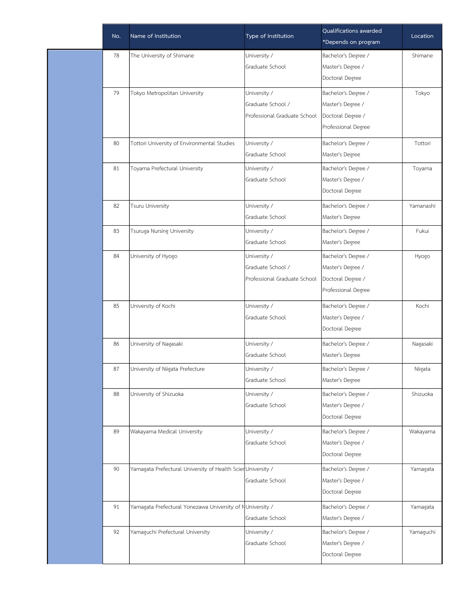| No. | Name of Institution                                         | Type of Institution          | Qualifications awarded<br>*Depends on program | Location  |
|-----|-------------------------------------------------------------|------------------------------|-----------------------------------------------|-----------|
| 78  | The University of Shimane                                   | University /                 | Bachelor's Degree /                           | Shimane   |
|     |                                                             | Graduate School              | Master's Degree /                             |           |
|     |                                                             |                              | Doctoral Degree                               |           |
| 79  | Tokyo Metropolitan University                               | University /                 | Bachelor's Degree /                           | Tokyo     |
|     |                                                             | Graduate School /            | Master's Degree /                             |           |
|     |                                                             | Professional Graduate School | Doctoral Degree /                             |           |
|     |                                                             |                              | Professional Degree                           |           |
| 80  | Tottori University of Environmental Studies                 | University /                 | Bachelor's Degree /                           | Tottori   |
|     |                                                             | Graduate School              | Master's Degree                               |           |
| 81  | Toyama Prefectural University                               | University /                 | Bachelor's Degree /                           | Toyama    |
|     |                                                             | Graduate School              | Master's Degree /                             |           |
|     |                                                             |                              | Doctoral Degree                               |           |
| 82  | Tsuru University                                            | University /                 | Bachelor's Degree /                           | Yamanashi |
|     |                                                             | Graduate School              | Master's Degree                               |           |
| 83  | Tsuruga Nursing University                                  | University /                 | Bachelor's Degree /                           | Fukui     |
|     |                                                             | Graduate School              | Master's Degree                               |           |
| 84  | University of Hyogo                                         | University /                 | Bachelor's Degree /                           | Hyogo     |
|     |                                                             | Graduate School /            | Master's Degree /                             |           |
|     |                                                             | Professional Graduate School | Doctoral Degree /                             |           |
|     |                                                             |                              | Professional Degree                           |           |
| 85  | University of Kochi                                         | University /                 | Bachelor's Degree /                           | Kochi     |
|     |                                                             | Graduate School              | Master's Degree /                             |           |
|     |                                                             |                              | Doctoral Degree                               |           |
| 86  | University of Nagasaki                                      | University /                 | Bachelor's Degree /                           | Nagasaki  |
|     |                                                             | Graduate School              | Master's Degree                               |           |
| 87  | University of Niigata Prefecture                            | University /                 | Bachelor's Degree /                           | Niigata   |
|     |                                                             | Graduate School              | Master's Degree                               |           |
| 88  | University of Shizuoka                                      | University /                 | Bachelor's Degree /                           | Shizuoka  |
|     |                                                             | Graduate School              | Master's Degree /                             |           |
|     |                                                             |                              | Doctoral Degree                               |           |
| 89  | Wakayama Medical University                                 | University /                 | Bachelor's Degree /                           | Wakayama  |
|     |                                                             | Graduate School              | Master's Degree /                             |           |
|     |                                                             |                              | Doctoral Degree                               |           |
| 90  | Yamagata Prefectural University of Health ScierUniversity / |                              | Bachelor's Degree /                           | Yamagata  |
|     |                                                             | Graduate School              | Master's Degree /                             |           |
|     |                                                             |                              | Doctoral Degree                               |           |
| 91  | Yamagata Prefectural Yonezawa University of NUniversity /   |                              | Bachelor's Degree /                           | Yamagata  |
|     |                                                             | Graduate School              | Master's Degree /                             |           |
| 92  | Yamaguchi Prefectural University                            | University /                 | Bachelor's Degree /                           | Yamaguchi |
|     |                                                             | Graduate School              | Master's Degree /                             |           |
|     |                                                             |                              | Doctoral Degree                               |           |
|     |                                                             |                              |                                               |           |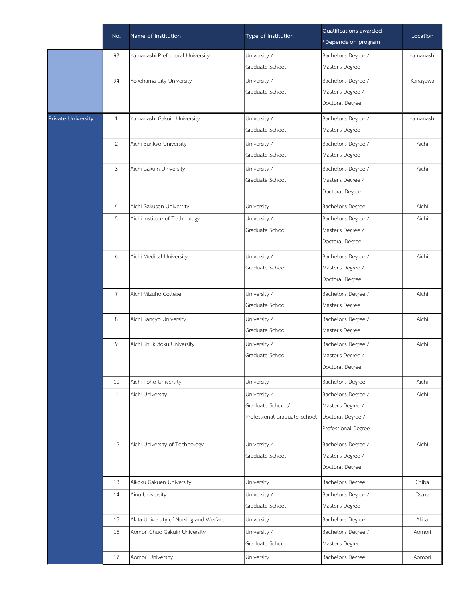|                           | No.            | Name of Institution                     | Type of Institution          | Qualifications awarded<br>*Depends on program | Location  |
|---------------------------|----------------|-----------------------------------------|------------------------------|-----------------------------------------------|-----------|
|                           | 93             | Yamanashi Prefectural University        | University /                 | Bachelor's Degree /                           | Yamanashi |
|                           |                |                                         | Graduate School              | Master's Degree                               |           |
|                           | 94             | Yokohama City University                | University /                 | Bachelor's Degree /                           | Kanagawa  |
|                           |                |                                         | Graduate School              | Master's Degree /                             |           |
|                           |                |                                         |                              | Doctoral Degree                               |           |
| <b>Private University</b> | 1              | Yamanashi Gakuin University             | University /                 | Bachelor's Degree /                           | Yamanashi |
|                           |                |                                         | Graduate School              | Master's Degree                               |           |
|                           | $\overline{2}$ | Aichi Bunkyo University                 | University /                 | Bachelor's Degree /                           | Aichi     |
|                           |                |                                         | Graduate School              | Master's Degree                               |           |
|                           | $\mathbf{3}$   | Aichi Gakuin University                 | University /                 | Bachelor's Degree /                           | Aichi     |
|                           |                |                                         | Graduate School              | Master's Degree /                             |           |
|                           |                |                                         |                              | Doctoral Degree                               |           |
|                           | $\overline{a}$ | Aichi Gakusen University                | University                   | Bachelor's Degree                             | Aichi     |
|                           | 5              | Aichi Institute of Technology           | University /                 | Bachelor's Degree /                           | Aichi     |
|                           |                |                                         | Graduate School              | Master's Degree /                             |           |
|                           |                |                                         |                              | Doctoral Degree                               |           |
|                           | 6              | Aichi Medical University                | University /                 | Bachelor's Degree /                           | Aichi     |
|                           |                |                                         | Graduate School              | Master's Degree /                             |           |
|                           |                |                                         |                              | Doctoral Degree                               |           |
|                           | $\overline{7}$ | Aichi Mizuho College                    | University /                 | Bachelor's Degree /                           | Aichi     |
|                           |                |                                         | Graduate School              | Master's Degree                               |           |
|                           | 8              | Aichi Sangyo University                 | University /                 | Bachelor's Degree /                           | Aichi     |
|                           |                |                                         | Graduate School              | Master's Degree                               |           |
|                           | 9              | Aichi Shukutoku University              | University /                 | Bachelor's Degree /                           | Aichi     |
|                           |                |                                         | Graduate School              | Master's Degree /                             |           |
|                           |                |                                         |                              | Doctoral Degree                               |           |
|                           | 10             | Aichi Toho University                   | University                   | Bachelor's Degree                             | Aichi     |
|                           | 11             | Aichi University                        | University /                 | Bachelor's Degree /                           | Aichi     |
|                           |                |                                         | Graduate School /            | Master's Degree /                             |           |
|                           |                |                                         | Professional Graduate School | Doctoral Degree /                             |           |
|                           |                |                                         |                              | Professional Degree                           |           |
|                           | 12             | Aichi University of Technology          | University /                 | Bachelor's Degree /                           | Aichi     |
|                           |                |                                         | Graduate School              | Master's Degree /                             |           |
|                           |                |                                         |                              | Doctoral Degree                               |           |
|                           | 13             | Aikoku Gakuen University                | University                   | Bachelor's Degree                             | Chiba     |
|                           | 14             | Aino University                         | University /                 | Bachelor's Degree /                           | Osaka     |
|                           |                |                                         | Graduate School              | Master's Degree                               |           |
|                           | 15             | Akita University of Nursing and Welfare | University                   | Bachelor's Degree                             | Akita     |
|                           | 16             | Aomori Chuo Gakuin University           | University /                 | Bachelor's Degree /                           | Aomori    |
|                           |                |                                         | Graduate School              | Master's Degree                               |           |
|                           | 17             | Aomori University                       | University                   | Bachelor's Degree                             | Aomori    |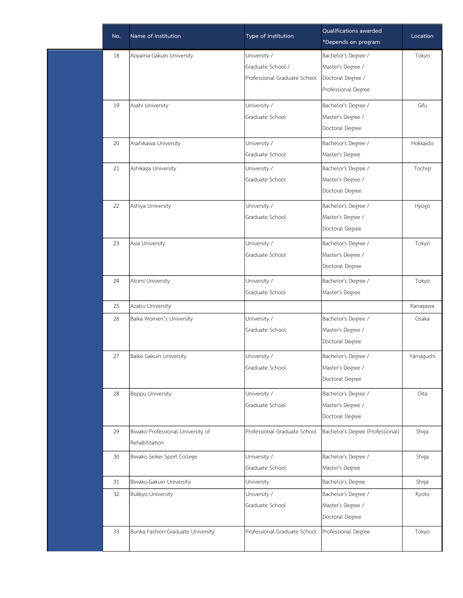| No. | Name of Institution               | Type of Institution          | Qualifications awarded<br>*Depends on program | Location  |
|-----|-----------------------------------|------------------------------|-----------------------------------------------|-----------|
| 18  | Aoyama Gakuin University          | University /                 | Bachelor's Degree /                           | Tokyo     |
|     |                                   | Graduate School /            | Master's Degree /                             |           |
|     |                                   | Professional Graduate School | Doctoral Degree /                             |           |
|     |                                   |                              | Professional Degree                           |           |
| 19  | Asahi University                  | University /                 | Bachelor's Degree /                           | Gifu      |
|     |                                   | Graduate School              | Master's Degree /                             |           |
|     |                                   |                              | Doctoral Degree                               |           |
| 20  | Asahikawa University              | University /                 | Bachelor's Degree /                           | Hokkaido  |
|     |                                   | Graduate School              | Master's Degree                               |           |
| 21  | Ashikaga University               | University /                 | Bachelor's Degree /                           | Tochigi   |
|     |                                   | Graduate School              | Master's Degree /                             |           |
|     |                                   |                              | Doctoral Degree                               |           |
| 22  | Ashiya University                 | University /                 | Bachelor's Degree /                           | Hyogo     |
|     |                                   | Graduate School              | Master's Degree /                             |           |
|     |                                   |                              | Doctoral Degree                               |           |
| 23  | Asia University                   | University /                 | Bachelor's Degree /                           | Tokyo     |
|     |                                   | Graduate School              | Master's Degree /                             |           |
|     |                                   |                              | Doctoral Degree                               |           |
| 24  | Atomi University                  | University /                 | Bachelor's Degree /                           | Tokyo     |
|     |                                   | Graduate School              | Master's Degree                               |           |
| 25  | Azabu University                  |                              |                                               | Kanagawa  |
| 26  | Baika Women's University          | University /                 | Bachelor's Degree /                           | Osaka     |
|     |                                   | Graduate School              | Master's Degree /                             |           |
|     |                                   |                              | Doctoral Degree                               |           |
| 27  | Baiko Gakuin University           | University /                 | Bachelor's Degree /                           | Yamaguchi |
|     |                                   | Graduate School              | Master's Degree /                             |           |
|     |                                   |                              | Doctoral Degree                               |           |
| 28  | Beppu University                  | University /                 | Bachelor's Degree /                           | Oita      |
|     |                                   | Graduate School              | Master's Degree /                             |           |
|     |                                   |                              | Doctoral Degree                               |           |
| 29  | Biwako Professional University of | Professional Graduate School | Bachelor's Degree (Professional)              | Shiga     |
|     | Rehabilitation                    |                              |                                               |           |
| 30  | Biwako Seikei Sport College       | University /                 | Bachelor's Degree /                           | Shiga     |
|     |                                   | Graduate School              | Master's Degree                               |           |
| 31  | Biwako-Gakuin University          | University                   | Bachelor's Degree                             | Shiga     |
| 32  | <b>Bukkyo University</b>          | University /                 | Bachelor's Degree /                           | Kyoto     |
|     |                                   | Graduate School              | Master's Degree /                             |           |
|     |                                   |                              | Doctoral Degree                               |           |
| 33  | Bunka Fashion Graduate University | Professional Graduate School | Professional Degree                           | Tokyo     |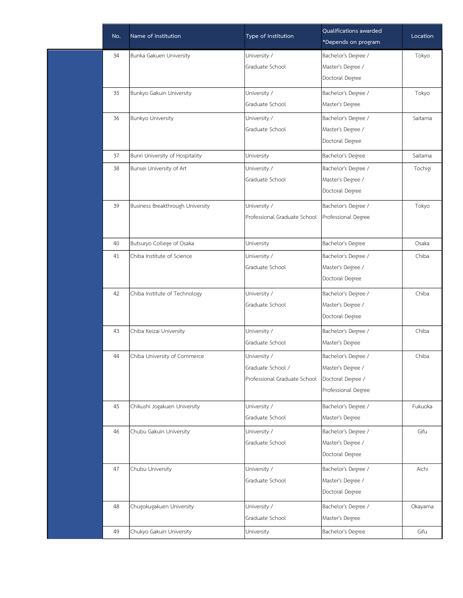| No. | Name of Institution              | Type of Institution          | Qualifications awarded<br>*Depends on program | Location |
|-----|----------------------------------|------------------------------|-----------------------------------------------|----------|
| 34  | Bunka Gakuen University          | University /                 | Bachelor's Degree /                           | Tokyo    |
|     |                                  | Graduate School              | Master's Degree /                             |          |
|     |                                  |                              | Doctoral Degree                               |          |
| 35  | Bunkyo Gakuin University         | University /                 | Bachelor's Degree /                           | Tokyo    |
|     |                                  | Graduate School              | Master's Degree                               |          |
| 36  | <b>Bunkyo University</b>         | University /                 | Bachelor's Degree /                           | Saitama  |
|     |                                  | Graduate School              | Master's Degree /                             |          |
|     |                                  |                              | Doctoral Degree                               |          |
| 37  | Bunri University of Hospitality  | University                   | Bachelor's Degree                             | Saitama  |
| 38  | Bunsei University of Art         | University /                 | Bachelor's Degree /                           | Tochigi  |
|     |                                  | Graduate School              | Master's Degree /                             |          |
|     |                                  |                              | Doctoral Degree                               |          |
| 39  | Business Breakthrough University | University /                 | Bachelor's Degree /                           | Tokyo    |
|     |                                  | Professional Graduate School | Professional Degree                           |          |
|     |                                  |                              |                                               |          |
| 40  | Butsuryo College of Osaka        | University                   | Bachelor's Degree                             | Osaka    |
| 41  | Chiba Institute of Science       | University /                 | Bachelor's Degree /                           | Chiba    |
|     |                                  | Graduate School              | Master's Degree /                             |          |
|     |                                  |                              | Doctoral Degree                               |          |
| 42  | Chiba Institute of Technology    | University /                 | Bachelor's Degree /                           | Chiba    |
|     |                                  | Graduate School              | Master's Degree /                             |          |
|     |                                  |                              | Doctoral Degree                               |          |
| 43  | Chiba Keizai University          | University /                 | Bachelor's Degree /                           | Chiba    |
|     |                                  | Graduate School              | Master's Degree                               |          |
| 44  | Chiba University of Commerce     | University /                 | Bachelor's Degree /                           | Chiba    |
|     |                                  | Graduate School /            | Master's Degree /                             |          |
|     |                                  | Professional Graduate School | Doctoral Degree /                             |          |
|     |                                  |                              | Professional Degree                           |          |
| 45  | Chikushi Jogakuen University     | University /                 | Bachelor's Degree /                           | Fukuoka  |
|     |                                  | Graduate School              | Master's Degree                               |          |
| 46  | Chubu Gakuin University          | University /                 | Bachelor's Degree /                           | Gifu     |
|     |                                  | Graduate School              | Master's Degree /                             |          |
|     |                                  |                              | Doctoral Degree                               |          |
| 47  | Chubu University                 | University /                 | Bachelor's Degree /                           | Aichi    |
|     |                                  | Graduate School              | Master's Degree /                             |          |
|     |                                  |                              | Doctoral Degree                               |          |
| 48  | Chugokugakuen University         | University /                 | Bachelor's Degree /                           | Okayama  |
|     |                                  | Graduate School              | Master's Degree                               |          |
| 49  | Chukyo Gakuin University         | University                   | Bachelor's Degree                             | Gifu     |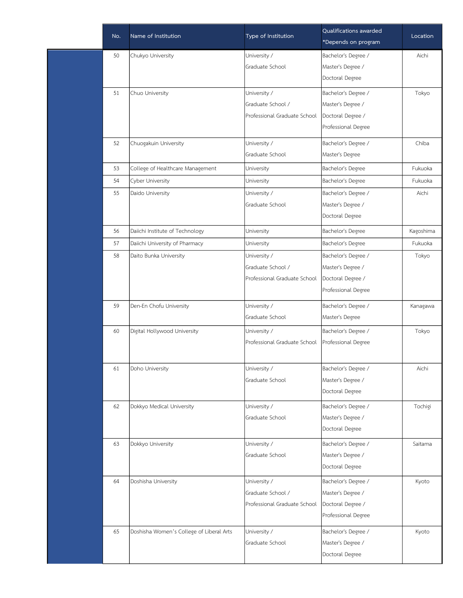| No. | Name of Institution                      | Type of Institution               | Qualifications awarded<br>*Depends on program | Location  |
|-----|------------------------------------------|-----------------------------------|-----------------------------------------------|-----------|
| 50  | Chukyo University                        | University /                      | Bachelor's Degree /                           | Aichi     |
|     |                                          | Graduate School                   | Master's Degree /                             |           |
|     |                                          |                                   | Doctoral Degree                               |           |
|     |                                          |                                   |                                               |           |
| 51  | Chuo University                          | University /<br>Graduate School / | Bachelor's Degree /                           | Tokyo     |
|     |                                          | Professional Graduate School      | Master's Degree /<br>Doctoral Degree /        |           |
|     |                                          |                                   | Professional Degree                           |           |
|     |                                          |                                   |                                               |           |
| 52  | Chuogakuin University                    | University /                      | Bachelor's Degree /                           | Chiba     |
|     |                                          | Graduate School                   | Master's Degree                               |           |
| 53  | College of Healthcare Management         | University                        | Bachelor's Degree                             | Fukuoka   |
| 54  | Cyber University                         | University                        | Bachelor's Degree                             | Fukuoka   |
| 55  | Daido University                         | University /                      | Bachelor's Degree /                           | Aichi     |
|     |                                          | Graduate School                   | Master's Degree /                             |           |
|     |                                          |                                   | Doctoral Degree                               |           |
| 56  | Daiichi Institute of Technology          | University                        | Bachelor's Degree                             | Kagoshima |
| 57  | Daiichi University of Pharmacy           | University                        | Bachelor's Degree                             | Fukuoka   |
| 58  | Daito Bunka University                   | University /                      | Bachelor's Degree /                           | Tokyo     |
|     |                                          | Graduate School /                 | Master's Degree /                             |           |
|     |                                          | Professional Graduate School      | Doctoral Degree /                             |           |
|     |                                          |                                   | Professional Degree                           |           |
| 59  | Den-En Chofu University                  | University /                      | Bachelor's Degree /                           | Kanagawa  |
|     |                                          | Graduate School                   | Master's Degree                               |           |
| 60  | Digital Hollywood University             | University /                      | Bachelor's Degree /                           | Tokyo     |
|     |                                          | Professional Graduate School      | Professional Degree                           |           |
|     |                                          |                                   |                                               |           |
| 61  | Doho University                          | University /                      | Bachelor's Degree /                           | Aichi     |
|     |                                          | Graduate School                   | Master's Degree /                             |           |
|     |                                          |                                   | Doctoral Degree                               |           |
| 62  | Dokkyo Medical University                | University /                      | Bachelor's Degree /                           | Tochigi   |
|     |                                          | Graduate School                   | Master's Degree /                             |           |
|     |                                          |                                   | Doctoral Degree                               |           |
| 63  | Dokkyo University                        | University /                      | Bachelor's Degree /                           | Saitama   |
|     |                                          | Graduate School                   | Master's Degree /                             |           |
|     |                                          |                                   | Doctoral Degree                               |           |
| 64  | Doshisha University                      | University /                      | Bachelor's Degree /                           | Kyoto     |
|     |                                          | Graduate School /                 | Master's Degree /                             |           |
|     |                                          | Professional Graduate School      | Doctoral Degree /                             |           |
|     |                                          |                                   | Professional Degree                           |           |
|     |                                          |                                   |                                               |           |
| 65  | Doshisha Women's College of Liberal Arts | University /                      | Bachelor's Degree /                           | Kyoto     |
|     |                                          | Graduate School                   | Master's Degree /                             |           |
|     |                                          |                                   | Doctoral Degree                               |           |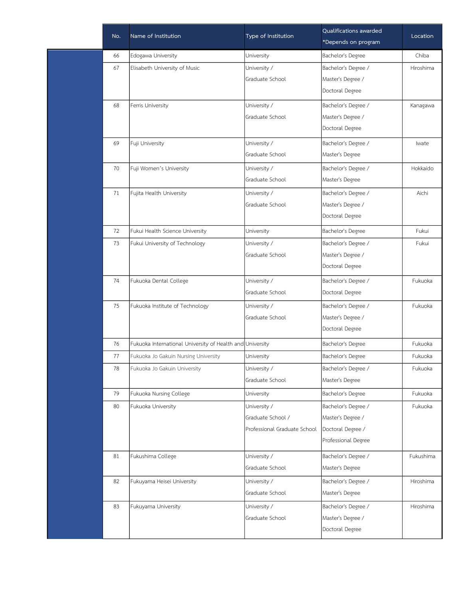| No. | Name of Institution                                       | Type of Institution          | Qualifications awarded<br>*Depends on program | Location  |
|-----|-----------------------------------------------------------|------------------------------|-----------------------------------------------|-----------|
| 66  | Edogawa University                                        | University                   | Bachelor's Degree                             | Chiba     |
| 67  | Elisabeth University of Music                             | University /                 | Bachelor's Degree /                           | Hiroshima |
|     |                                                           | Graduate School              | Master's Degree /                             |           |
|     |                                                           |                              | Doctoral Degree                               |           |
| 68  | Ferris University                                         | University /                 | Bachelor's Degree /                           | Kanagawa  |
|     |                                                           | Graduate School              | Master's Degree /                             |           |
|     |                                                           |                              | Doctoral Degree                               |           |
| 69  | Fuji University                                           | University /                 | Bachelor's Degree /                           | Iwate     |
|     |                                                           | Graduate School              | Master's Degree                               |           |
| 70  | Fuji Women's University                                   | University /                 | Bachelor's Degree /                           | Hokkaido  |
|     |                                                           | Graduate School              | Master's Degree                               |           |
| 71  | Fujita Health University                                  | University /                 | Bachelor's Degree /                           | Aichi     |
|     |                                                           | Graduate School              | Master's Degree /                             |           |
|     |                                                           |                              | Doctoral Degree                               |           |
| 72  | Fukui Health Science University                           | University                   | Bachelor's Degree                             | Fukui     |
| 73  | Fukui University of Technology                            | University /                 | Bachelor's Degree /                           | Fukui     |
|     |                                                           | Graduate School              | Master's Degree /                             |           |
|     |                                                           |                              | Doctoral Degree                               |           |
| 74  | Fukuoka Dental College                                    | University /                 | Bachelor's Degree /                           | Fukuoka   |
|     |                                                           | Graduate School              | Doctoral Degree                               |           |
| 75  | Fukuoka Institute of Technology                           | University /                 | Bachelor's Degree /                           | Fukuoka   |
|     |                                                           | Graduate School              | Master's Degree /                             |           |
|     |                                                           |                              | Doctoral Degree                               |           |
| 76  | Fukuoka International University of Health and University |                              | Bachelor's Degree                             | Fukuoka   |
| 77  | Fukuoka Jo Gakuin Nursing University                      | University                   | Bachelor's Degree                             | Fukuoka   |
| 78  | Fukuoka Jo Gakuin University                              | University /                 | Bachelor's Degree /                           | Fukuoka   |
|     |                                                           | Graduate School              | Master's Degree                               |           |
| 79  | Fukuoka Nursing College                                   | University                   | Bachelor's Degree                             | Fukuoka   |
| 80  | Fukuoka University                                        | University /                 | Bachelor's Degree /                           | Fukuoka   |
|     |                                                           | Graduate School /            | Master's Degree /                             |           |
|     |                                                           | Professional Graduate School | Doctoral Degree /                             |           |
|     |                                                           |                              | Professional Degree                           |           |
| 81  | Fukushima College                                         | University /                 | Bachelor's Degree /                           | Fukushima |
|     |                                                           | Graduate School              | Master's Degree                               |           |
| 82  | Fukuyama Heisei University                                | University /                 | Bachelor's Degree /                           | Hiroshima |
|     |                                                           | Graduate School              | Master's Degree                               |           |
| 83  | Fukuyama University                                       | University /                 | Bachelor's Degree /                           | Hiroshima |
|     |                                                           | Graduate School              | Master's Degree /                             |           |
|     |                                                           |                              | Doctoral Degree                               |           |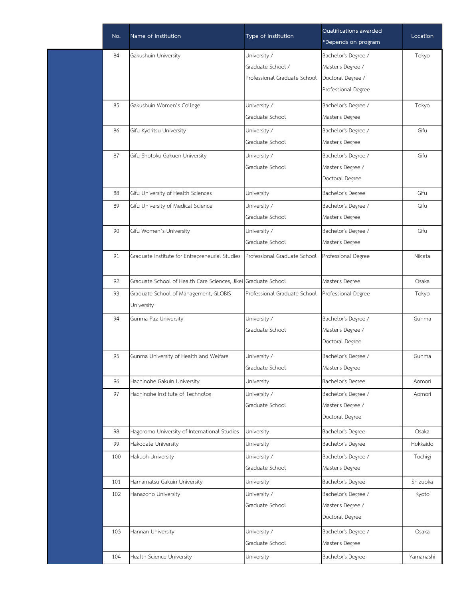| Name of Institution                            | Type of Institution          | Qualifications awarded<br>*Depends on program                  | Location  |
|------------------------------------------------|------------------------------|----------------------------------------------------------------|-----------|
| Gakushuin University                           | University /                 | Bachelor's Degree /                                            | Tokyo     |
|                                                | Graduate School /            | Master's Degree /                                              |           |
|                                                | Professional Graduate School | Doctoral Degree /                                              |           |
|                                                |                              | Professional Degree                                            |           |
| Gakushuin Women's College                      | University /                 | Bachelor's Degree /                                            | Tokyo     |
|                                                | Graduate School              | Master's Degree                                                |           |
| Gifu Kyoritsu University                       | University /                 | Bachelor's Degree /                                            | Gifu      |
|                                                | Graduate School              | Master's Degree                                                |           |
| Gifu Shotoku Gakuen University                 | University /                 | Bachelor's Degree /                                            | Gifu      |
|                                                | Graduate School              | Master's Degree /                                              |           |
|                                                |                              | Doctoral Degree                                                |           |
| Gifu University of Health Sciences             | University                   | Bachelor's Degree                                              | Gifu      |
| Gifu University of Medical Science             | University /                 | Bachelor's Degree /                                            | Gifu      |
|                                                | Graduate School              | Master's Degree                                                |           |
| Gifu Women's University                        | University /                 | Bachelor's Degree /                                            | Gifu      |
|                                                | Graduate School              | Master's Degree                                                |           |
| Graduate Institute for Entrepreneurial Studies | Professional Graduate School | Professional Degree                                            | Niigata   |
|                                                |                              | Master's Degree                                                | Osaka     |
| Graduate School of Management, GLOBIS          | Professional Graduate School | Professional Degree                                            | Tokyo     |
| University                                     |                              |                                                                |           |
| Gunma Paz University                           | University /                 | Bachelor's Degree /                                            | Gunma     |
|                                                | Graduate School              | Master's Degree /                                              |           |
|                                                |                              | Doctoral Degree                                                |           |
| Gunma University of Health and Welfare         | University /                 | Bachelor's Degree /                                            | Gunma     |
|                                                | Graduate School              | Master's Degree                                                |           |
| Hachinohe Gakuin University                    | University                   | Bachelor's Degree                                              | Aomori    |
| Hachinohe Institute of Technolog               | University /                 | Bachelor's Degree /                                            | Aomori    |
|                                                | Graduate School              | Master's Degree /                                              |           |
|                                                |                              | Doctoral Degree                                                |           |
| Hagoromo University of International Studies   | University                   | Bachelor's Degree                                              | Osaka     |
| Hakodate University                            | University                   | Bachelor's Degree                                              | Hokkaido  |
| Hakuoh University                              | University /                 | Bachelor's Degree /                                            | Tochigi   |
|                                                | Graduate School              | Master's Degree                                                |           |
| Hamamatsu Gakuin University                    | University                   | Bachelor's Degree                                              | Shizuoka  |
| Hanazono University                            | University /                 | Bachelor's Degree /                                            | Kyoto     |
|                                                | Graduate School              | Master's Degree /                                              |           |
|                                                |                              | Doctoral Degree                                                |           |
| Hannan University                              | University /                 | Bachelor's Degree /                                            | Osaka     |
|                                                | Graduate School              | Master's Degree                                                |           |
| Health Science University                      | University                   | Bachelor's Degree                                              | Yamanashi |
|                                                |                              | Graduate School of Health Care Sciences, Jikei Graduate School |           |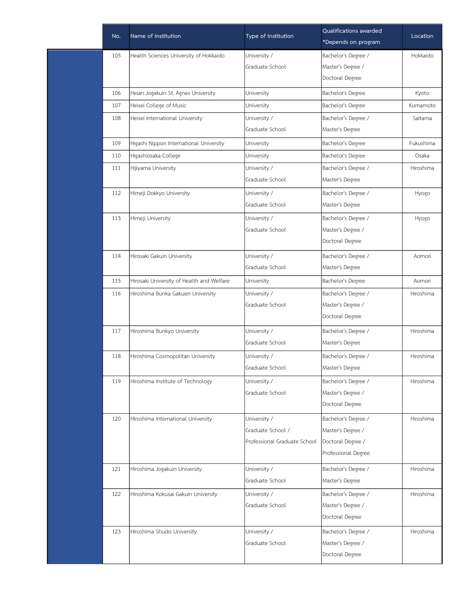| No. | Name of Institution                       | Type of Institution          | Qualifications awarded<br>*Depends on program | Location  |
|-----|-------------------------------------------|------------------------------|-----------------------------------------------|-----------|
| 105 | Health Sciences University of Hokkaido    | University /                 | Bachelor's Degree /                           | Hokkaido  |
|     |                                           | Graduate School              | Master's Degree /                             |           |
|     |                                           |                              | Doctoral Degree                               |           |
| 106 | Heian Jogakuin St. Agnes University       | University                   | Bachelor's Degree                             | Kyoto     |
| 107 | Heisei College of Music                   | University                   | Bachelor's Degree                             | Kumamoto  |
| 108 | Heisei International University           | University /                 | Bachelor's Degree /                           | Saitama   |
|     |                                           | Graduate School              | Master's Degree                               |           |
| 109 | Higashi Nippon International University   | University                   | Bachelor's Degree                             | Fukushima |
| 110 | Higashiosaka College                      | University                   | Bachelor's Degree                             | Osaka     |
| 111 | Hijiyama University                       | University /                 | Bachelor's Degree /                           | Hiroshima |
|     |                                           | Graduate School              | Master's Degree                               |           |
| 112 | Himeji Dokkyo University                  | University /                 | Bachelor's Degree /                           | Hyogo     |
|     |                                           | Graduate School              | Master's Degree                               |           |
| 113 | Himeji University                         | University /                 | Bachelor's Degree /                           | Hyogo     |
|     |                                           | Graduate School              | Master's Degree /                             |           |
|     |                                           |                              | Doctoral Degree                               |           |
| 114 | Hirosaki Gakuin University                | University /                 | Bachelor's Degree /                           | Aomori    |
|     |                                           | Graduate School              | Master's Degree                               |           |
| 115 | Hirosaki University of Health and Welfare | University                   | Bachelor's Degree                             | Aomori    |
| 116 | Hiroshima Bunka Gakuen University         | University /                 | Bachelor's Degree /                           | Hiroshima |
|     |                                           | Graduate School              | Master's Degree /                             |           |
|     |                                           |                              | Doctoral Degree                               |           |
| 117 | Hiroshima Bunkyo University               | University /                 | Bachelor's Degree /                           | Hiroshima |
|     |                                           | Graduate School              | Master's Degree                               |           |
| 118 | Hiroshima Cosmopolitan University         | University /                 | Bachelor's Degree /                           | Hiroshima |
|     |                                           | Graduate School              | Master's Degree                               |           |
| 119 | Hiroshima Institute of Technology         | University /                 | Bachelor's Degree /                           | Hiroshima |
|     |                                           | Graduate School              | Master's Degree /                             |           |
|     |                                           |                              | Doctoral Degree                               |           |
| 120 | Hiroshima International University        | University /                 | Bachelor's Degree /                           | Hiroshima |
|     |                                           | Graduate School /            | Master's Degree /                             |           |
|     |                                           | Professional Graduate School | Doctoral Degree /                             |           |
|     |                                           |                              | Professional Degree                           |           |
| 121 | Hiroshima Jogakuin University             | University /                 | Bachelor's Degree /                           | Hiroshima |
|     |                                           | Graduate School              | Master's Degree                               |           |
| 122 | Hiroshima Kokusai Gakuin University       | University /                 | Bachelor's Degree /                           | Hiroshima |
|     |                                           | Graduate School              | Master's Degree /                             |           |
|     |                                           |                              | Doctoral Degree                               |           |
| 123 | Hiroshima Shudo University                | University /                 | Bachelor's Degree /                           | Hiroshima |
|     |                                           | Graduate School              | Master's Degree /                             |           |
|     |                                           |                              | Doctoral Degree                               |           |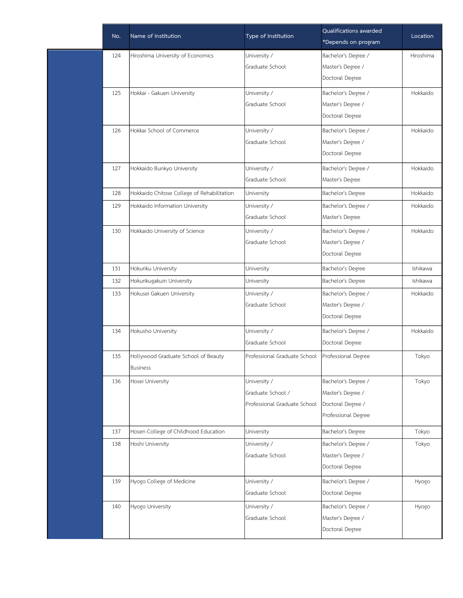| No. | Name of Institution                        | Type of Institution          | Qualifications awarded<br>*Depends on program | Location  |
|-----|--------------------------------------------|------------------------------|-----------------------------------------------|-----------|
| 124 | Hiroshima University of Economics          | University /                 | Bachelor's Degree /                           | Hiroshima |
|     |                                            | Graduate School              | Master's Degree /                             |           |
|     |                                            |                              | Doctoral Degree                               |           |
| 125 | Hokkai - Gakuen University                 | University /                 | Bachelor's Degree /                           | Hokkaido  |
|     |                                            | Graduate School              | Master's Degree /                             |           |
|     |                                            |                              | Doctoral Degree                               |           |
| 126 | Hokkai School of Commerce                  | University /                 | Bachelor's Degree /                           | Hokkaido  |
|     |                                            | Graduate School              | Master's Degree /                             |           |
|     |                                            |                              | Doctoral Degree                               |           |
| 127 | Hokkaido Bunkyo University                 | University /                 | Bachelor's Degree /                           | Hokkaido  |
|     |                                            | Graduate School              | Master's Degree                               |           |
| 128 | Hokkaido Chitose College of Rehabilitation | University                   | Bachelor's Degree                             | Hokkaido  |
| 129 | Hokkaido Information University            | University /                 | Bachelor's Degree /                           | Hokkaido  |
|     |                                            | Graduate School              | Master's Degree                               |           |
| 130 | Hokkaido University of Science             | University /                 | Bachelor's Degree /                           | Hokkaido  |
|     |                                            | Graduate School              | Master's Degree /                             |           |
|     |                                            |                              | Doctoral Degree                               |           |
| 131 | Hokuriku University                        | University                   | Bachelor's Degree                             | Ishikawa  |
| 132 | Hokurikugakuin University                  | University                   | Bachelor's Degree                             | Ishikawa  |
| 133 | Hokusei Gakuen University                  | University /                 | Bachelor's Degree /                           | Hokkaido  |
|     |                                            | Graduate School              | Master's Degree /                             |           |
|     |                                            |                              | Doctoral Degree                               |           |
| 134 | Hokusho University                         | University /                 | Bachelor's Degree /                           | Hokkaido  |
|     |                                            | Graduate School              | Doctoral Degree                               |           |
| 135 | Hollywood Graduate School of Beauty        | Professional Graduate School | Professional Degree                           | Tokyo     |
|     | <b>Business</b>                            |                              |                                               |           |
| 136 | Hosei University                           | University /                 | Bachelor's Degree /                           | Tokyo     |
|     |                                            | Graduate School /            | Master's Degree /                             |           |
|     |                                            | Professional Graduate School | Doctoral Degree /                             |           |
|     |                                            |                              | Professional Degree                           |           |
| 137 | Hosen College of Childhood Education       | University                   | Bachelor's Degree                             | Tokyo     |
| 138 | Hoshi University                           | University /                 | Bachelor's Degree /                           | Tokyo     |
|     |                                            | Graduate School              | Master's Degree /                             |           |
|     |                                            |                              | Doctoral Degree                               |           |
| 139 | Hyogo College of Medicine                  | University /                 | Bachelor's Degree /                           | Hyogo     |
|     |                                            | Graduate School              | Doctoral Degree                               |           |
| 140 | Hyogo University                           | University /                 | Bachelor's Degree /                           | Hyogo     |
|     |                                            | Graduate School              | Master's Degree /                             |           |
|     |                                            |                              | Doctoral Degree                               |           |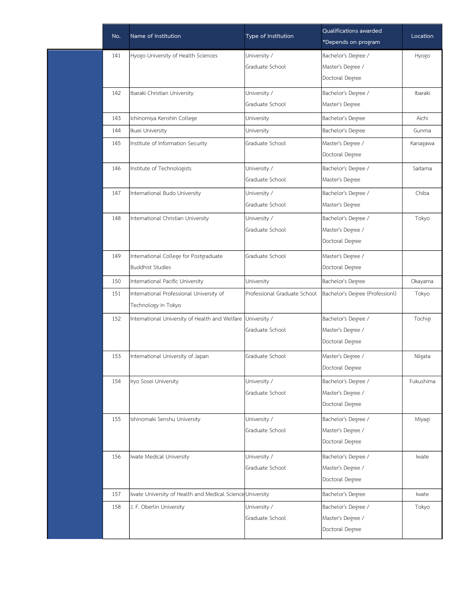| No. | Name of Institution                                               | Type of Institution             | Qualifications awarded<br>*Depends on program               | Location  |
|-----|-------------------------------------------------------------------|---------------------------------|-------------------------------------------------------------|-----------|
| 141 | Hyogo University of Health Sciences                               | University /<br>Graduate School | Bachelor's Degree /<br>Master's Degree /<br>Doctoral Degree | Hyogo     |
| 142 | Ibaraki Christian University                                      | University /<br>Graduate School | Bachelor's Degree /<br>Master's Degree                      | Ibaraki   |
| 143 | Ichinomiya Kenshin College                                        | University                      | Bachelor's Degree                                           | Aichi     |
| 144 | Ikuei University                                                  | University                      | Bachelor's Degree                                           | Gunma     |
| 145 | Institute of Information Security                                 | Graduate School                 | Master's Degree /<br>Doctoral Degree                        | Kanagawa  |
| 146 | Institute of Technologists                                        | University /<br>Graduate School | Bachelor's Degree /<br>Master's Degree                      | Saitama   |
| 147 | International Budo University                                     | University /<br>Graduate School | Bachelor's Degree /<br>Master's Degree                      | Chiba     |
| 148 | International Christian University                                | University /<br>Graduate School | Bachelor's Degree /<br>Master's Degree /<br>Doctoral Degree | Tokyo     |
| 149 | International College for Postgraduate<br><b>Buddhist Studies</b> | Graduate School                 | Master's Degree /<br>Doctoral Degree                        |           |
| 150 | International Pacific University                                  | University                      | Bachelor's Degree                                           | Okayama   |
| 151 | International Professional University of<br>Technology in Tokyo   | Professional Graduate School    | Bachelor's Degree (Professionl)                             | Tokyo     |
| 152 | International University of Health and Welfare University /       | Graduate School                 | Bachelor's Degree /<br>Master's Degree /<br>Doctoral Degree | Tochigi   |
| 153 | International University of Japan                                 | Graduate School                 | Master's Degree /<br>Doctoral Degree                        | Niigata   |
| 154 | Iryo Sosei University                                             | University /<br>Graduate School | Bachelor's Degree /<br>Master's Degree /<br>Doctoral Degree | Fukushima |
| 155 | Ishinomaki Senshu University                                      | University /<br>Graduate School | Bachelor's Degree /<br>Master's Degree /<br>Doctoral Degree | Miyagi    |
| 156 | Iwate Medical University                                          | University /<br>Graduate School | Bachelor's Degree /<br>Master's Degree /<br>Doctoral Degree | Iwate     |
| 157 | Iwate University of Health and Medical Science University         |                                 | Bachelor's Degree                                           | Iwate     |
| 158 | J. F. Oberlin University                                          | University /<br>Graduate School | Bachelor's Degree /<br>Master's Degree /<br>Doctoral Degree | Tokyo     |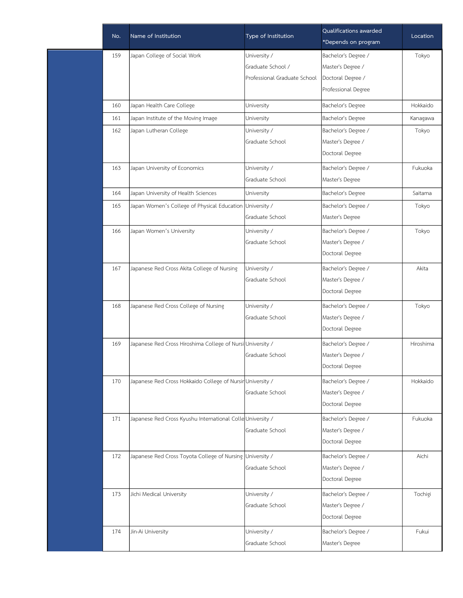|     | Name of Institution                                        | Type of Institution          | Qualifications awarded | Location  |
|-----|------------------------------------------------------------|------------------------------|------------------------|-----------|
| No. |                                                            |                              | *Depends on program    |           |
| 159 | Japan College of Social Work                               | University /                 | Bachelor's Degree /    | Tokyo     |
|     |                                                            | Graduate School /            | Master's Degree /      |           |
|     |                                                            | Professional Graduate School | Doctoral Degree /      |           |
|     |                                                            |                              | Professional Degree    |           |
| 160 | Japan Health Care College                                  | University                   | Bachelor's Degree      | Hokkaido  |
| 161 | Japan Institute of the Moving Image                        | University                   | Bachelor's Degree      | Kanagawa  |
| 162 | Japan Lutheran College                                     | University /                 | Bachelor's Degree /    | Tokyo     |
|     |                                                            | Graduate School              | Master's Degree /      |           |
|     |                                                            |                              | Doctoral Degree        |           |
| 163 | Japan University of Economics                              | University /                 | Bachelor's Degree /    | Fukuoka   |
|     |                                                            | Graduate School              | Master's Degree        |           |
| 164 | Japan University of Health Sciences                        | University                   | Bachelor's Degree      | Saitama   |
| 165 | Japan Women's College of Physical Education                | University /                 | Bachelor's Degree /    | Tokyo     |
|     |                                                            | Graduate School              | Master's Degree        |           |
| 166 | Japan Women's University                                   | University /                 | Bachelor's Degree /    | Tokyo     |
|     |                                                            | Graduate School              | Master's Degree /      |           |
|     |                                                            |                              | Doctoral Degree        |           |
| 167 | Japanese Red Cross Akita College of Nursing                | University /                 | Bachelor's Degree /    | Akita     |
|     |                                                            | Graduate School              | Master's Degree /      |           |
|     |                                                            |                              | Doctoral Degree        |           |
| 168 | Japanese Red Cross College of Nursing                      | University /                 | Bachelor's Degree /    | Tokyo     |
|     |                                                            | Graduate School              | Master's Degree /      |           |
|     |                                                            |                              | Doctoral Degree        |           |
| 169 | Japanese Red Cross Hiroshima College of Nursi University / |                              | Bachelor's Degree /    | Hiroshima |
|     |                                                            | Graduate School              | Master's Degree /      |           |
|     |                                                            |                              | Doctoral Degree        |           |
| 170 | Japanese Red Cross Hokkaido College of Nursir University / |                              | Bachelor's Degree /    | Hokkaido  |
|     |                                                            | Graduate School              | Master's Degree /      |           |
|     |                                                            |                              | Doctoral Degree        |           |
| 171 | Japanese Red Cross Kyushu International Colle University / |                              | Bachelor's Degree /    | Fukuoka   |
|     |                                                            | Graduate School              | Master's Degree /      |           |
|     |                                                            |                              | Doctoral Degree        |           |
| 172 | Japanese Red Cross Toyota College of Nursing               | University /                 | Bachelor's Degree /    | Aichi     |
|     |                                                            | Graduate School              | Master's Degree /      |           |
|     |                                                            |                              | Doctoral Degree        |           |
| 173 | Jichi Medical University                                   | University /                 | Bachelor's Degree /    | Tochigi   |
|     |                                                            | Graduate School              | Master's Degree /      |           |
|     |                                                            |                              | Doctoral Degree        |           |
| 174 | Jin-Ai University                                          | University /                 | Bachelor's Degree /    | Fukui     |
|     |                                                            | Graduate School              | Master's Degree        |           |
|     |                                                            |                              |                        |           |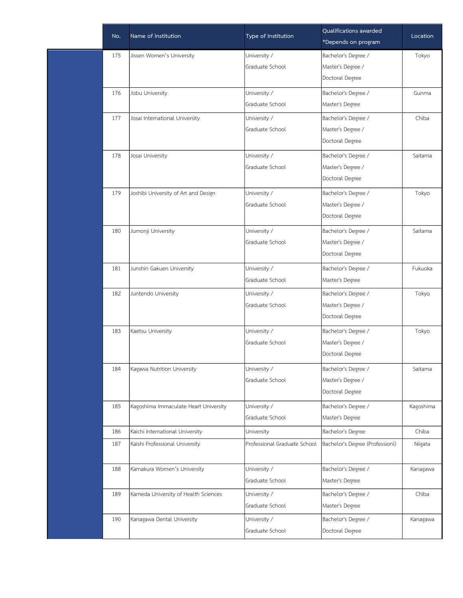| No. | Name of Institution                   | Type of Institution          | Qualifications awarded<br>*Depends on program | Location  |
|-----|---------------------------------------|------------------------------|-----------------------------------------------|-----------|
| 175 | Jissen Women's University             | University /                 | Bachelor's Degree /                           | Tokyo     |
|     |                                       | Graduate School              | Master's Degree /                             |           |
|     |                                       |                              | Doctoral Degree                               |           |
| 176 | Jobu University                       | University /                 | Bachelor's Degree /                           | Gunma     |
|     |                                       | Graduate School              | Master's Degree                               |           |
| 177 | Josai International University        | University /                 | Bachelor's Degree /                           | Chiba     |
|     |                                       | Graduate School              | Master's Degree /                             |           |
|     |                                       |                              | Doctoral Degree                               |           |
| 178 | Josai University                      | University /                 | Bachelor's Degree /                           | Saitama   |
|     |                                       | Graduate School              | Master's Degree /                             |           |
|     |                                       |                              | Doctoral Degree                               |           |
| 179 | Joshibi University of Art and Design  | University /                 | Bachelor's Degree /                           | Tokyo     |
|     |                                       | Graduate School              | Master's Degree /                             |           |
|     |                                       |                              | Doctoral Degree                               |           |
| 180 | Jumonji University                    | University /                 | Bachelor's Degree /                           | Saitama   |
|     |                                       | Graduate School              | Master's Degree /                             |           |
|     |                                       |                              | Doctoral Degree                               |           |
| 181 | Junshin Gakuen University             | University /                 | Bachelor's Degree /                           | Fukuoka   |
|     |                                       | Graduate School              | Master's Degree                               |           |
| 182 | Juntendo University                   | University /                 | Bachelor's Degree /                           | Tokyo     |
|     |                                       | Graduate School              | Master's Degree /                             |           |
|     |                                       |                              | Doctoral Degree                               |           |
| 183 | Kaetsu University                     | University /                 | Bachelor's Degree /                           | Tokyo     |
|     |                                       | Graduate School              | Master's Degree /                             |           |
|     |                                       |                              | Doctoral Degree                               |           |
| 184 | Kagawa Nutrition University           | University /                 | Bachelor's Degree /                           | Saitama   |
|     |                                       | Graduate School              | Master's Degree /                             |           |
|     |                                       |                              | Doctoral Degree                               |           |
| 185 | Kagoshima Immaculate Heart University | University /                 | Bachelor's Degree /                           | Kagoshima |
|     |                                       | Graduate School              | Master's Degree                               |           |
| 186 | Kaichi International University       | University                   | Bachelor's Degree                             | Chiba     |
| 187 | Kaishi Professional University        | Professional Graduate School | Bachelor's Degree (Professionl)               | Niigata   |
| 188 | Kamakura Women's University           | University /                 | Bachelor's Degree /                           | Kanagawa  |
|     |                                       | Graduate School              | Master's Degree                               |           |
| 189 | Kameda University of Health Sciences  | University /                 | Bachelor's Degree /                           | Chiba     |
|     |                                       | Graduate School              | Master's Degree                               |           |
| 190 | Kanagawa Dental University            | University /                 | Bachelor's Degree /                           | Kanagawa  |
|     |                                       | Graduate School              | Doctoral Degree                               |           |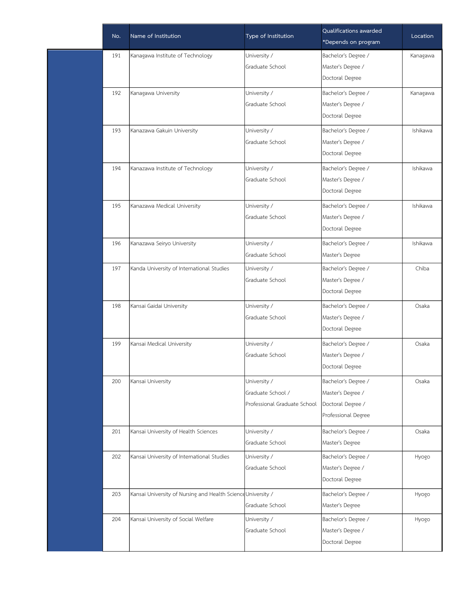| No. | Name of Institution                                          | Type of Institution          | Qualifications awarded<br>*Depends on program | Location |
|-----|--------------------------------------------------------------|------------------------------|-----------------------------------------------|----------|
| 191 | Kanagawa Institute of Technology                             | University /                 | Bachelor's Degree /                           | Kanagawa |
|     |                                                              | Graduate School              | Master's Degree /                             |          |
|     |                                                              |                              | Doctoral Degree                               |          |
| 192 | Kanagawa University                                          | University /                 | Bachelor's Degree /                           | Kanagawa |
|     |                                                              | Graduate School              | Master's Degree /                             |          |
|     |                                                              |                              | Doctoral Degree                               |          |
| 193 | Kanazawa Gakuin University                                   | University /                 | Bachelor's Degree /                           | Ishikawa |
|     |                                                              | Graduate School              | Master's Degree /                             |          |
|     |                                                              |                              | Doctoral Degree                               |          |
| 194 | Kanazawa Institute of Technology                             | University /                 | Bachelor's Degree /                           | Ishikawa |
|     |                                                              | Graduate School              | Master's Degree /                             |          |
|     |                                                              |                              | Doctoral Degree                               |          |
| 195 | Kanazawa Medical University                                  | University /                 | Bachelor's Degree /                           | Ishikawa |
|     |                                                              | Graduate School              | Master's Degree /                             |          |
|     |                                                              |                              | Doctoral Degree                               |          |
| 196 | Kanazawa Seiryo University                                   | University /                 | Bachelor's Degree /                           | Ishikawa |
|     |                                                              | Graduate School              | Master's Degree                               |          |
| 197 | Kanda University of International Studies                    | University /                 | Bachelor's Degree /                           | Chiba    |
|     |                                                              | Graduate School              | Master's Degree /                             |          |
|     |                                                              |                              | Doctoral Degree                               |          |
| 198 | Kansai Gaidai University                                     | University /                 | Bachelor's Degree /                           | Osaka    |
|     |                                                              | Graduate School              | Master's Degree /                             |          |
|     |                                                              |                              | Doctoral Degree                               |          |
| 199 | Kansai Medical University                                    | University /                 | Bachelor's Degree /                           | Osaka    |
|     |                                                              | Graduate School              | Master's Degree /                             |          |
|     |                                                              |                              | Doctoral Degree                               |          |
| 200 | Kansai University                                            | University /                 | Bachelor's Degree /                           | Osaka    |
|     |                                                              | Graduate School /            | Master's Degree /                             |          |
|     |                                                              | Professional Graduate School | Doctoral Degree /                             |          |
|     |                                                              |                              | Professional Degree                           |          |
| 201 | Kansai University of Health Sciences                         | University /                 | Bachelor's Degree /                           | Osaka    |
|     |                                                              | Graduate School              | Master's Degree                               |          |
| 202 | Kansai University of International Studies                   | University /                 | Bachelor's Degree /                           | Hyogo    |
|     |                                                              | Graduate School              | Master's Degree /                             |          |
|     |                                                              |                              | Doctoral Degree                               |          |
| 203 | Kansai University of Nursing and Health Science University / |                              | Bachelor's Degree /                           | Hyogo    |
|     |                                                              | Graduate School              | Master's Degree                               |          |
| 204 | Kansai University of Social Welfare                          | University /                 | Bachelor's Degree /                           | Hyogo    |
|     |                                                              | Graduate School              | Master's Degree /                             |          |
|     |                                                              |                              | Doctoral Degree                               |          |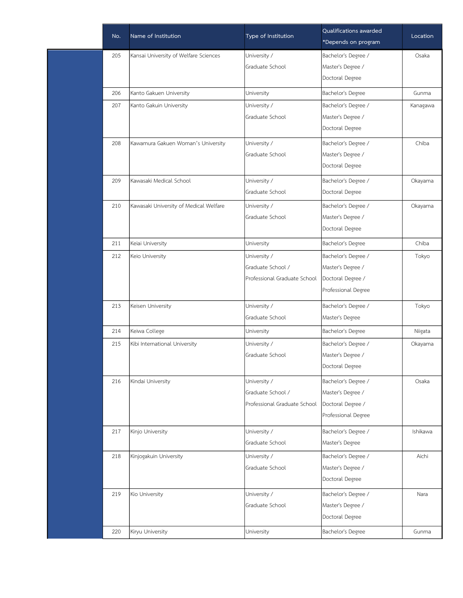| No. | Name of Institution                    | Type of Institution          | Qualifications awarded<br>*Depends on program | Location |
|-----|----------------------------------------|------------------------------|-----------------------------------------------|----------|
| 205 | Kansai University of Welfare Sciences  | University /                 | Bachelor's Degree /                           | Osaka    |
|     |                                        | Graduate School              | Master's Degree /                             |          |
|     |                                        |                              | Doctoral Degree                               |          |
| 206 | Kanto Gakuen University                | University                   | Bachelor's Degree                             | Gunma    |
| 207 | Kanto Gakuin University                | University /                 | Bachelor's Degree /                           | Kanagawa |
|     |                                        | Graduate School              | Master's Degree /                             |          |
|     |                                        |                              | Doctoral Degree                               |          |
| 208 | Kawamura Gakuen Woman's University     | University /                 | Bachelor's Degree /                           | Chiba    |
|     |                                        | Graduate School              | Master's Degree /                             |          |
|     |                                        |                              | Doctoral Degree                               |          |
| 209 | Kawasaki Medical School                | University /                 | Bachelor's Degree /                           | Okayama  |
|     |                                        | Graduate School              | Doctoral Degree                               |          |
| 210 | Kawasaki University of Medical Welfare | University /                 | Bachelor's Degree /                           | Okayama  |
|     |                                        | Graduate School              | Master's Degree /                             |          |
|     |                                        |                              | Doctoral Degree                               |          |
| 211 | Keiai University                       | University                   | Bachelor's Degree                             | Chiba    |
| 212 | Keio University                        | University /                 | Bachelor's Degree /                           | Tokyo    |
|     |                                        | Graduate School /            | Master's Degree /                             |          |
|     |                                        | Professional Graduate School | Doctoral Degree /                             |          |
|     |                                        |                              | Professional Degree                           |          |
| 213 | Keisen University                      | University /                 | Bachelor's Degree /                           | Tokyo    |
|     |                                        | Graduate School              | Master's Degree                               |          |
| 214 | Keiwa College                          | University                   | Bachelor's Degree                             | Niigata  |
| 215 | Kibi International University          | University /                 | Bachelor's Degree /                           | Okayama  |
|     |                                        | Graduate School              | Master's Degree /                             |          |
|     |                                        |                              | Doctoral Degree                               |          |
| 216 | Kindai University                      | University /                 | Bachelor's Degree /                           | Osaka    |
|     |                                        | Graduate School /            | Master's Degree /                             |          |
|     |                                        | Professional Graduate School | Doctoral Degree /                             |          |
|     |                                        |                              | Professional Degree                           |          |
| 217 | Kinjo University                       | University /                 | Bachelor's Degree /                           | Ishikawa |
|     |                                        | Graduate School              | Master's Degree                               |          |
| 218 | Kinjogakuin University                 | University /                 | Bachelor's Degree /                           | Aichi    |
|     |                                        | Graduate School              | Master's Degree /                             |          |
|     |                                        |                              | Doctoral Degree                               |          |
| 219 | Kio University                         | University /                 | Bachelor's Degree /                           | Nara     |
|     |                                        | Graduate School              | Master's Degree /                             |          |
|     |                                        |                              | Doctoral Degree                               |          |
| 220 | Kiryu University                       | University                   | Bachelor's Degree                             | Gunma    |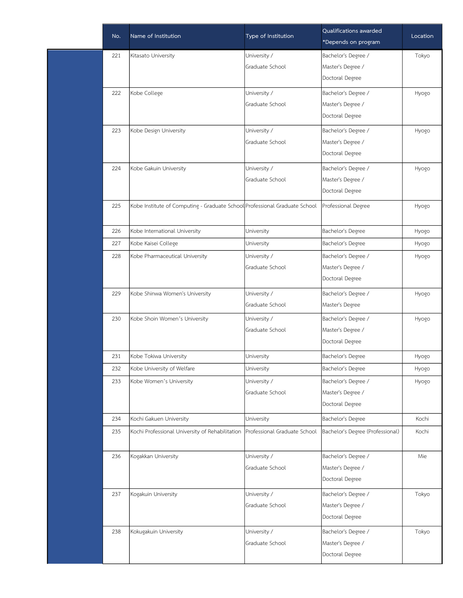| No. | Name of Institution                                                        | Type of Institution          | Qualifications awarded<br>*Depends on program | Location |
|-----|----------------------------------------------------------------------------|------------------------------|-----------------------------------------------|----------|
| 221 | Kitasato University                                                        | University /                 | Bachelor's Degree /                           | Tokyo    |
|     |                                                                            | Graduate School              | Master's Degree /                             |          |
|     |                                                                            |                              | Doctoral Degree                               |          |
| 222 | Kobe College                                                               | University /                 | Bachelor's Degree /                           | Hyogo    |
|     |                                                                            | Graduate School              | Master's Degree /                             |          |
|     |                                                                            |                              | Doctoral Degree                               |          |
| 223 | Kobe Design University                                                     | University /                 | Bachelor's Degree /                           | Hyogo    |
|     |                                                                            | Graduate School              | Master's Degree /                             |          |
|     |                                                                            |                              | Doctoral Degree                               |          |
| 224 | Kobe Gakuin University                                                     | University /                 | Bachelor's Degree /                           | Hyogo    |
|     |                                                                            | Graduate School              | Master's Degree /                             |          |
|     |                                                                            |                              | Doctoral Degree                               |          |
| 225 | Kobe Institute of Computing - Graduate School Professional Graduate School |                              | Professional Degree                           | Hyogo    |
|     |                                                                            |                              |                                               |          |
| 226 | Kobe International University                                              | University                   | Bachelor's Degree                             | Hyogo    |
| 227 | Kobe Kaisei College                                                        | University                   | Bachelor's Degree                             | Hyogo    |
| 228 | Kobe Pharmaceutical University                                             | University /                 | Bachelor's Degree /                           | Hyogo    |
|     |                                                                            | Graduate School              | Master's Degree /                             |          |
|     |                                                                            |                              | Doctoral Degree                               |          |
| 229 | Kobe Shinwa Women's University                                             | University /                 | Bachelor's Degree /                           | Hyogo    |
|     |                                                                            | Graduate School              | Master's Degree                               |          |
| 230 | Kobe Shoin Women's University                                              | University /                 | Bachelor's Degree /                           | Hyogo    |
|     |                                                                            | Graduate School              | Master's Degree /                             |          |
|     |                                                                            |                              | Doctoral Degree                               |          |
| 231 | Kobe Tokiwa University                                                     | University                   | Bachelor's Degree                             | Hyogo    |
| 232 | Kobe University of Welfare                                                 | University                   | Bachelor's Degree                             | Hyogo    |
| 233 | Kobe Women's University                                                    | University /                 | Bachelor's Degree /                           | Hyogo    |
|     |                                                                            | Graduate School              | Master's Degree /                             |          |
|     |                                                                            |                              | Doctoral Degree                               |          |
| 234 | Kochi Gakuen University                                                    | University                   | Bachelor's Degree                             | Kochi    |
| 235 | Kochi Professional University of Rehabilitation                            | Professional Graduate School | Bachelor's Degree (Professional)              | Kochi    |
| 236 | Kogakkan University                                                        | University /                 | Bachelor's Degree /                           | Mie      |
|     |                                                                            | Graduate School              | Master's Degree /                             |          |
|     |                                                                            |                              | Doctoral Degree                               |          |
| 237 | Kogakuin University                                                        | University /                 | Bachelor's Degree /                           | Tokyo    |
|     |                                                                            | Graduate School              | Master's Degree /                             |          |
|     |                                                                            |                              | Doctoral Degree                               |          |
| 238 | Kokugakuin University                                                      | University /                 | Bachelor's Degree /                           | Tokyo    |
|     |                                                                            | Graduate School              | Master's Degree /                             |          |
|     |                                                                            |                              | Doctoral Degree                               |          |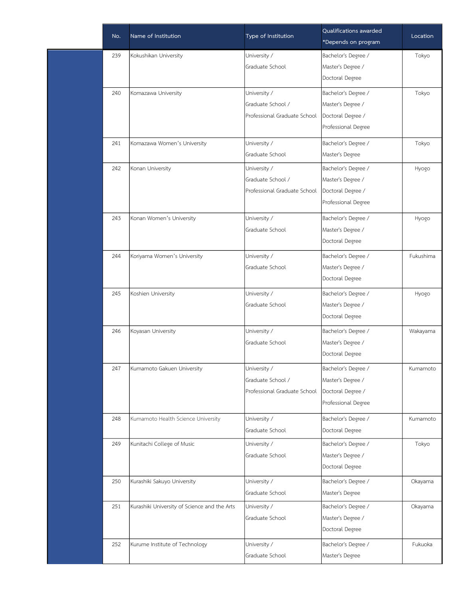| No. | Name of Institution                          | Type of Institution          | Qualifications awarded<br>*Depends on program | Location  |
|-----|----------------------------------------------|------------------------------|-----------------------------------------------|-----------|
| 239 | Kokushikan University                        | University /                 | Bachelor's Degree /                           | Tokyo     |
|     |                                              | Graduate School              | Master's Degree /                             |           |
|     |                                              |                              | Doctoral Degree                               |           |
| 240 | Komazawa University                          | University /                 | Bachelor's Degree /                           | Tokyo     |
|     |                                              | Graduate School /            | Master's Degree /                             |           |
|     |                                              | Professional Graduate School | Doctoral Degree /                             |           |
|     |                                              |                              | Professional Degree                           |           |
| 241 | Komazawa Women's University                  | University /                 | Bachelor's Degree /                           | Tokyo     |
|     |                                              | Graduate School              | Master's Degree                               |           |
| 242 | Konan University                             | University /                 | Bachelor's Degree /                           | Hyogo     |
|     |                                              | Graduate School /            | Master's Degree /                             |           |
|     |                                              | Professional Graduate School | Doctoral Degree /                             |           |
|     |                                              |                              | Professional Degree                           |           |
| 243 | Konan Women's University                     | University /                 | Bachelor's Degree /                           | Hyogo     |
|     |                                              | Graduate School              | Master's Degree /                             |           |
|     |                                              |                              | Doctoral Degree                               |           |
| 244 | Koriyama Women's University                  | University /                 | Bachelor's Degree /                           | Fukushima |
|     |                                              | Graduate School              | Master's Degree /                             |           |
|     |                                              |                              | Doctoral Degree                               |           |
| 245 | Koshien University                           | University /                 | Bachelor's Degree /                           | Hyogo     |
|     |                                              | Graduate School              | Master's Degree /                             |           |
|     |                                              |                              | Doctoral Degree                               |           |
| 246 | Koyasan University                           | University /                 | Bachelor's Degree /                           | Wakayama  |
|     |                                              | Graduate School              | Master's Degree /                             |           |
|     |                                              |                              | Doctoral Degree                               |           |
| 247 | Kumamoto Gakuen University                   | University /                 | Bachelor's Degree /                           | Kumamoto  |
|     |                                              | Graduate School /            | Master's Degree /                             |           |
|     |                                              | Professional Graduate School | Doctoral Degree /                             |           |
|     |                                              |                              | Professional Degree                           |           |
| 248 | Kumamoto Health Science University           | University /                 | Bachelor's Degree /                           | Kumamoto  |
|     |                                              | Graduate School              | Doctoral Degree                               |           |
| 249 | Kunitachi College of Music                   | University /                 | Bachelor's Degree /                           | Tokyo     |
|     |                                              | Graduate School              | Master's Degree /                             |           |
|     |                                              |                              | Doctoral Degree                               |           |
| 250 | Kurashiki Sakuyo University                  | University /                 | Bachelor's Degree /                           | Okayama   |
|     |                                              | Graduate School              | Master's Degree                               |           |
| 251 | Kurashiki University of Science and the Arts | University /                 | Bachelor's Degree /                           | Okayama   |
|     |                                              | Graduate School              | Master's Degree /                             |           |
|     |                                              |                              | Doctoral Degree                               |           |
| 252 | Kurume Institute of Technology               | University /                 | Bachelor's Degree /                           | Fukuoka   |
|     |                                              | Graduate School              | Master's Degree                               |           |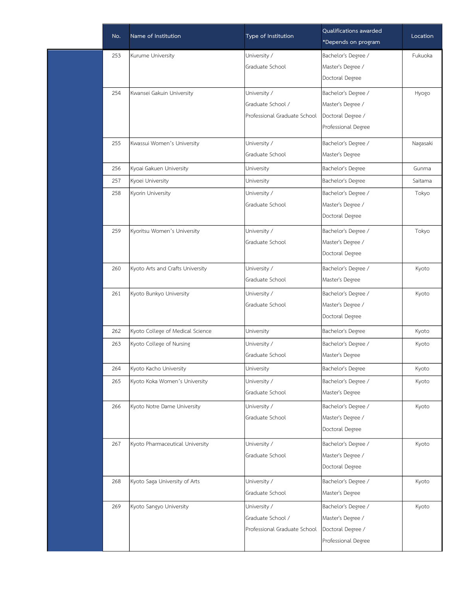| 253<br>University /<br>Bachelor's Degree /<br>Kurume University<br>Graduate School<br>Master's Degree /<br>Doctoral Degree<br>254<br>University /<br>Bachelor's Degree /<br>Kwansei Gakuin University<br>Graduate School /<br>Master's Degree /<br>Doctoral Degree /<br>Professional Graduate School<br>Professional Degree<br>Bachelor's Degree /<br>255<br>Kwassui Women's University<br>University /<br>Graduate School<br>Master's Degree<br>Kyoai Gakuen University<br>256<br>Bachelor's Degree<br>University<br>257<br>Kyoei University<br>Bachelor's Degree<br>University<br>Bachelor's Degree /<br>258<br>Kyorin University<br>University / | Location |
|-----------------------------------------------------------------------------------------------------------------------------------------------------------------------------------------------------------------------------------------------------------------------------------------------------------------------------------------------------------------------------------------------------------------------------------------------------------------------------------------------------------------------------------------------------------------------------------------------------------------------------------------------------|----------|
|                                                                                                                                                                                                                                                                                                                                                                                                                                                                                                                                                                                                                                                     | Fukuoka  |
|                                                                                                                                                                                                                                                                                                                                                                                                                                                                                                                                                                                                                                                     |          |
|                                                                                                                                                                                                                                                                                                                                                                                                                                                                                                                                                                                                                                                     |          |
|                                                                                                                                                                                                                                                                                                                                                                                                                                                                                                                                                                                                                                                     | Hyogo    |
|                                                                                                                                                                                                                                                                                                                                                                                                                                                                                                                                                                                                                                                     |          |
|                                                                                                                                                                                                                                                                                                                                                                                                                                                                                                                                                                                                                                                     |          |
|                                                                                                                                                                                                                                                                                                                                                                                                                                                                                                                                                                                                                                                     |          |
|                                                                                                                                                                                                                                                                                                                                                                                                                                                                                                                                                                                                                                                     | Nagasaki |
|                                                                                                                                                                                                                                                                                                                                                                                                                                                                                                                                                                                                                                                     |          |
|                                                                                                                                                                                                                                                                                                                                                                                                                                                                                                                                                                                                                                                     | Gunma    |
|                                                                                                                                                                                                                                                                                                                                                                                                                                                                                                                                                                                                                                                     | Saitama  |
|                                                                                                                                                                                                                                                                                                                                                                                                                                                                                                                                                                                                                                                     | Tokyo    |
| Master's Degree /<br>Graduate School                                                                                                                                                                                                                                                                                                                                                                                                                                                                                                                                                                                                                |          |
| Doctoral Degree                                                                                                                                                                                                                                                                                                                                                                                                                                                                                                                                                                                                                                     |          |
| 259<br>University /<br>Bachelor's Degree /<br>Kyoritsu Women's University                                                                                                                                                                                                                                                                                                                                                                                                                                                                                                                                                                           | Tokyo    |
| Master's Degree /<br>Graduate School                                                                                                                                                                                                                                                                                                                                                                                                                                                                                                                                                                                                                |          |
| Doctoral Degree                                                                                                                                                                                                                                                                                                                                                                                                                                                                                                                                                                                                                                     |          |
| Bachelor's Degree /<br>Kyoto Arts and Crafts University<br>University /<br>260                                                                                                                                                                                                                                                                                                                                                                                                                                                                                                                                                                      | Kyoto    |
| Graduate School<br>Master's Degree                                                                                                                                                                                                                                                                                                                                                                                                                                                                                                                                                                                                                  |          |
| Bachelor's Degree /<br>261<br>Kyoto Bunkyo University<br>University /                                                                                                                                                                                                                                                                                                                                                                                                                                                                                                                                                                               | Kyoto    |
| Graduate School<br>Master's Degree /                                                                                                                                                                                                                                                                                                                                                                                                                                                                                                                                                                                                                |          |
| Doctoral Degree                                                                                                                                                                                                                                                                                                                                                                                                                                                                                                                                                                                                                                     |          |
| Kyoto College of Medical Science<br>Bachelor's Degree<br>262<br>University                                                                                                                                                                                                                                                                                                                                                                                                                                                                                                                                                                          | Kyoto    |
| Bachelor's Degree /<br>263<br>Kyoto College of Nursing<br>University /                                                                                                                                                                                                                                                                                                                                                                                                                                                                                                                                                                              | Kyoto    |
| Graduate School<br>Master's Degree                                                                                                                                                                                                                                                                                                                                                                                                                                                                                                                                                                                                                  |          |
| Bachelor's Degree<br>264<br>Kyoto Kacho University<br>University                                                                                                                                                                                                                                                                                                                                                                                                                                                                                                                                                                                    | Kyoto    |
| University /<br>Bachelor's Degree /<br>265<br>Kyoto Koka Women's University                                                                                                                                                                                                                                                                                                                                                                                                                                                                                                                                                                         | Kyoto    |
| Graduate School<br>Master's Degree                                                                                                                                                                                                                                                                                                                                                                                                                                                                                                                                                                                                                  |          |
| Bachelor's Degree /<br>266<br>Kyoto Notre Dame University<br>University /                                                                                                                                                                                                                                                                                                                                                                                                                                                                                                                                                                           | Kyoto    |
| Master's Degree /<br>Graduate School                                                                                                                                                                                                                                                                                                                                                                                                                                                                                                                                                                                                                |          |
| Doctoral Degree                                                                                                                                                                                                                                                                                                                                                                                                                                                                                                                                                                                                                                     |          |
| 267<br>University /<br>Bachelor's Degree /<br>Kyoto Pharmaceutical University                                                                                                                                                                                                                                                                                                                                                                                                                                                                                                                                                                       | Kyoto    |
| Graduate School<br>Master's Degree /                                                                                                                                                                                                                                                                                                                                                                                                                                                                                                                                                                                                                |          |
| Doctoral Degree                                                                                                                                                                                                                                                                                                                                                                                                                                                                                                                                                                                                                                     |          |
| Kyoto Saga University of Arts<br>University /<br>Bachelor's Degree /<br>268                                                                                                                                                                                                                                                                                                                                                                                                                                                                                                                                                                         | Kyoto    |
| Graduate School<br>Master's Degree                                                                                                                                                                                                                                                                                                                                                                                                                                                                                                                                                                                                                  |          |
| 269<br>Kyoto Sangyo University<br>Bachelor's Degree /<br>University /                                                                                                                                                                                                                                                                                                                                                                                                                                                                                                                                                                               | Kyoto    |
| Graduate School /<br>Master's Degree /                                                                                                                                                                                                                                                                                                                                                                                                                                                                                                                                                                                                              |          |
| Professional Graduate School<br>Doctoral Degree /                                                                                                                                                                                                                                                                                                                                                                                                                                                                                                                                                                                                   |          |
| Professional Degree                                                                                                                                                                                                                                                                                                                                                                                                                                                                                                                                                                                                                                 |          |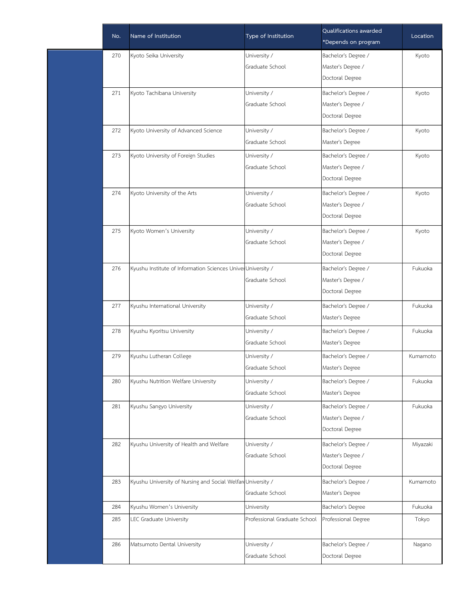| No. | Name of Institution                                          | Type of Institution          | Qualifications awarded<br>*Depends on program | Location |
|-----|--------------------------------------------------------------|------------------------------|-----------------------------------------------|----------|
| 270 | Kyoto Seika University                                       | University /                 | Bachelor's Degree /                           | Kyoto    |
|     |                                                              | Graduate School              | Master's Degree /                             |          |
|     |                                                              |                              | Doctoral Degree                               |          |
| 271 | Kyoto Tachibana University                                   | University /                 | Bachelor's Degree /                           | Kyoto    |
|     |                                                              | Graduate School              | Master's Degree /                             |          |
|     |                                                              |                              | Doctoral Degree                               |          |
| 272 | Kyoto University of Advanced Science                         | University /                 | Bachelor's Degree /                           | Kyoto    |
|     |                                                              | Graduate School              | Master's Degree                               |          |
| 273 | Kyoto University of Foreign Studies                          | University /                 | Bachelor's Degree /                           | Kyoto    |
|     |                                                              | Graduate School              | Master's Degree /                             |          |
|     |                                                              |                              | Doctoral Degree                               |          |
| 274 | Kyoto University of the Arts                                 | University /                 | Bachelor's Degree /                           | Kyoto    |
|     |                                                              | Graduate School              | Master's Degree /                             |          |
|     |                                                              |                              | Doctoral Degree                               |          |
| 275 | Kyoto Women's University                                     | University /                 | Bachelor's Degree /                           | Kyoto    |
|     |                                                              | Graduate School              | Master's Degree /                             |          |
|     |                                                              |                              | Doctoral Degree                               |          |
| 276 | Kyushu Institute of Information Sciences UniverUniversity /  |                              | Bachelor's Degree /                           | Fukuoka  |
|     |                                                              | Graduate School              | Master's Degree /                             |          |
|     |                                                              |                              | Doctoral Degree                               |          |
| 277 | Kyushu International University                              | University /                 | Bachelor's Degree /                           | Fukuoka  |
|     |                                                              | Graduate School              | Master's Degree                               |          |
| 278 | Kyushu Kyoritsu University                                   | University /                 | Bachelor's Degree /                           | Fukuoka  |
|     |                                                              | Graduate School              | Master's Degree                               |          |
| 279 | Kyushu Lutheran College                                      | University /                 | Bachelor's Degree /                           | Kumamoto |
|     |                                                              | Graduate School              | Master's Degree                               |          |
| 280 | Kyushu Nutrition Welfare University                          | University /                 | Bachelor's Degree /                           | Fukuoka  |
|     |                                                              | Graduate School              | Master's Degree                               |          |
| 281 | Kyushu Sangyo University                                     | University /                 | Bachelor's Degree /                           | Fukuoka  |
|     |                                                              | Graduate School              | Master's Degree /                             |          |
|     |                                                              |                              | Doctoral Degree                               |          |
| 282 | Kyushu University of Health and Welfare                      | University /                 | Bachelor's Degree /                           | Miyazaki |
|     |                                                              | Graduate School              | Master's Degree /                             |          |
|     |                                                              |                              | Doctoral Degree                               |          |
| 283 | Kyushu University of Nursing and Social Welfard University / |                              | Bachelor's Degree /                           | Kumamoto |
|     |                                                              | Graduate School              | Master's Degree                               |          |
| 284 | Kyushu Women's University                                    | University                   | Bachelor's Degree                             | Fukuoka  |
| 285 | LEC Graduate University                                      | Professional Graduate School | Professional Degree                           | Tokyo    |
|     |                                                              |                              |                                               |          |
| 286 | Matsumoto Dental University                                  | University /                 | Bachelor's Degree /                           | Nagano   |
|     |                                                              | Graduate School              | Doctoral Degree                               |          |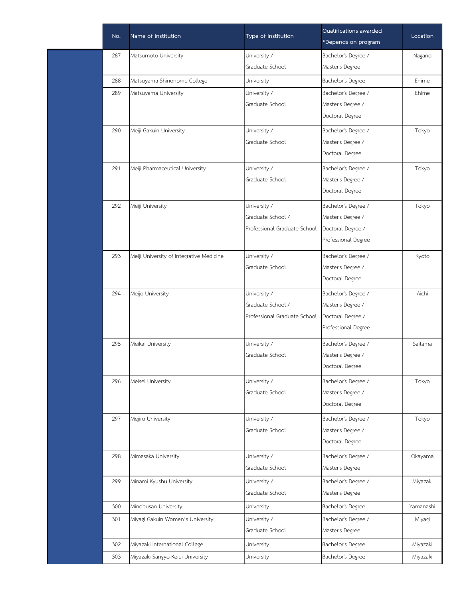|     | Name of Institution                      | Type of Institution          | Qualifications awarded | Location  |
|-----|------------------------------------------|------------------------------|------------------------|-----------|
| No. |                                          |                              | *Depends on program    |           |
| 287 | Matsumoto University                     | University /                 | Bachelor's Degree /    | Nagano    |
|     |                                          | Graduate School              | Master's Degree        |           |
| 288 | Matsuyama Shinonome College              | University                   | Bachelor's Degree      | Ehime     |
| 289 | Matsuyama University                     | University /                 | Bachelor's Degree /    | Ehime     |
|     |                                          | Graduate School              | Master's Degree /      |           |
|     |                                          |                              | Doctoral Degree        |           |
| 290 | Meiji Gakuin University                  | University /                 | Bachelor's Degree /    | Tokyo     |
|     |                                          | Graduate School              | Master's Degree /      |           |
|     |                                          |                              | Doctoral Degree        |           |
| 291 | Meiji Pharmaceutical University          | University /                 | Bachelor's Degree /    | Tokyo     |
|     |                                          | Graduate School              | Master's Degree /      |           |
|     |                                          |                              | Doctoral Degree        |           |
| 292 | Meiji University                         | University /                 | Bachelor's Degree /    | Tokyo     |
|     |                                          | Graduate School /            | Master's Degree /      |           |
|     |                                          | Professional Graduate School | Doctoral Degree /      |           |
|     |                                          |                              | Professional Degree    |           |
| 293 | Meiji University of Integrative Medicine | University /                 | Bachelor's Degree /    | Kyoto     |
|     |                                          | Graduate School              | Master's Degree /      |           |
|     |                                          |                              | Doctoral Degree        |           |
| 294 | Meijo University                         | University /                 | Bachelor's Degree /    | Aichi     |
|     |                                          | Graduate School /            | Master's Degree /      |           |
|     |                                          | Professional Graduate School | Doctoral Degree /      |           |
|     |                                          |                              | Professional Degree    |           |
| 295 | Meikai University                        | University /                 | Bachelor's Degree /    | Saitama   |
|     |                                          | Graduate School              | Master's Degree /      |           |
|     |                                          |                              | Doctoral Degree        |           |
| 296 | Meisei University                        | University /                 | Bachelor's Degree /    | Tokyo     |
|     |                                          | Graduate School              | Master's Degree /      |           |
|     |                                          |                              | Doctoral Degree        |           |
| 297 | Mejiro University                        | University /                 | Bachelor's Degree /    | Tokyo     |
|     |                                          | Graduate School              | Master's Degree /      |           |
|     |                                          |                              | Doctoral Degree        |           |
| 298 | Mimasaka University                      | University /                 | Bachelor's Degree /    | Okayama   |
|     |                                          | Graduate School              | Master's Degree        |           |
| 299 | Minami Kyushu University                 | University /                 | Bachelor's Degree /    | Miyazaki  |
|     |                                          | Graduate School              | Master's Degree        |           |
| 300 | Minobusan University                     | University                   | Bachelor's Degree      | Yamanashi |
| 301 | Miyagi Gakuin Women's University         | University /                 | Bachelor's Degree /    | Miyagi    |
|     |                                          | Graduate School              | Master's Degree        |           |
| 302 | Miyazaki International College           | University                   | Bachelor's Degree      | Miyazaki  |
| 303 | Miyazaki Sangyo-Keiei University         | University                   | Bachelor's Degree      | Miyazaki  |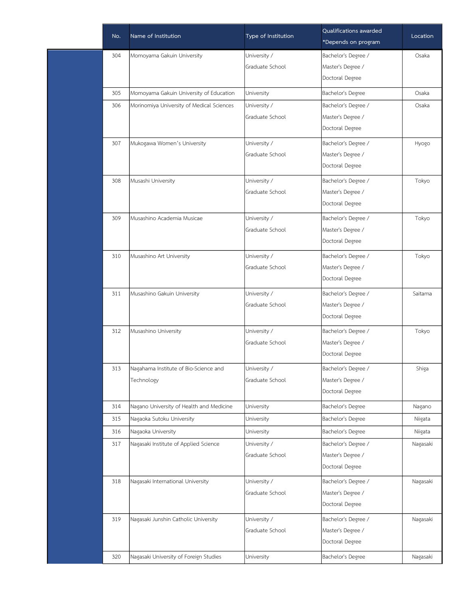| No. | Name of Institution                       | Type of Institution | Qualifications awarded<br>*Depends on program | Location |
|-----|-------------------------------------------|---------------------|-----------------------------------------------|----------|
| 304 | Momoyama Gakuin University                | University /        | Bachelor's Degree /                           | Osaka    |
|     |                                           | Graduate School     | Master's Degree /                             |          |
|     |                                           |                     | Doctoral Degree                               |          |
| 305 | Momoyama Gakuin University of Education   | University          | Bachelor's Degree                             | Osaka    |
| 306 | Morinomiya University of Medical Sciences | University /        | Bachelor's Degree /                           | Osaka    |
|     |                                           | Graduate School     | Master's Degree /                             |          |
|     |                                           |                     | Doctoral Degree                               |          |
| 307 | Mukogawa Women's University               | University /        | Bachelor's Degree /                           | Hyogo    |
|     |                                           | Graduate School     | Master's Degree /                             |          |
|     |                                           |                     | Doctoral Degree                               |          |
| 308 | Musashi University                        | University /        | Bachelor's Degree /                           | Tokyo    |
|     |                                           | Graduate School     | Master's Degree /                             |          |
|     |                                           |                     | Doctoral Degree                               |          |
| 309 | Musashino Academia Musicae                | University /        | Bachelor's Degree /                           | Tokyo    |
|     |                                           | Graduate School     | Master's Degree /                             |          |
|     |                                           |                     | Doctoral Degree                               |          |
| 310 | Musashino Art University                  | University /        | Bachelor's Degree /                           | Tokyo    |
|     |                                           | Graduate School     | Master's Degree /                             |          |
|     |                                           |                     | Doctoral Degree                               |          |
| 311 | Musashino Gakuin University               | University /        | Bachelor's Degree /                           | Saitama  |
|     |                                           | Graduate School     | Master's Degree /                             |          |
|     |                                           |                     | Doctoral Degree                               |          |
| 312 | Musashino University                      | University /        | Bachelor's Degree /                           | Tokyo    |
|     |                                           | Graduate School     | Master's Degree /                             |          |
|     |                                           |                     | Doctoral Degree                               |          |
| 313 | Nagahama Institute of Bio-Science and     | University /        | Bachelor's Degree /                           | Shiga    |
|     | Technology                                | Graduate School     | Master's Degree /                             |          |
|     |                                           |                     | Doctoral Degree                               |          |
| 314 | Nagano University of Health and Medicine  | University          | Bachelor's Degree                             | Nagano   |
| 315 | Nagaoka Sutoku University                 | University          | Bachelor's Degree                             | Niigata  |
| 316 | Nagaoka University                        | University          | Bachelor's Degree                             | Niigata  |
| 317 | Nagasaki Institute of Applied Science     | University /        | Bachelor's Degree /                           | Nagasaki |
|     |                                           | Graduate School     | Master's Degree /                             |          |
|     |                                           |                     | Doctoral Degree                               |          |
| 318 | Nagasaki International University         | University /        | Bachelor's Degree /                           | Nagasaki |
|     |                                           | Graduate School     | Master's Degree /                             |          |
|     |                                           |                     | Doctoral Degree                               |          |
| 319 | Nagasaki Junshin Catholic University      | University /        | Bachelor's Degree /                           | Nagasaki |
|     |                                           | Graduate School     | Master's Degree /                             |          |
|     |                                           |                     | Doctoral Degree                               |          |
| 320 | Nagasaki University of Foreign Studies    | University          | Bachelor's Degree                             | Nagasaki |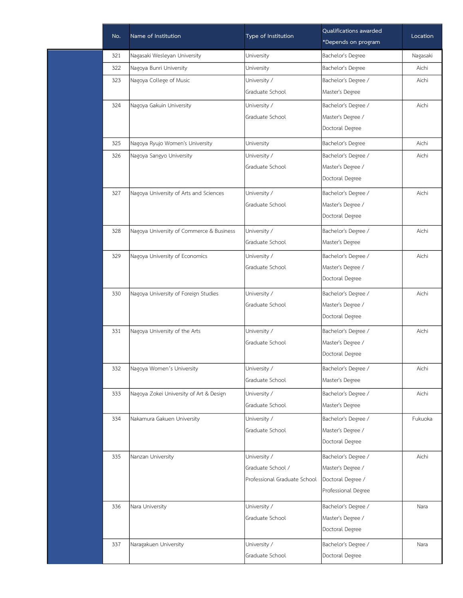| Name of Institution<br>Type of Institution<br>Location<br>No.<br>*Depends on program<br>321<br>Nagasaki Wesleyan University<br>University<br>Bachelor's Degree<br>Nagasaki<br>322<br>Nagoya Bunri University<br>University<br>Bachelor's Degree<br>Aichi<br>323<br>Nagoya College of Music<br>University /<br>Bachelor's Degree /<br>Aichi<br>Graduate School<br>Master's Degree<br>Bachelor's Degree /<br>324<br>Nagoya Gakuin University<br>University /<br>Aichi<br>Graduate School<br>Master's Degree /<br>Doctoral Degree<br>325<br>Nagoya Ryujo Women's University<br>University<br>Bachelor's Degree<br>Aichi<br>Bachelor's Degree /<br>326<br>Nagoya Sangyo University<br>University /<br>Aichi<br>Graduate School<br>Master's Degree /<br>Doctoral Degree<br>327<br>University /<br>Bachelor's Degree /<br>Aichi<br>Nagoya University of Arts and Sciences<br>Master's Degree /<br>Graduate School<br>Doctoral Degree<br>University /<br>Bachelor's Degree /<br>328<br>Nagoya University of Commerce & Business<br>Aichi<br>Graduate School<br>Master's Degree<br>329<br>Nagoya University of Economics<br>Aichi<br>University /<br>Bachelor's Degree /<br>Graduate School<br>Master's Degree /<br>Doctoral Degree |
|-----------------------------------------------------------------------------------------------------------------------------------------------------------------------------------------------------------------------------------------------------------------------------------------------------------------------------------------------------------------------------------------------------------------------------------------------------------------------------------------------------------------------------------------------------------------------------------------------------------------------------------------------------------------------------------------------------------------------------------------------------------------------------------------------------------------------------------------------------------------------------------------------------------------------------------------------------------------------------------------------------------------------------------------------------------------------------------------------------------------------------------------------------------------------------------------------------------------------------|
|                                                                                                                                                                                                                                                                                                                                                                                                                                                                                                                                                                                                                                                                                                                                                                                                                                                                                                                                                                                                                                                                                                                                                                                                                             |
|                                                                                                                                                                                                                                                                                                                                                                                                                                                                                                                                                                                                                                                                                                                                                                                                                                                                                                                                                                                                                                                                                                                                                                                                                             |
|                                                                                                                                                                                                                                                                                                                                                                                                                                                                                                                                                                                                                                                                                                                                                                                                                                                                                                                                                                                                                                                                                                                                                                                                                             |
|                                                                                                                                                                                                                                                                                                                                                                                                                                                                                                                                                                                                                                                                                                                                                                                                                                                                                                                                                                                                                                                                                                                                                                                                                             |
|                                                                                                                                                                                                                                                                                                                                                                                                                                                                                                                                                                                                                                                                                                                                                                                                                                                                                                                                                                                                                                                                                                                                                                                                                             |
|                                                                                                                                                                                                                                                                                                                                                                                                                                                                                                                                                                                                                                                                                                                                                                                                                                                                                                                                                                                                                                                                                                                                                                                                                             |
|                                                                                                                                                                                                                                                                                                                                                                                                                                                                                                                                                                                                                                                                                                                                                                                                                                                                                                                                                                                                                                                                                                                                                                                                                             |
|                                                                                                                                                                                                                                                                                                                                                                                                                                                                                                                                                                                                                                                                                                                                                                                                                                                                                                                                                                                                                                                                                                                                                                                                                             |
|                                                                                                                                                                                                                                                                                                                                                                                                                                                                                                                                                                                                                                                                                                                                                                                                                                                                                                                                                                                                                                                                                                                                                                                                                             |
|                                                                                                                                                                                                                                                                                                                                                                                                                                                                                                                                                                                                                                                                                                                                                                                                                                                                                                                                                                                                                                                                                                                                                                                                                             |
|                                                                                                                                                                                                                                                                                                                                                                                                                                                                                                                                                                                                                                                                                                                                                                                                                                                                                                                                                                                                                                                                                                                                                                                                                             |
|                                                                                                                                                                                                                                                                                                                                                                                                                                                                                                                                                                                                                                                                                                                                                                                                                                                                                                                                                                                                                                                                                                                                                                                                                             |
|                                                                                                                                                                                                                                                                                                                                                                                                                                                                                                                                                                                                                                                                                                                                                                                                                                                                                                                                                                                                                                                                                                                                                                                                                             |
|                                                                                                                                                                                                                                                                                                                                                                                                                                                                                                                                                                                                                                                                                                                                                                                                                                                                                                                                                                                                                                                                                                                                                                                                                             |
|                                                                                                                                                                                                                                                                                                                                                                                                                                                                                                                                                                                                                                                                                                                                                                                                                                                                                                                                                                                                                                                                                                                                                                                                                             |
|                                                                                                                                                                                                                                                                                                                                                                                                                                                                                                                                                                                                                                                                                                                                                                                                                                                                                                                                                                                                                                                                                                                                                                                                                             |
|                                                                                                                                                                                                                                                                                                                                                                                                                                                                                                                                                                                                                                                                                                                                                                                                                                                                                                                                                                                                                                                                                                                                                                                                                             |
|                                                                                                                                                                                                                                                                                                                                                                                                                                                                                                                                                                                                                                                                                                                                                                                                                                                                                                                                                                                                                                                                                                                                                                                                                             |
|                                                                                                                                                                                                                                                                                                                                                                                                                                                                                                                                                                                                                                                                                                                                                                                                                                                                                                                                                                                                                                                                                                                                                                                                                             |
|                                                                                                                                                                                                                                                                                                                                                                                                                                                                                                                                                                                                                                                                                                                                                                                                                                                                                                                                                                                                                                                                                                                                                                                                                             |
| University /<br>330<br>Nagoya University of Foreign Studies<br>Bachelor's Degree /<br>Aichi                                                                                                                                                                                                                                                                                                                                                                                                                                                                                                                                                                                                                                                                                                                                                                                                                                                                                                                                                                                                                                                                                                                                 |
| Master's Degree /<br>Graduate School                                                                                                                                                                                                                                                                                                                                                                                                                                                                                                                                                                                                                                                                                                                                                                                                                                                                                                                                                                                                                                                                                                                                                                                        |
| Doctoral Degree                                                                                                                                                                                                                                                                                                                                                                                                                                                                                                                                                                                                                                                                                                                                                                                                                                                                                                                                                                                                                                                                                                                                                                                                             |
|                                                                                                                                                                                                                                                                                                                                                                                                                                                                                                                                                                                                                                                                                                                                                                                                                                                                                                                                                                                                                                                                                                                                                                                                                             |
| Bachelor's Degree /<br>331<br>Nagoya University of the Arts<br>University /<br>Aichi                                                                                                                                                                                                                                                                                                                                                                                                                                                                                                                                                                                                                                                                                                                                                                                                                                                                                                                                                                                                                                                                                                                                        |
| Graduate School<br>Master's Degree /<br>Doctoral Degree                                                                                                                                                                                                                                                                                                                                                                                                                                                                                                                                                                                                                                                                                                                                                                                                                                                                                                                                                                                                                                                                                                                                                                     |
|                                                                                                                                                                                                                                                                                                                                                                                                                                                                                                                                                                                                                                                                                                                                                                                                                                                                                                                                                                                                                                                                                                                                                                                                                             |
| University /<br>Bachelor's Degree /<br>332<br>Nagoya Women's University<br>Aichi                                                                                                                                                                                                                                                                                                                                                                                                                                                                                                                                                                                                                                                                                                                                                                                                                                                                                                                                                                                                                                                                                                                                            |
| Graduate School<br>Master's Degree                                                                                                                                                                                                                                                                                                                                                                                                                                                                                                                                                                                                                                                                                                                                                                                                                                                                                                                                                                                                                                                                                                                                                                                          |
| University /<br>Bachelor's Degree /<br>333<br>Nagoya Zokei University of Art & Design<br>Aichi                                                                                                                                                                                                                                                                                                                                                                                                                                                                                                                                                                                                                                                                                                                                                                                                                                                                                                                                                                                                                                                                                                                              |
| Graduate School<br>Master's Degree                                                                                                                                                                                                                                                                                                                                                                                                                                                                                                                                                                                                                                                                                                                                                                                                                                                                                                                                                                                                                                                                                                                                                                                          |
| 334<br>Bachelor's Degree /<br>Nakamura Gakuen University<br>University /<br>Fukuoka                                                                                                                                                                                                                                                                                                                                                                                                                                                                                                                                                                                                                                                                                                                                                                                                                                                                                                                                                                                                                                                                                                                                         |
| Graduate School<br>Master's Degree /                                                                                                                                                                                                                                                                                                                                                                                                                                                                                                                                                                                                                                                                                                                                                                                                                                                                                                                                                                                                                                                                                                                                                                                        |
| Doctoral Degree                                                                                                                                                                                                                                                                                                                                                                                                                                                                                                                                                                                                                                                                                                                                                                                                                                                                                                                                                                                                                                                                                                                                                                                                             |
| University /<br>Bachelor's Degree /<br>335<br>Nanzan University<br>Aichi                                                                                                                                                                                                                                                                                                                                                                                                                                                                                                                                                                                                                                                                                                                                                                                                                                                                                                                                                                                                                                                                                                                                                    |
| Graduate School /<br>Master's Degree /                                                                                                                                                                                                                                                                                                                                                                                                                                                                                                                                                                                                                                                                                                                                                                                                                                                                                                                                                                                                                                                                                                                                                                                      |
| Doctoral Degree /<br>Professional Graduate School                                                                                                                                                                                                                                                                                                                                                                                                                                                                                                                                                                                                                                                                                                                                                                                                                                                                                                                                                                                                                                                                                                                                                                           |
| Professional Degree                                                                                                                                                                                                                                                                                                                                                                                                                                                                                                                                                                                                                                                                                                                                                                                                                                                                                                                                                                                                                                                                                                                                                                                                         |
| University /<br>Bachelor's Degree /<br>336<br>Nara University<br>Nara                                                                                                                                                                                                                                                                                                                                                                                                                                                                                                                                                                                                                                                                                                                                                                                                                                                                                                                                                                                                                                                                                                                                                       |
| Master's Degree /<br>Graduate School                                                                                                                                                                                                                                                                                                                                                                                                                                                                                                                                                                                                                                                                                                                                                                                                                                                                                                                                                                                                                                                                                                                                                                                        |
| Doctoral Degree                                                                                                                                                                                                                                                                                                                                                                                                                                                                                                                                                                                                                                                                                                                                                                                                                                                                                                                                                                                                                                                                                                                                                                                                             |
| University /<br>Bachelor's Degree /<br>337<br>Naragakuen University<br>Nara                                                                                                                                                                                                                                                                                                                                                                                                                                                                                                                                                                                                                                                                                                                                                                                                                                                                                                                                                                                                                                                                                                                                                 |
| Graduate School<br>Doctoral Degree                                                                                                                                                                                                                                                                                                                                                                                                                                                                                                                                                                                                                                                                                                                                                                                                                                                                                                                                                                                                                                                                                                                                                                                          |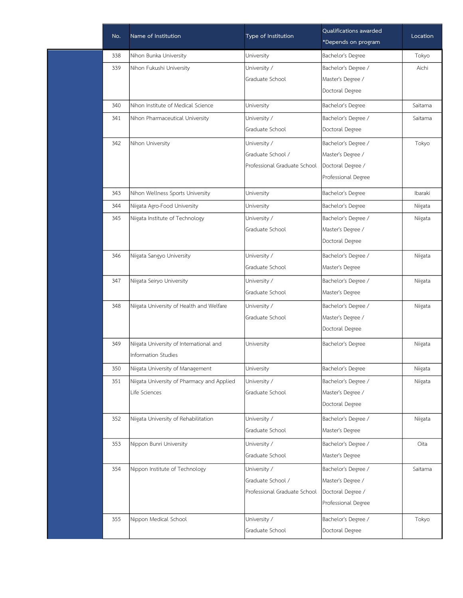| No. | Name of Institution                        | Type of Institution          | Qualifications awarded<br>*Depends on program | Location |
|-----|--------------------------------------------|------------------------------|-----------------------------------------------|----------|
| 338 | Nihon Bunka University                     | University                   | Bachelor's Degree                             | Tokyo    |
| 339 | Nihon Fukushi University                   | University /                 | Bachelor's Degree /                           | Aichi    |
|     |                                            | Graduate School              | Master's Degree /                             |          |
|     |                                            |                              | Doctoral Degree                               |          |
| 340 | Nihon Institute of Medical Science         | University                   | Bachelor's Degree                             | Saitama  |
| 341 | Nihon Pharmaceutical University            | University /                 | Bachelor's Degree /                           | Saitama  |
|     |                                            | Graduate School              | Doctoral Degree                               |          |
| 342 | Nihon University                           | University /                 | Bachelor's Degree /                           | Tokyo    |
|     |                                            | Graduate School /            | Master's Degree /                             |          |
|     |                                            | Professional Graduate School | Doctoral Degree /                             |          |
|     |                                            |                              | Professional Degree                           |          |
| 343 | Nihon Wellness Sports University           | University                   | Bachelor's Degree                             | Ibaraki  |
| 344 | Niigata Agro-Food University               | University                   | Bachelor's Degree                             | Niigata  |
| 345 | Niigata Institute of Technology            | University /                 | Bachelor's Degree /                           | Niigata  |
|     |                                            | Graduate School              | Master's Degree /                             |          |
|     |                                            |                              | Doctoral Degree                               |          |
| 346 | Niigata Sangyo University                  | University /                 | Bachelor's Degree /                           | Niigata  |
|     |                                            | Graduate School              | Master's Degree                               |          |
| 347 | Niigata Seiryo University                  | University /                 | Bachelor's Degree /                           | Niigata  |
|     |                                            | Graduate School              | Master's Degree                               |          |
| 348 | Niigata University of Health and Welfare   | University /                 | Bachelor's Degree /                           | Niigata  |
|     |                                            | Graduate School              | Master's Degree /                             |          |
|     |                                            |                              | Doctoral Degree                               |          |
| 349 | Niigata University of International and    | University                   | Bachelor's Degree                             | Niigata  |
|     | Information Studies                        |                              |                                               |          |
| 350 | Niigata University of Management           | University                   | Bachelor's Degree                             | Niigata  |
| 351 | Niigata University of Pharmacy and Applied | University /                 | Bachelor's Degree /                           | Niigata  |
|     | Life Sciences                              | Graduate School              | Master's Degree /                             |          |
|     |                                            |                              | Doctoral Degree                               |          |
| 352 | Niigata University of Rehabilitation       | University /                 | Bachelor's Degree /                           | Niigata  |
|     |                                            | Graduate School              | Master's Degree                               |          |
| 353 | Nippon Bunri University                    | University /                 | Bachelor's Degree /                           | Oita     |
|     |                                            | Graduate School              | Master's Degree                               |          |
| 354 | Nippon Institute of Technology             | University /                 | Bachelor's Degree /                           | Saitama  |
|     |                                            | Graduate School /            | Master's Degree /                             |          |
|     |                                            | Professional Graduate School | Doctoral Degree /                             |          |
|     |                                            |                              | Professional Degree                           |          |
| 355 | Nippon Medical School                      | University /                 | Bachelor's Degree /                           | Tokyo    |
|     |                                            | Graduate School              | Doctoral Degree                               |          |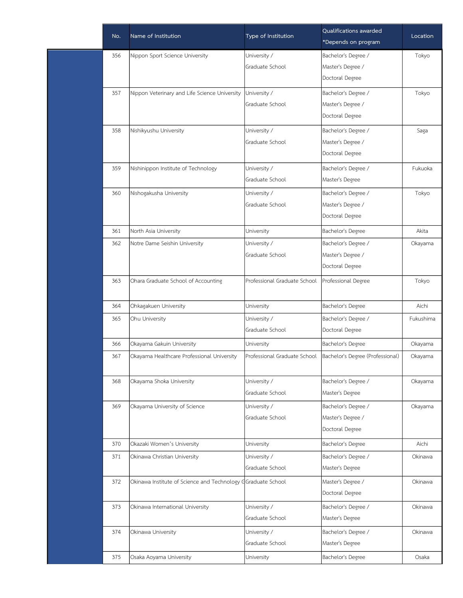| No. | Name of Institution                                          | Type of Institution          | Qualifications awarded<br>*Depends on program | Location  |
|-----|--------------------------------------------------------------|------------------------------|-----------------------------------------------|-----------|
| 356 | Nippon Sport Science University                              | University /                 | Bachelor's Degree /                           | Tokyo     |
|     |                                                              | Graduate School              | Master's Degree /                             |           |
|     |                                                              |                              | Doctoral Degree                               |           |
| 357 | Nippon Veterinary and Life Science University                | University /                 | Bachelor's Degree /                           | Tokyo     |
|     |                                                              | Graduate School              | Master's Degree /                             |           |
|     |                                                              |                              | Doctoral Degree                               |           |
| 358 | Nishikyushu University                                       | University /                 | Bachelor's Degree /                           | Saga      |
|     |                                                              | Graduate School              | Master's Degree /                             |           |
|     |                                                              |                              | Doctoral Degree                               |           |
| 359 | Nishinippon Institute of Technology                          | University /                 | Bachelor's Degree /                           | Fukuoka   |
|     |                                                              | Graduate School              | Master's Degree                               |           |
| 360 | Nishogakusha University                                      | University /                 | Bachelor's Degree /                           | Tokyo     |
|     |                                                              | Graduate School              | Master's Degree /                             |           |
|     |                                                              |                              | Doctoral Degree                               |           |
| 361 | North Asia University                                        | University                   | Bachelor's Degree                             | Akita     |
| 362 | Notre Dame Seishin University                                | University /                 | Bachelor's Degree /                           | Okayama   |
|     |                                                              | Graduate School              | Master's Degree /                             |           |
|     |                                                              |                              | Doctoral Degree                               |           |
| 363 | Ohara Graduate School of Accounting                          | Professional Graduate School | Professional Degree                           | Tokyo     |
|     |                                                              |                              |                                               |           |
| 364 | Ohkagakuen University                                        | University                   | Bachelor's Degree                             | Aichi     |
| 365 | Ohu University                                               | University /                 | Bachelor's Degree /                           | Fukushima |
|     |                                                              | Graduate School              | Doctoral Degree                               |           |
| 366 | Okayama Gakuin University                                    | University                   | Bachelor's Degree                             | Okayama   |
| 367 | Okayama Healthcare Professional University                   | Professional Graduate School | Bachelor's Degree (Professional)              | Okayama   |
| 368 | Okayama Shoka University                                     | University /                 | Bachelor's Degree /                           | Okayama   |
|     |                                                              | Graduate School              | Master's Degree                               |           |
| 369 | Okayama University of Science                                | University /                 | Bachelor's Degree /                           | Okayama   |
|     |                                                              | Graduate School              | Master's Degree /                             |           |
|     |                                                              |                              | Doctoral Degree                               |           |
| 370 | Okazaki Women's University                                   | University                   | Bachelor's Degree                             | Aichi     |
| 371 | Okinawa Christian University                                 | University /                 | Bachelor's Degree /                           | Okinawa   |
|     |                                                              | Graduate School              | Master's Degree                               |           |
| 372 | Okinawa Institute of Science and Technology GGraduate School |                              | Master's Degree /                             | Okinawa   |
|     |                                                              |                              | Doctoral Degree                               |           |
| 373 | Okinawa International University                             | University /                 | Bachelor's Degree /                           | Okinawa   |
|     |                                                              | Graduate School              | Master's Degree                               |           |
| 374 | Okinawa University                                           | University /                 | Bachelor's Degree /                           | Okinawa   |
|     |                                                              | Graduate School              | Master's Degree                               |           |
| 375 | Osaka Aoyama University                                      | University                   | Bachelor's Degree                             | Osaka     |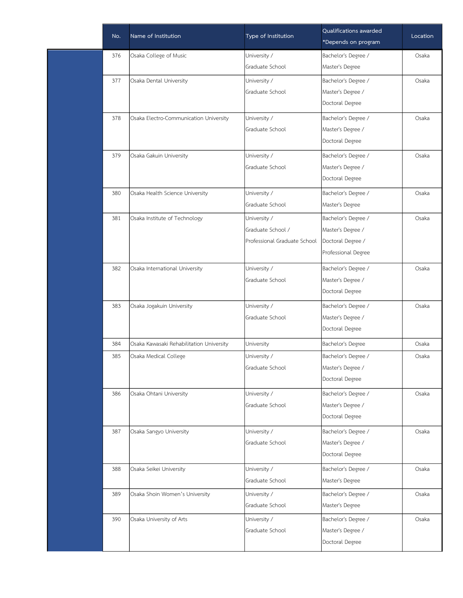| No. | Name of Institution                      | Type of Institution          | Qualifications awarded<br>*Depends on program | Location |
|-----|------------------------------------------|------------------------------|-----------------------------------------------|----------|
| 376 | Osaka College of Music                   | University /                 | Bachelor's Degree /                           | Osaka    |
|     |                                          | Graduate School              | Master's Degree                               |          |
| 377 | Osaka Dental University                  | University /                 | Bachelor's Degree /                           | Osaka    |
|     |                                          | Graduate School              | Master's Degree /                             |          |
|     |                                          |                              | Doctoral Degree                               |          |
| 378 | Osaka Electro-Communication University   | University /                 | Bachelor's Degree /                           | Osaka    |
|     |                                          | Graduate School              | Master's Degree /                             |          |
|     |                                          |                              | Doctoral Degree                               |          |
| 379 | Osaka Gakuin University                  | University /                 | Bachelor's Degree /                           | Osaka    |
|     |                                          | Graduate School              | Master's Degree /                             |          |
|     |                                          |                              | Doctoral Degree                               |          |
| 380 | Osaka Health Science University          | University /                 | Bachelor's Degree /                           | Osaka    |
|     |                                          | Graduate School              | Master's Degree                               |          |
| 381 | Osaka Institute of Technology            | University /                 | Bachelor's Degree /                           | Osaka    |
|     |                                          | Graduate School /            | Master's Degree /                             |          |
|     |                                          | Professional Graduate School | Doctoral Degree /                             |          |
|     |                                          |                              | Professional Degree                           |          |
| 382 | Osaka International University           | University /                 | Bachelor's Degree /                           | Osaka    |
|     |                                          | Graduate School              | Master's Degree /                             |          |
|     |                                          |                              | Doctoral Degree                               |          |
| 383 | Osaka Jogakuin University                | University /                 | Bachelor's Degree /                           | Osaka    |
|     |                                          | Graduate School              | Master's Degree /                             |          |
|     |                                          |                              | Doctoral Degree                               |          |
| 384 | Osaka Kawasaki Rehabilitation University | University                   | Bachelor's Degree                             | Osaka    |
| 385 | Osaka Medical College                    | University /                 | Bachelor's Degree /                           | Osaka    |
|     |                                          | Graduate School              | Master's Degree /                             |          |
|     |                                          |                              | Doctoral Degree                               |          |
| 386 | Osaka Ohtani University                  | University /                 | Bachelor's Degree /                           | Osaka    |
|     |                                          | Graduate School              | Master's Degree /                             |          |
|     |                                          |                              | Doctoral Degree                               |          |
| 387 | Osaka Sangyo University                  | University /                 | Bachelor's Degree /                           | Osaka    |
|     |                                          | Graduate School              | Master's Degree /                             |          |
|     |                                          |                              | Doctoral Degree                               |          |
| 388 | Osaka Seikei University                  | University /                 | Bachelor's Degree /                           | Osaka    |
|     |                                          | Graduate School              | Master's Degree                               |          |
| 389 | Osaka Shoin Women's University           | University /                 | Bachelor's Degree /                           | Osaka    |
|     |                                          | Graduate School              | Master's Degree                               |          |
| 390 | Osaka University of Arts                 | University /                 | Bachelor's Degree /                           | Osaka    |
|     |                                          | Graduate School              | Master's Degree /                             |          |
|     |                                          |                              | Doctoral Degree                               |          |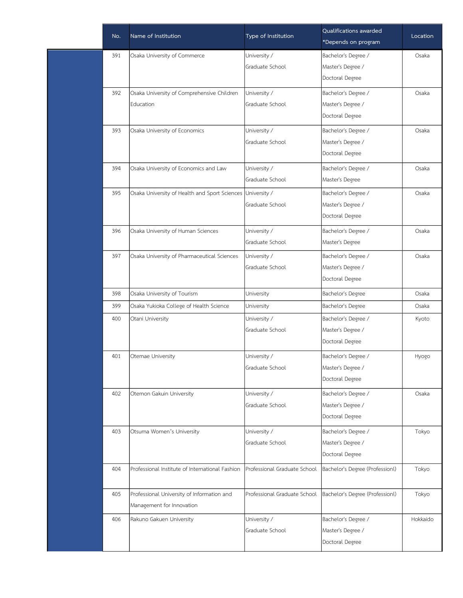| No. | Name of Institution                                        | Type of Institution          | Qualifications awarded<br>*Depends on program | Location |
|-----|------------------------------------------------------------|------------------------------|-----------------------------------------------|----------|
| 391 | Osaka University of Commerce                               | University /                 | Bachelor's Degree /                           | Osaka    |
|     |                                                            | Graduate School              | Master's Degree /                             |          |
|     |                                                            |                              | Doctoral Degree                               |          |
| 392 | Osaka University of Comprehensive Children                 | University /                 | Bachelor's Degree /                           | Osaka    |
|     | Education                                                  | Graduate School              | Master's Degree /                             |          |
|     |                                                            |                              | Doctoral Degree                               |          |
| 393 | Osaka University of Economics                              | University /                 | Bachelor's Degree /                           | Osaka    |
|     |                                                            | Graduate School              | Master's Degree /                             |          |
|     |                                                            |                              | Doctoral Degree                               |          |
| 394 | Osaka University of Economics and Law                      | University /                 | Bachelor's Degree /                           | Osaka    |
|     |                                                            | Graduate School              | Master's Degree                               |          |
| 395 | Osaka University of Health and Sport Sciences University / |                              | Bachelor's Degree /                           | Osaka    |
|     |                                                            | Graduate School              | Master's Degree /                             |          |
|     |                                                            |                              | Doctoral Degree                               |          |
| 396 | Osaka University of Human Sciences                         | University /                 | Bachelor's Degree /                           | Osaka    |
|     |                                                            | Graduate School              | Master's Degree                               |          |
| 397 | Osaka University of Pharmaceutical Sciences                | University /                 | Bachelor's Degree /                           | Osaka    |
|     |                                                            | Graduate School              | Master's Degree /                             |          |
|     |                                                            |                              | Doctoral Degree                               |          |
| 398 | Osaka University of Tourism                                | University                   | Bachelor's Degree                             | Osaka    |
| 399 | Osaka Yukioka College of Health Science                    | University                   | Bachelor's Degree                             | Osaka    |
| 400 | Otani University                                           | University /                 | Bachelor's Degree /                           | Kyoto    |
|     |                                                            | Graduate School              | Master's Degree /                             |          |
|     |                                                            |                              | Doctoral Degree                               |          |
| 401 | Otemae University                                          | University /                 | Bachelor's Degree /                           | Hyogo    |
|     |                                                            | Graduate School              | Master's Degree /                             |          |
|     |                                                            |                              | Doctoral Degree                               |          |
| 402 | Otemon Gakuin University                                   | University /                 | Bachelor's Degree /                           | Osaka    |
|     |                                                            | Graduate School              | Master's Degree /                             |          |
|     |                                                            |                              | Doctoral Degree                               |          |
| 403 | Otsuma Women's University                                  | University /                 | Bachelor's Degree /                           | Tokyo    |
|     |                                                            | Graduate School              | Master's Degree /                             |          |
|     |                                                            |                              | Doctoral Degree                               |          |
| 404 | Professional Institute of International Fashion            | Professional Graduate School | Bachelor's Degree (Professionl)               | Tokyo    |
| 405 | Professional University of Information and                 | Professional Graduate School | Bachelor's Degree (Professionl)               | Tokyo    |
|     | Management for Innovation                                  |                              |                                               |          |
| 406 | Rakuno Gakuen University                                   | University /                 | Bachelor's Degree /                           | Hokkaido |
|     |                                                            | Graduate School              | Master's Degree /                             |          |
|     |                                                            |                              | Doctoral Degree                               |          |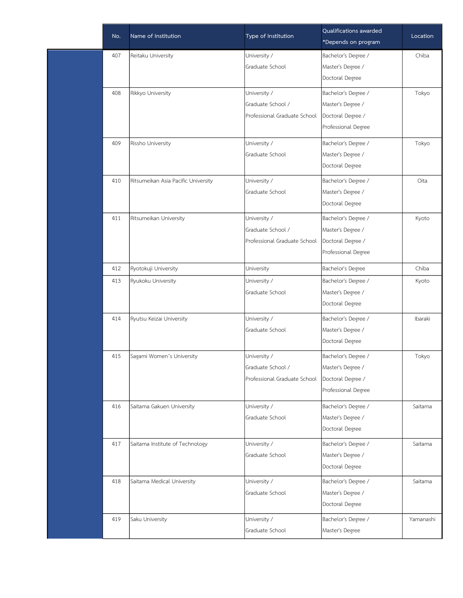| No. | Name of Institution                 | Type of Institution          | Qualifications awarded<br>*Depends on program | Location  |
|-----|-------------------------------------|------------------------------|-----------------------------------------------|-----------|
| 407 | Reitaku University                  | University /                 | Bachelor's Degree /                           | Chiba     |
|     |                                     | Graduate School              | Master's Degree /                             |           |
|     |                                     |                              | Doctoral Degree                               |           |
| 408 | Rikkyo University                   | University /                 | Bachelor's Degree /                           | Tokyo     |
|     |                                     | Graduate School /            | Master's Degree /                             |           |
|     |                                     | Professional Graduate School | Doctoral Degree /                             |           |
|     |                                     |                              | Professional Degree                           |           |
| 409 | Rissho University                   | University /                 | Bachelor's Degree /                           | Tokyo     |
|     |                                     | Graduate School              | Master's Degree /                             |           |
|     |                                     |                              | Doctoral Degree                               |           |
| 410 | Ritsumeikan Asia Pacific University | University /                 | Bachelor's Degree /                           | Oita      |
|     |                                     | Graduate School              | Master's Degree /                             |           |
|     |                                     |                              | Doctoral Degree                               |           |
| 411 | Ritsumeikan University              | University /                 | Bachelor's Degree /                           | Kyoto     |
|     |                                     | Graduate School /            | Master's Degree /                             |           |
|     |                                     | Professional Graduate School | Doctoral Degree /                             |           |
|     |                                     |                              | Professional Degree                           |           |
| 412 | Ryotokuji University                | University                   | Bachelor's Degree                             | Chiba     |
| 413 | Ryukoku University                  | University /                 | Bachelor's Degree /                           | Kyoto     |
|     |                                     | Graduate School              | Master's Degree /                             |           |
|     |                                     |                              | Doctoral Degree                               |           |
| 414 | Ryutsu Keizai University            | University /                 | Bachelor's Degree /                           | Ibaraki   |
|     |                                     | Graduate School              | Master's Degree /                             |           |
|     |                                     |                              | Doctoral Degree                               |           |
| 415 | Sagami Women's University           | University /                 | Bachelor's Degree /                           | Tokyo     |
|     |                                     | Graduate School /            | Master's Degree /                             |           |
|     |                                     | Professional Graduate School | Doctoral Degree /                             |           |
|     |                                     |                              | Professional Degree                           |           |
| 416 | Saitama Gakuen University           | University /                 | Bachelor's Degree /                           | Saitama   |
|     |                                     | Graduate School              | Master's Degree /                             |           |
|     |                                     |                              | Doctoral Degree                               |           |
| 417 | Saitama Institute of Technology     | University /                 | Bachelor's Degree /                           | Saitama   |
|     |                                     | Graduate School              | Master's Degree /                             |           |
|     |                                     |                              | Doctoral Degree                               |           |
| 418 | Saitama Medical University          | University /                 | Bachelor's Degree /                           | Saitama   |
|     |                                     | Graduate School              | Master's Degree /                             |           |
|     |                                     |                              | Doctoral Degree                               |           |
| 419 | Saku University                     | University /                 | Bachelor's Degree /                           | Yamanashi |
|     |                                     | Graduate School              | Master's Degree                               |           |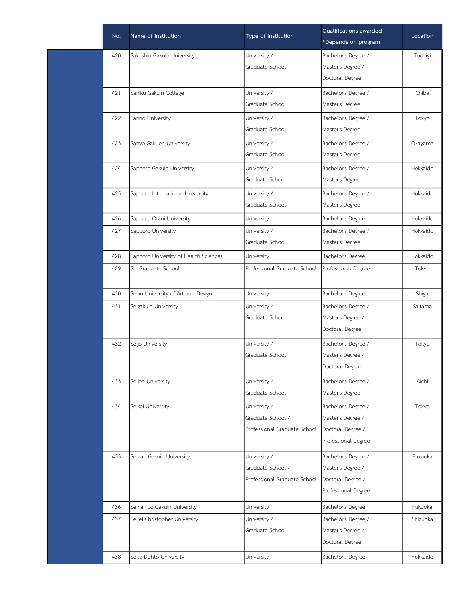| No. | Name of Institution                   | Type of Institution          | Qualifications awarded<br>*Depends on program | Location |
|-----|---------------------------------------|------------------------------|-----------------------------------------------|----------|
| 420 | Sakushin Gakuin University            | University /                 | Bachelor's Degree /                           | Tochigi  |
|     |                                       | Graduate School              | Master's Degree /                             |          |
|     |                                       |                              | Doctoral Degree                               |          |
| 421 | Saniku Gakuin College                 | University /                 | Bachelor's Degree /                           | Chiba    |
|     |                                       | Graduate School              | Master's Degree                               |          |
| 422 | Sanno University                      | University /                 | Bachelor's Degree /                           | Tokyo    |
|     |                                       | Graduate School              | Master's Degree                               |          |
| 423 | Sanyo Gakuen University               | University /                 | Bachelor's Degree /                           | Okayama  |
|     |                                       | Graduate School              | Master's Degree                               |          |
| 424 | Sapporo Gakuin University             | University /                 | Bachelor's Degree /                           | Hokkaido |
|     |                                       | Graduate School              | Master's Degree                               |          |
| 425 | Sapporo International University      | University /                 | Bachelor's Degree /                           | Hokkaido |
|     |                                       | Graduate School              | Master's Degree                               |          |
| 426 | Sapporo Otani University              | University                   | Bachelor's Degree                             | Hokkaido |
| 427 | Sapporo University                    | University /                 | Bachelor's Degree /                           | Hokkaido |
|     |                                       | Graduate School              | Master's Degree                               |          |
| 428 | Sapporo University of Health Sciences | University                   | Bachelor's Degree                             | Hokkaido |
| 429 | Sbi Graduate School                   | Professional Graduate School | Professional Degree                           | Tokyo    |
|     |                                       |                              |                                               |          |
| 430 | Seian University of Art and Design    | University                   | Bachelor's Degree                             | Shiga    |
| 431 | Seigakuin University                  | University /                 | Bachelor's Degree /                           | Saitama  |
|     |                                       | Graduate School              | Master's Degree /                             |          |
|     |                                       |                              | Doctoral Degree                               |          |
| 432 | Seijo University                      | University /                 | Bachelor's Degree /                           | Tokyo    |
|     |                                       | Graduate School              | Master's Degree /                             |          |
|     |                                       |                              | Doctoral Degree                               |          |
| 433 | Seijoh University                     | University /                 | Bachelor's Degree /                           | Aichi    |
|     |                                       | Graduate School              | Master's Degree                               |          |
| 434 | Seikei University                     | University /                 | Bachelor's Degree /                           | Tokyo    |
|     |                                       | Graduate School /            | Master's Degree /                             |          |
|     |                                       | Professional Graduate School | Doctoral Degree /                             |          |
|     |                                       |                              | Professional Degree                           |          |
| 435 | Seinan Gakuin University              | University /                 | Bachelor's Degree /                           | Fukuoka  |
|     |                                       | Graduate School /            | Master's Degree /                             |          |
|     |                                       | Professional Graduate School | Doctoral Degree /                             |          |
|     |                                       |                              | Professional Degree                           |          |
| 436 | Seinan Jo Gakuin University           | University                   | Bachelor's Degree                             | Fukuoka  |
| 437 | Seirei Christopher University         | University /                 | Bachelor's Degree /                           | Shizuoka |
|     |                                       | Graduate School              | Master's Degree /                             |          |
|     |                                       |                              | Doctoral Degree                               |          |
| 438 | Seisa Dohto University                | University                   | Bachelor's Degree                             | Hokkaido |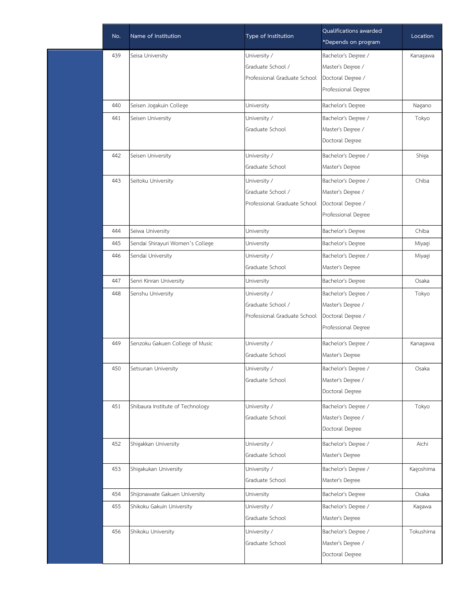| No. | Name of Institution              | Type of Institution          | Qualifications awarded<br>*Depends on program | Location  |
|-----|----------------------------------|------------------------------|-----------------------------------------------|-----------|
| 439 | Seisa University                 | University /                 | Bachelor's Degree /                           | Kanagawa  |
|     |                                  | Graduate School /            | Master's Degree /                             |           |
|     |                                  | Professional Graduate School | Doctoral Degree /                             |           |
|     |                                  |                              | Professional Degree                           |           |
| 440 | Seisen Jogakuin College          | University                   | Bachelor's Degree                             | Nagano    |
| 441 | Seisen University                | University /                 | Bachelor's Degree /                           | Tokyo     |
|     |                                  | Graduate School              | Master's Degree /                             |           |
|     |                                  |                              | Doctoral Degree                               |           |
| 442 | Seisen University                | University /                 | Bachelor's Degree /                           | Shiga     |
|     |                                  | Graduate School              | Master's Degree                               |           |
| 443 | Seitoku University               | University /                 | Bachelor's Degree /                           | Chiba     |
|     |                                  | Graduate School /            | Master's Degree /                             |           |
|     |                                  | Professional Graduate School | Doctoral Degree /                             |           |
|     |                                  |                              | Professional Degree                           |           |
| 444 | Seiwa University                 | University                   | Bachelor's Degree                             | Chiba     |
| 445 | Sendai Shirayuri Women's College | University                   | Bachelor's Degree                             | Miyagi    |
| 446 | Sendai University                | University /                 | Bachelor's Degree /                           | Miyagi    |
|     |                                  | Graduate School              | Master's Degree                               |           |
| 447 | Senri Kinran University          | University                   | Bachelor's Degree                             | Osaka     |
| 448 | Senshu University                | University /                 | Bachelor's Degree /                           | Tokyo     |
|     |                                  | Graduate School /            | Master's Degree /                             |           |
|     |                                  | Professional Graduate School | Doctoral Degree /                             |           |
|     |                                  |                              | Professional Degree                           |           |
| 449 | Senzoku Gakuen College of Music  | University /                 | Bachelor's Degree /                           | Kanagawa  |
|     |                                  | Graduate School              | Master's Degree                               |           |
| 450 | Setsunan University              | University /                 | Bachelor's Degree /                           | Osaka     |
|     |                                  | Graduate School              | Master's Degree /                             |           |
|     |                                  |                              | Doctoral Degree                               |           |
| 451 | Shibaura Institute of Technology | University /                 | Bachelor's Degree /                           | Tokyo     |
|     |                                  | Graduate School              | Master's Degree /                             |           |
|     |                                  |                              | Doctoral Degree                               |           |
| 452 | Shigakkan University             | University /                 | Bachelor's Degree /                           | Aichi     |
|     |                                  | Graduate School              | Master's Degree                               |           |
| 453 | Shigakukan University            | University /                 | Bachelor's Degree /                           | Kagoshima |
|     |                                  | Graduate School              | Master's Degree                               |           |
| 454 | Shijonawate Gakuen University    | University                   | Bachelor's Degree                             | Osaka     |
| 455 | Shikoku Gakuin University        | University /                 | Bachelor's Degree /                           | Kagawa    |
|     |                                  | Graduate School              | Master's Degree                               |           |
| 456 | Shikoku University               | University /                 | Bachelor's Degree /                           | Tokushima |
|     |                                  | Graduate School              | Master's Degree /                             |           |
|     |                                  |                              | Doctoral Degree                               |           |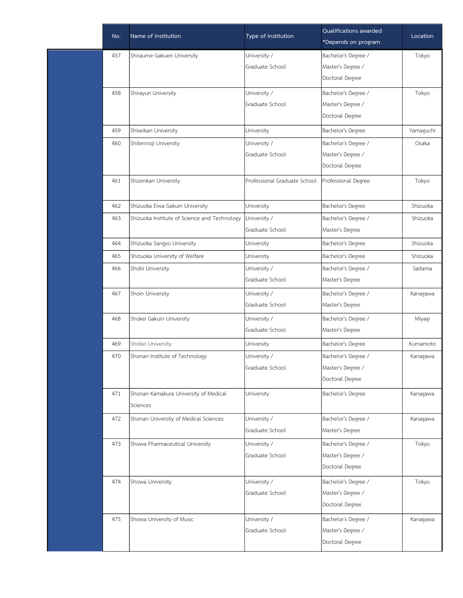| No. | Name of Institution                          | Type of Institution          | Qualifications awarded<br>*Depends on program | Location  |
|-----|----------------------------------------------|------------------------------|-----------------------------------------------|-----------|
| 457 | Shiraume Gakuen University                   | University /                 | Bachelor's Degree /                           | Tokyo     |
|     |                                              | Graduate School              | Master's Degree /                             |           |
|     |                                              |                              | Doctoral Degree                               |           |
| 458 | Shirayuri University                         | University /                 | Bachelor's Degree /                           | Tokyo     |
|     |                                              | Graduate School              | Master's Degree /                             |           |
|     |                                              |                              | Doctoral Degree                               |           |
| 459 | Shiseikan University                         | University                   | Bachelor's Degree                             | Yamaguchi |
| 460 | Shitennoji University                        | University /                 | Bachelor's Degree /                           | Osaka     |
|     |                                              | Graduate School              | Master's Degree /                             |           |
|     |                                              |                              | Doctoral Degree                               |           |
| 461 | Shizenkan University                         | Professional Graduate School | Professional Degree                           | Tokyo     |
|     |                                              |                              |                                               |           |
| 462 | Shizuoka Eiwa Gakuin University              | University                   | Bachelor's Degree                             | Shizuoka  |
| 463 | Shizuoka Institute of Science and Technology | University /                 | Bachelor's Degree /                           | Shizuoka  |
|     |                                              | Graduate School              | Master's Degree                               |           |
| 464 | Shizuoka Sangyo University                   | University                   | Bachelor's Degree                             | Shizuoka  |
| 465 | Shizuoka University of Welfare               | University                   | Bachelor's Degree                             | Shizuoka  |
| 466 | Shobi University                             | University /                 | Bachelor's Degree /                           | Saitama   |
|     |                                              | Graduate School              | Master's Degree                               |           |
| 467 | Shoin University                             | University /                 | Bachelor's Degree /                           | Kanagawa  |
|     |                                              | Graduate School              | Master's Degree                               |           |
| 468 | Shokei Gakuin University                     | University /                 | Bachelor's Degree /                           | Miyagi    |
|     |                                              | Graduate School              | Master's Degree                               |           |
| 469 | Shokei University                            | University                   | Bachelor's Degree                             | Kumamoto  |
| 470 | Shonan Institute of Technology               | University /                 | Bachelor's Degree /                           | Kanagawa  |
|     |                                              | Graduate School              | Master's Degree /                             |           |
|     |                                              |                              | Doctoral Degree                               |           |
| 471 | Shonan Kamakura University of Medical        | University                   | Bachelor's Degree                             | Kanagawa  |
|     | Sciences                                     |                              |                                               |           |
| 472 | Shonan University of Medical Sciences        | University /                 | Bachelor's Degree /                           | Kanagawa  |
|     |                                              | Graduate School              | Master's Degree                               |           |
| 473 | Showa Pharmaceutical University              | University /                 | Bachelor's Degree /                           | Tokyo     |
|     |                                              | Graduate School              | Master's Degree /                             |           |
|     |                                              |                              | Doctoral Degree                               |           |
| 474 | Showa University                             | University /                 | Bachelor's Degree /                           | Tokyo     |
|     |                                              | Graduate School              | Master's Degree /                             |           |
|     |                                              |                              | Doctoral Degree                               |           |
| 475 | Showa University of Music                    | University /                 | Bachelor's Degree /                           | Kanagawa  |
|     |                                              | Graduate School              | Master's Degree /                             |           |
|     |                                              |                              | Doctoral Degree                               |           |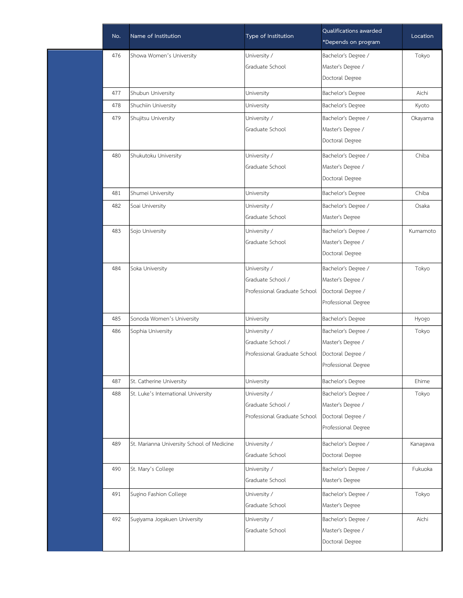| No. | Name of Institution                        | Type of Institution          | Qualifications awarded | Location |
|-----|--------------------------------------------|------------------------------|------------------------|----------|
|     |                                            |                              | *Depends on program    |          |
| 476 | Showa Women's University                   | University /                 | Bachelor's Degree /    | Tokyo    |
|     |                                            | Graduate School              | Master's Degree /      |          |
|     |                                            |                              | Doctoral Degree        |          |
| 477 | Shubun University                          | University                   | Bachelor's Degree      | Aichi    |
| 478 | Shuchiin University                        | University                   | Bachelor's Degree      | Kyoto    |
| 479 | Shujitsu University                        | University /                 | Bachelor's Degree /    | Okayama  |
|     |                                            | Graduate School              | Master's Degree /      |          |
|     |                                            |                              | Doctoral Degree        |          |
| 480 | Shukutoku University                       | University /                 | Bachelor's Degree /    | Chiba    |
|     |                                            | Graduate School              | Master's Degree /      |          |
|     |                                            |                              | Doctoral Degree        |          |
| 481 | Shumei University                          | University                   | Bachelor's Degree      | Chiba    |
| 482 | Soai University                            | University /                 | Bachelor's Degree /    | Osaka    |
|     |                                            | Graduate School              | Master's Degree        |          |
| 483 | Sojo University                            | University /                 | Bachelor's Degree /    | Kumamoto |
|     |                                            | Graduate School              | Master's Degree /      |          |
|     |                                            |                              | Doctoral Degree        |          |
| 484 | Soka University                            | University /                 | Bachelor's Degree /    | Tokyo    |
|     |                                            | Graduate School /            | Master's Degree /      |          |
|     |                                            | Professional Graduate School | Doctoral Degree /      |          |
|     |                                            |                              | Professional Degree    |          |
| 485 | Sonoda Women's University                  | University                   | Bachelor's Degree      | Hyogo    |
| 486 | Sophia University                          | University /                 | Bachelor's Degree /    | Tokyo    |
|     |                                            | Graduate School /            | Master's Degree /      |          |
|     |                                            | Professional Graduate School | Doctoral Degree /      |          |
|     |                                            |                              | Professional Degree    |          |
| 487 | St. Catherine University                   | University                   | Bachelor's Degree      | Ehime    |
| 488 | St. Luke's International University        | University /                 | Bachelor's Degree /    | Tokyo    |
|     |                                            | Graduate School /            | Master's Degree /      |          |
|     |                                            | Professional Graduate School | Doctoral Degree /      |          |
|     |                                            |                              | Professional Degree    |          |
| 489 | St. Marianna University School of Medicine | University /                 | Bachelor's Degree /    | Kanagawa |
|     |                                            | Graduate School              | Doctoral Degree        |          |
| 490 | St. Mary's College                         | University /                 | Bachelor's Degree /    | Fukuoka  |
|     |                                            | Graduate School              | Master's Degree        |          |
| 491 | Sugino Fashion College                     | University /                 | Bachelor's Degree /    | Tokyo    |
|     |                                            | Graduate School              | Master's Degree        |          |
| 492 | Sugiyama Jogakuen University               | University /                 | Bachelor's Degree /    | Aichi    |
|     |                                            | Graduate School              | Master's Degree /      |          |
|     |                                            |                              | Doctoral Degree        |          |
|     |                                            |                              |                        |          |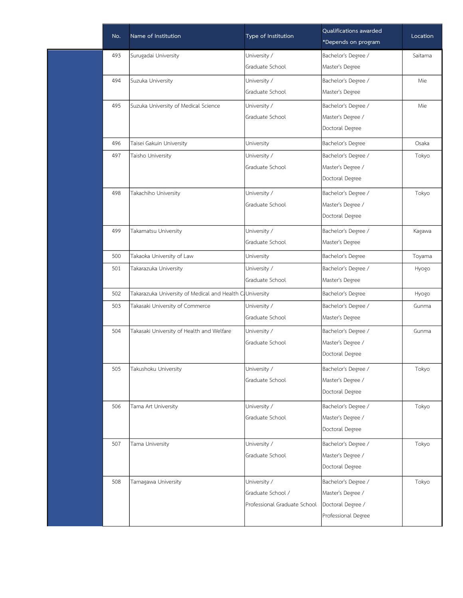| No. | Name of Institution                                      | Type of Institution          | Qualifications awarded<br>*Depends on program | Location |
|-----|----------------------------------------------------------|------------------------------|-----------------------------------------------|----------|
| 493 | Surugadai University                                     | University /                 | Bachelor's Degree /                           | Saitama  |
|     |                                                          | Graduate School              | Master's Degree                               |          |
| 494 | Suzuka University                                        | University /                 | Bachelor's Degree /                           | Mie      |
|     |                                                          | Graduate School              | Master's Degree                               |          |
| 495 | Suzuka University of Medical Science                     | University /                 | Bachelor's Degree /                           | Mie      |
|     |                                                          | Graduate School              | Master's Degree /                             |          |
|     |                                                          |                              | Doctoral Degree                               |          |
| 496 | Taisei Gakuin University                                 | University                   | Bachelor's Degree                             | Osaka    |
| 497 | Taisho University                                        | University /                 | Bachelor's Degree /                           | Tokyo    |
|     |                                                          | Graduate School              | Master's Degree /                             |          |
|     |                                                          |                              | Doctoral Degree                               |          |
| 498 | Takachiho University                                     | University /                 | Bachelor's Degree /                           | Tokyo    |
|     |                                                          | Graduate School              | Master's Degree /                             |          |
|     |                                                          |                              | Doctoral Degree                               |          |
| 499 | Takamatsu University                                     | University /                 | Bachelor's Degree /                           | Kagawa   |
|     |                                                          | Graduate School              | Master's Degree                               |          |
| 500 | Takaoka University of Law                                | University                   | Bachelor's Degree                             | Toyama   |
| 501 | Takarazuka University                                    | University /                 | Bachelor's Degree /                           | Hyogo    |
|     |                                                          | Graduate School              | Master's Degree                               |          |
| 502 | Takarazuka University of Medical and Health CoUniversity |                              | Bachelor's Degree                             | Hyogo    |
| 503 | Takasaki University of Commerce                          | University /                 | Bachelor's Degree /                           | Gunma    |
|     |                                                          | Graduate School              | Master's Degree                               |          |
| 504 | Takasaki University of Health and Welfare                | University /                 | Bachelor's Degree /                           | Gunma    |
|     |                                                          | Graduate School              | Master's Degree /                             |          |
|     |                                                          |                              | Doctoral Degree                               |          |
| 505 | Takushoku University                                     | University /                 | Bachelor's Degree /                           | Tokyo    |
|     |                                                          | Graduate School              | Master's Degree /                             |          |
|     |                                                          |                              | Doctoral Degree                               |          |
| 506 | Tama Art University                                      | University /                 | Bachelor's Degree /                           | Tokyo    |
|     |                                                          | Graduate School              | Master's Degree /                             |          |
|     |                                                          |                              | Doctoral Degree                               |          |
| 507 | Tama University                                          | University /                 | Bachelor's Degree /                           | Tokyo    |
|     |                                                          | Graduate School              | Master's Degree /                             |          |
|     |                                                          |                              | Doctoral Degree                               |          |
| 508 | Tamagawa University                                      | University /                 | Bachelor's Degree /                           | Tokyo    |
|     |                                                          | Graduate School /            | Master's Degree /                             |          |
|     |                                                          | Professional Graduate School | Doctoral Degree /                             |          |
|     |                                                          |                              | Professional Degree                           |          |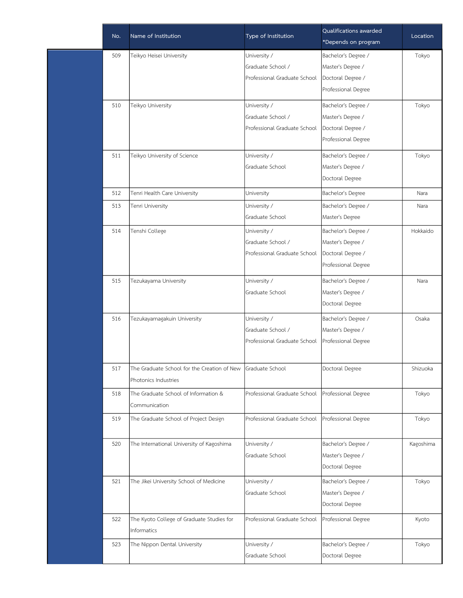| No. | Name of Institution                         | Type of Institution          | Qualifications awarded<br>*Depends on program | Location  |
|-----|---------------------------------------------|------------------------------|-----------------------------------------------|-----------|
| 509 | Teikyo Heisei University                    | University /                 | Bachelor's Degree /                           | Tokyo     |
|     |                                             | Graduate School /            | Master's Degree /                             |           |
|     |                                             | Professional Graduate School | Doctoral Degree /                             |           |
|     |                                             |                              | Professional Degree                           |           |
| 510 | Teikyo University                           | University /                 | Bachelor's Degree /                           | Tokyo     |
|     |                                             | Graduate School /            | Master's Degree /                             |           |
|     |                                             | Professional Graduate School | Doctoral Degree /                             |           |
|     |                                             |                              | Professional Degree                           |           |
| 511 | Teikyo University of Science                | University /                 | Bachelor's Degree /                           | Tokyo     |
|     |                                             | Graduate School              | Master's Degree /                             |           |
|     |                                             |                              | Doctoral Degree                               |           |
| 512 | Tenri Health Care University                | University                   | Bachelor's Degree                             | Nara      |
| 513 | Tenri University                            | University /                 | Bachelor's Degree /                           | Nara      |
|     |                                             | Graduate School              | Master's Degree                               |           |
| 514 | Tenshi College                              | University /                 | Bachelor's Degree /                           | Hokkaido  |
|     |                                             | Graduate School /            | Master's Degree /                             |           |
|     |                                             | Professional Graduate School | Doctoral Degree /                             |           |
|     |                                             |                              | Professional Degree                           |           |
| 515 | Tezukayama University                       | University /                 | Bachelor's Degree /                           | Nara      |
|     |                                             | Graduate School              | Master's Degree /                             |           |
|     |                                             |                              | Doctoral Degree                               |           |
| 516 | Tezukayamagakuin University                 | University /                 | Bachelor's Degree /                           | Osaka     |
|     |                                             | Graduate School /            | Master's Degree /                             |           |
|     |                                             | Professional Graduate School | Professional Degree                           |           |
| 517 | The Graduate School for the Creation of New | Graduate School              | Doctoral Degree                               | Shizuoka  |
|     | Photonics Industries                        |                              |                                               |           |
| 518 | The Graduate School of Information &        | Professional Graduate School | Professional Degree                           | Tokyo     |
|     | Communication                               |                              |                                               |           |
| 519 | The Graduate School of Project Design       | Professional Graduate School | Professional Degree                           | Tokyo     |
| 520 | The International University of Kagoshima   | University /                 | Bachelor's Degree /                           | Kagoshima |
|     |                                             | Graduate School              | Master's Degree /                             |           |
|     |                                             |                              | Doctoral Degree                               |           |
| 521 | The Jikei University School of Medicine     | University /                 | Bachelor's Degree /                           | Tokyo     |
|     |                                             | Graduate School              | Master's Degree /                             |           |
|     |                                             |                              | Doctoral Degree                               |           |
| 522 | The Kyoto College of Graduate Studies for   | Professional Graduate School | Professional Degree                           | Kyoto     |
|     | Informatics                                 |                              |                                               |           |
| 523 | The Nippon Dental University                | University /                 | Bachelor's Degree /                           | Tokyo     |
|     |                                             | Graduate School              | Doctoral Degree                               |           |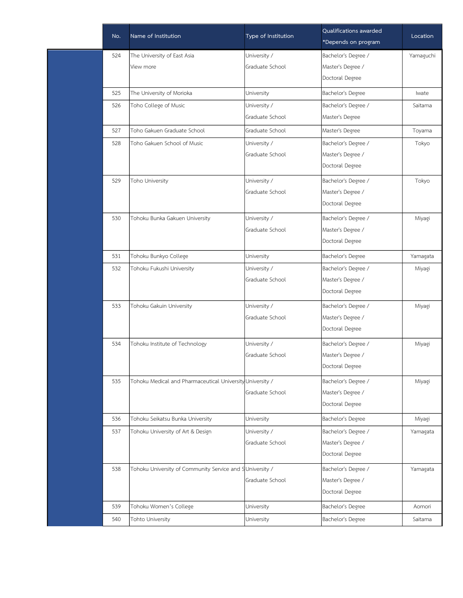| No. | Name of Institution                                       | Type of Institution | Qualifications awarded<br>*Depends on program | Location  |
|-----|-----------------------------------------------------------|---------------------|-----------------------------------------------|-----------|
| 524 | The University of East Asia                               | University /        | Bachelor's Degree /                           | Yamaguchi |
|     | View more                                                 | Graduate School     | Master's Degree /                             |           |
|     |                                                           |                     | Doctoral Degree                               |           |
| 525 | The University of Morioka                                 | University          | Bachelor's Degree                             | Iwate     |
| 526 | Toho College of Music                                     | University /        | Bachelor's Degree /                           | Saitama   |
|     |                                                           | Graduate School     | Master's Degree                               |           |
| 527 | Toho Gakuen Graduate School                               | Graduate School     | Master's Degree                               | Toyama    |
| 528 | Toho Gakuen School of Music                               | University /        | Bachelor's Degree /                           | Tokyo     |
|     |                                                           | Graduate School     | Master's Degree /                             |           |
|     |                                                           |                     | Doctoral Degree                               |           |
| 529 | Toho University                                           | University /        | Bachelor's Degree /                           | Tokyo     |
|     |                                                           | Graduate School     | Master's Degree /                             |           |
|     |                                                           |                     | Doctoral Degree                               |           |
| 530 | Tohoku Bunka Gakuen University                            | University /        | Bachelor's Degree /                           | Miyagi    |
|     |                                                           | Graduate School     | Master's Degree /                             |           |
|     |                                                           |                     | Doctoral Degree                               |           |
| 531 | Tohoku Bunkyo College                                     | University          | Bachelor's Degree                             | Yamagata  |
| 532 | Tohoku Fukushi University                                 | University /        | Bachelor's Degree /                           | Miyagi    |
|     |                                                           | Graduate School     | Master's Degree /                             |           |
|     |                                                           |                     | Doctoral Degree                               |           |
| 533 | Tohoku Gakuin University                                  | University /        | Bachelor's Degree /                           | Miyagi    |
|     |                                                           | Graduate School     | Master's Degree /                             |           |
|     |                                                           |                     | Doctoral Degree                               |           |
| 534 | Tohoku Institute of Technology                            | University /        | Bachelor's Degree /                           | Miyagi    |
|     |                                                           | Graduate School     | Master's Degree /                             |           |
|     |                                                           |                     | Doctoral Degree                               |           |
| 535 | Tohoku Medical and Pharmaceutical University University / |                     | Bachelor's Degree /                           | Miyagi    |
|     |                                                           | Graduate School     | Master's Degree /                             |           |
|     |                                                           |                     | Doctoral Degree                               |           |
| 536 | Tohoku Seikatsu Bunka University                          | University          | Bachelor's Degree                             | Miyagi    |
| 537 | Tohoku University of Art & Design                         | University /        | Bachelor's Degree /                           | Yamagata  |
|     |                                                           | Graduate School     | Master's Degree /                             |           |
|     |                                                           |                     | Doctoral Degree                               |           |
| 538 | Tohoku University of Community Service and SUniversity /  |                     | Bachelor's Degree /                           | Yamagata  |
|     |                                                           | Graduate School     | Master's Degree /                             |           |
|     |                                                           |                     | Doctoral Degree                               |           |
| 539 | Tohoku Women's College                                    | University          | Bachelor's Degree                             | Aomori    |
| 540 | Tohto University                                          | University          | Bachelor's Degree                             | Saitama   |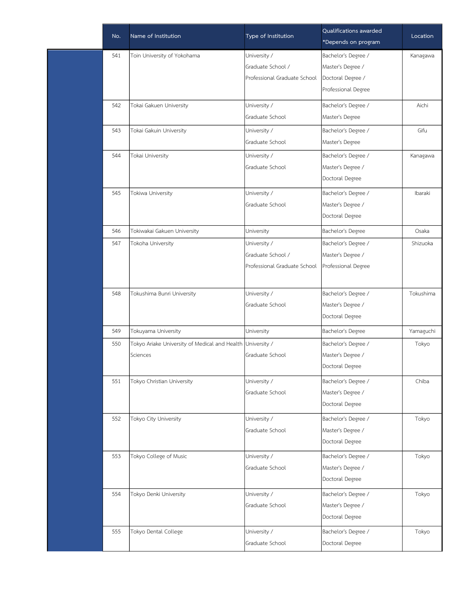| No. | Name of Institution                                        | Type of Institution          | Qualifications awarded<br>*Depends on program | Location  |
|-----|------------------------------------------------------------|------------------------------|-----------------------------------------------|-----------|
| 541 | Toin University of Yokohama                                | University /                 | Bachelor's Degree /                           | Kanagawa  |
|     |                                                            | Graduate School /            | Master's Degree /                             |           |
|     |                                                            | Professional Graduate School | Doctoral Degree /                             |           |
|     |                                                            |                              | Professional Degree                           |           |
| 542 | Tokai Gakuen University                                    | University /                 | Bachelor's Degree /                           | Aichi     |
|     |                                                            | Graduate School              | Master's Degree                               |           |
| 543 | Tokai Gakuin University                                    | University /                 | Bachelor's Degree /                           | Gifu      |
|     |                                                            | Graduate School              | Master's Degree                               |           |
| 544 | Tokai University                                           | University /                 | Bachelor's Degree /                           | Kanagawa  |
|     |                                                            | Graduate School              | Master's Degree /                             |           |
|     |                                                            |                              | Doctoral Degree                               |           |
| 545 | Tokiwa University                                          | University /                 | Bachelor's Degree /                           | Ibaraki   |
|     |                                                            | Graduate School              | Master's Degree /                             |           |
|     |                                                            |                              | Doctoral Degree                               |           |
| 546 | Tokiwakai Gakuen University                                | University                   | Bachelor's Degree                             | Osaka     |
| 547 | Tokoha University                                          | University /                 | Bachelor's Degree /                           | Shizuoka  |
|     |                                                            | Graduate School /            | Master's Degree /                             |           |
|     |                                                            | Professional Graduate School | Professional Degree                           |           |
|     |                                                            |                              |                                               |           |
| 548 | Tokushima Bunri University                                 | University /                 | Bachelor's Degree /                           | Tokushima |
|     |                                                            | Graduate School              | Master's Degree /                             |           |
|     |                                                            |                              | Doctoral Degree                               |           |
| 549 | Tokuyama University                                        | University                   | Bachelor's Degree                             | Yamaguchi |
| 550 | Tokyo Ariake University of Medical and Health University / |                              | Bachelor's Degree /                           | Tokyo     |
|     | Sciences                                                   | Graduate School              | Master's Degree /                             |           |
|     |                                                            |                              | Doctoral Degree                               |           |
| 551 | Tokyo Christian University                                 | University /                 | Bachelor's Degree /                           | Chiba     |
|     |                                                            | Graduate School              | Master's Degree /                             |           |
|     |                                                            |                              | Doctoral Degree                               |           |
| 552 | Tokyo City University                                      | University /                 | Bachelor's Degree /                           | Tokyo     |
|     |                                                            | Graduate School              | Master's Degree /                             |           |
|     |                                                            |                              | Doctoral Degree                               |           |
| 553 | Tokyo College of Music                                     | University /                 | Bachelor's Degree /                           | Tokyo     |
|     |                                                            | Graduate School              | Master's Degree /                             |           |
|     |                                                            |                              | Doctoral Degree                               |           |
| 554 | Tokyo Denki University                                     | University /                 | Bachelor's Degree /                           | Tokyo     |
|     |                                                            | Graduate School              | Master's Degree /                             |           |
|     |                                                            |                              | Doctoral Degree                               |           |
| 555 | Tokyo Dental College                                       | University /                 | Bachelor's Degree /                           | Tokyo     |
|     |                                                            | Graduate School              | Doctoral Degree                               |           |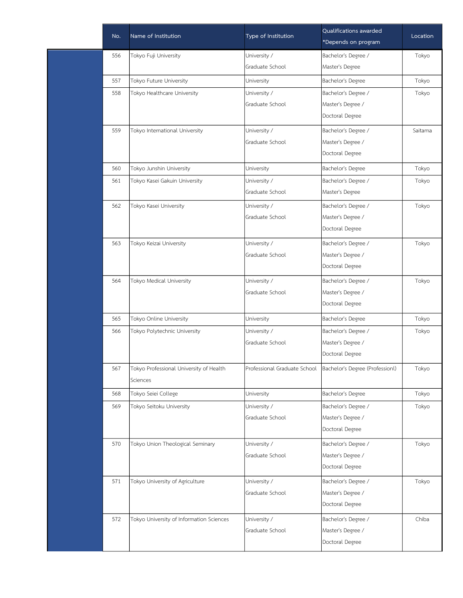| No. | Name of Institution                      | Type of Institution | Qualifications awarded                                         | Location |
|-----|------------------------------------------|---------------------|----------------------------------------------------------------|----------|
|     |                                          |                     | *Depends on program                                            |          |
| 556 | Tokyo Fuji University                    | University /        | Bachelor's Degree /                                            | Tokyo    |
|     |                                          | Graduate School     | Master's Degree                                                |          |
| 557 | Tokyo Future University                  | University          | Bachelor's Degree                                              | Tokyo    |
| 558 | Tokyo Healthcare University              | University /        | Bachelor's Degree /                                            | Tokyo    |
|     |                                          | Graduate School     | Master's Degree /                                              |          |
|     |                                          |                     | Doctoral Degree                                                |          |
| 559 | Tokyo International University           | University /        | Bachelor's Degree /                                            | Saitama  |
|     |                                          | Graduate School     | Master's Degree /                                              |          |
|     |                                          |                     | Doctoral Degree                                                |          |
| 560 | Tokyo Junshin University                 | University          | Bachelor's Degree                                              | Tokyo    |
| 561 | Tokyo Kasei Gakuin University            | University /        | Bachelor's Degree /                                            | Tokyo    |
|     |                                          | Graduate School     | Master's Degree                                                |          |
| 562 | Tokyo Kasei University                   | University /        | Bachelor's Degree /                                            | Tokyo    |
|     |                                          | Graduate School     | Master's Degree /                                              |          |
|     |                                          |                     | Doctoral Degree                                                |          |
| 563 | Tokyo Keizai University                  | University /        | Bachelor's Degree /                                            | Tokyo    |
|     |                                          | Graduate School     | Master's Degree /                                              |          |
|     |                                          |                     | Doctoral Degree                                                |          |
| 564 | Tokyo Medical University                 | University /        | Bachelor's Degree /                                            | Tokyo    |
|     |                                          | Graduate School     | Master's Degree /                                              |          |
|     |                                          |                     | Doctoral Degree                                                |          |
| 565 | Tokyo Online University                  | University          | Bachelor's Degree                                              | Tokyo    |
| 566 | Tokyo Polytechnic University             | University /        | Bachelor's Degree /                                            | Tokyo    |
|     |                                          | Graduate School     | Master's Degree /                                              |          |
|     |                                          |                     | Doctoral Degree                                                |          |
| 567 | Tokyo Professional University of Health  |                     | Professional Graduate School   Bachelor's Degree (Professionl) | Tokyo    |
|     | Sciences                                 |                     |                                                                |          |
| 568 | Tokyo Seiei College                      | University          | Bachelor's Degree                                              | Tokyo    |
| 569 | Tokyo Seitoku University                 | University /        | Bachelor's Degree /                                            | Tokyo    |
|     |                                          | Graduate School     | Master's Degree /                                              |          |
|     |                                          |                     | Doctoral Degree                                                |          |
| 570 | Tokyo Union Theological Seminary         | University /        | Bachelor's Degree /                                            | Tokyo    |
|     |                                          | Graduate School     | Master's Degree /                                              |          |
|     |                                          |                     | Doctoral Degree                                                |          |
| 571 | Tokyo University of Agriculture          | University /        | Bachelor's Degree /                                            | Tokyo    |
|     |                                          | Graduate School     | Master's Degree /                                              |          |
|     |                                          |                     | Doctoral Degree                                                |          |
| 572 | Tokyo University of Information Sciences | University /        | Bachelor's Degree /                                            | Chiba    |
|     |                                          | Graduate School     | Master's Degree /                                              |          |
|     |                                          |                     | Doctoral Degree                                                |          |
|     |                                          |                     |                                                                |          |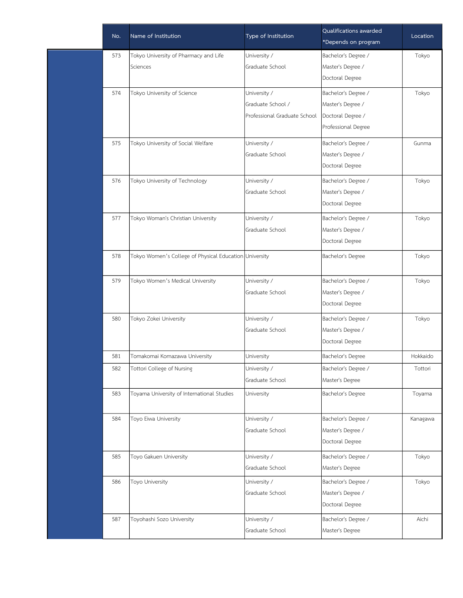| No. | Name of Institution                                    | Type of Institution          | Qualifications awarded<br>*Depends on program | Location |
|-----|--------------------------------------------------------|------------------------------|-----------------------------------------------|----------|
| 573 | Tokyo University of Pharmacy and Life                  | University /                 | Bachelor's Degree /                           | Tokyo    |
|     | Sciences                                               | Graduate School              | Master's Degree /                             |          |
|     |                                                        |                              | Doctoral Degree                               |          |
| 574 | Tokyo University of Science                            | University /                 | Bachelor's Degree /                           | Tokyo    |
|     |                                                        | Graduate School /            | Master's Degree /                             |          |
|     |                                                        | Professional Graduate School | Doctoral Degree /                             |          |
|     |                                                        |                              | Professional Degree                           |          |
| 575 | Tokyo University of Social Welfare                     | University /                 | Bachelor's Degree /                           | Gunma    |
|     |                                                        | Graduate School              | Master's Degree /                             |          |
|     |                                                        |                              | Doctoral Degree                               |          |
| 576 | Tokyo University of Technology                         | University /                 | Bachelor's Degree /                           | Tokyo    |
|     |                                                        | Graduate School              | Master's Degree /                             |          |
|     |                                                        |                              | Doctoral Degree                               |          |
| 577 | Tokyo Woman's Christian University                     | University /                 | Bachelor's Degree /                           | Tokyo    |
|     |                                                        | Graduate School              | Master's Degree /                             |          |
|     |                                                        |                              | Doctoral Degree                               |          |
| 578 | Tokyo Women's College of Physical Education University |                              | Bachelor's Degree                             | Tokyo    |
|     |                                                        |                              |                                               |          |
| 579 | Tokyo Women's Medical University                       | University /                 | Bachelor's Degree /                           | Tokyo    |
|     |                                                        | Graduate School              | Master's Degree /                             |          |
|     |                                                        |                              | Doctoral Degree                               |          |
| 580 | Tokyo Zokei University                                 | University /                 | Bachelor's Degree /                           | Tokyo    |
|     |                                                        | Graduate School              | Master's Degree /                             |          |
|     |                                                        |                              | Doctoral Degree                               |          |
| 581 | Tomakomai Komazawa University                          | University                   | Bachelor's Degree                             | Hokkaido |
| 582 | Tottori College of Nursing                             | University /                 | Bachelor's Degree /                           | Tottori  |
|     |                                                        | Graduate School              | Master's Degree                               |          |
| 583 | Toyama University of International Studies             | University                   | Bachelor's Degree                             | Toyama   |
|     |                                                        |                              |                                               |          |
| 584 | Toyo Eiwa University                                   | University /                 | Bachelor's Degree /                           | Kanagawa |
|     |                                                        | Graduate School              | Master's Degree /                             |          |
|     |                                                        |                              | Doctoral Degree                               |          |
| 585 | Toyo Gakuen University                                 | University /                 | Bachelor's Degree /                           | Tokyo    |
|     |                                                        | Graduate School              | Master's Degree                               |          |
| 586 | Toyo University                                        | University /                 | Bachelor's Degree /                           | Tokyo    |
|     |                                                        | Graduate School              | Master's Degree /                             |          |
|     |                                                        |                              | Doctoral Degree                               |          |
| 587 | Toyohashi Sozo University                              | University /                 | Bachelor's Degree /                           | Aichi    |
|     |                                                        | Graduate School              | Master's Degree                               |          |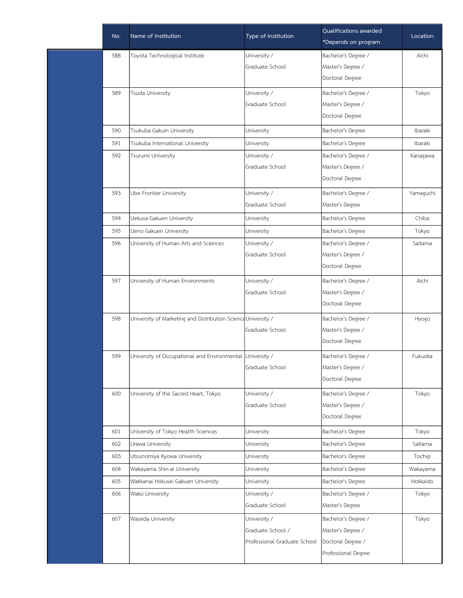| No. | Name of Institution                                           | Type of Institution          | Qualifications awarded<br>*Depends on program | Location  |
|-----|---------------------------------------------------------------|------------------------------|-----------------------------------------------|-----------|
| 588 | Toyota Technological Institute                                | University /                 | Bachelor's Degree /                           | Aichi     |
|     |                                                               | Graduate School              | Master's Degree /                             |           |
|     |                                                               |                              | Doctoral Degree                               |           |
| 589 | Tsuda University                                              | University /                 | Bachelor's Degree /                           | Tokyo     |
|     |                                                               | Graduate School              | Master's Degree /                             |           |
|     |                                                               |                              | Doctoral Degree                               |           |
| 590 | Tsukuba Gakuin University                                     | University                   | Bachelor's Degree                             | Ibaraki   |
| 591 | Tsukuba International University                              | University                   | Bachelor's Degree                             | Ibaraki   |
| 592 | Tsurumi University                                            | University /                 | Bachelor's Degree /                           | Kanagawa  |
|     |                                                               | Graduate School              | Master's Degree /                             |           |
|     |                                                               |                              | Doctoral Degree                               |           |
| 593 | Ube Frontier University                                       | University /                 | Bachelor's Degree /                           | Yamaguchi |
|     |                                                               | Graduate School              | Master's Degree                               |           |
| 594 | Uekusa Gakuen University                                      | University                   | Bachelor's Degree                             | Chiba     |
| 595 | Ueno Gakuen University                                        | University                   | Bachelor's Degree                             | Tokyo     |
| 596 | University of Human Arts and Sciences                         | University /                 | Bachelor's Degree /                           | Saitama   |
|     |                                                               | Graduate School              | Master's Degree /                             |           |
|     |                                                               |                              | Doctoral Degree                               |           |
| 597 | University of Human Environments                              | University /                 | Bachelor's Degree /                           | Aichi     |
|     |                                                               | Graduate School              | Master's Degree /                             |           |
|     |                                                               |                              | Doctoral Degree                               |           |
| 598 | University of Marketing and Distribution Science University / |                              | Bachelor's Degree /                           | Hyogo     |
|     |                                                               | Graduate School              | Master's Degree /                             |           |
|     |                                                               |                              | Doctoral Degree                               |           |
| 599 | University of Occupational and Environmental University /     |                              | Bachelor's Degree /                           | Fukuoka   |
|     |                                                               | Graduate School              | Master's Degree /                             |           |
|     |                                                               |                              | Doctoral Degree                               |           |
| 600 | University of the Sacred Heart, Tokyo                         | University /                 | Bachelor's Degree /                           | Tokyo     |
|     |                                                               | Graduate School              | Master's Degree /                             |           |
|     |                                                               |                              | Doctoral Degree                               |           |
| 601 | University of Tokyo Health Sciences                           | University                   | Bachelor's Degree                             | Tokyo     |
| 602 | Urawa University                                              | University                   | Bachelor's Degree                             | Saitama   |
| 603 | Utsunomiya Kyowa University                                   | University                   | Bachelor's Degree                             | Tochigi   |
| 604 | Wakayama Shin-ai University                                   | University                   | Bachelor's Degree                             | Wakayama  |
| 605 | Wakkanai Hokusei Gakuen University                            | University                   | Bachelor's Degree                             | Hokkaido  |
| 606 | Wako University                                               | University /                 | Bachelor's Degree /                           | Tokyo     |
|     |                                                               | Graduate School              | Master's Degree                               |           |
| 607 | Waseda University                                             | University /                 | Bachelor's Degree /                           | Tokyo     |
|     |                                                               | Graduate School /            | Master's Degree /                             |           |
|     |                                                               | Professional Graduate School | Doctoral Degree /                             |           |
|     |                                                               |                              | Professional Degree                           |           |